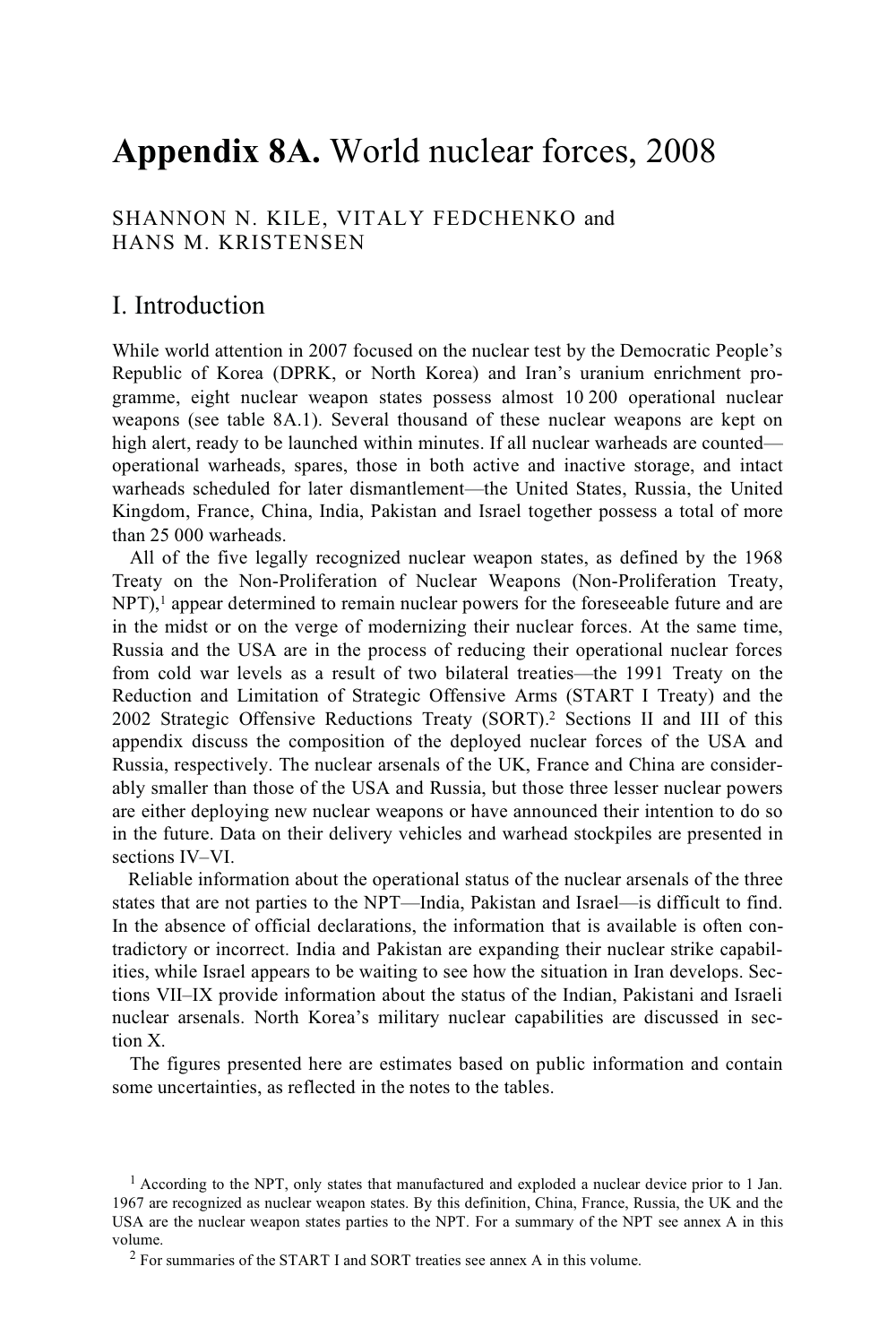# **Appendix 8A.** World nuclear forces, 2008

# SHANNON N. KILE, VITALY FEDCHENKO and HANS M. KRISTENSEN

# I. Introduction

While world attention in 2007 focused on the nuclear test by the Democratic People's Republic of Korea (DPRK, or North Korea) and Iran's uranium enrichment programme, eight nuclear weapon states possess almost 10 200 operational nuclear weapons (see table 8A.1). Several thousand of these nuclear weapons are kept on high alert, ready to be launched within minutes. If all nuclear warheads are counted operational warheads, spares, those in both active and inactive storage, and intact warheads scheduled for later dismantlement—the United States, Russia, the United Kingdom, France, China, India, Pakistan and Israel together possess a total of more than 25 000 warheads.

All of the five legally recognized nuclear weapon states, as defined by the 1968 Treaty on the Non-Proliferation of Nuclear Weapons (Non-Proliferation Treaty, NPT),<sup>1</sup> appear determined to remain nuclear powers for the foreseeable future and are in the midst or on the verge of modernizing their nuclear forces. At the same time, Russia and the USA are in the process of reducing their operational nuclear forces from cold war levels as a result of two bilateral treaties—the 1991 Treaty on the Reduction and Limitation of Strategic Offensive Arms (START I Treaty) and the 2002 Strategic Offensive Reductions Treaty (SORT).2 Sections II and III of this appendix discuss the composition of the deployed nuclear forces of the USA and Russia, respectively. The nuclear arsenals of the UK, France and China are considerably smaller than those of the USA and Russia, but those three lesser nuclear powers are either deploying new nuclear weapons or have announced their intention to do so in the future. Data on their delivery vehicles and warhead stockpiles are presented in sections IV–VI.

Reliable information about the operational status of the nuclear arsenals of the three states that are not parties to the NPT—India, Pakistan and Israel—is difficult to find. In the absence of official declarations, the information that is available is often contradictory or incorrect. India and Pakistan are expanding their nuclear strike capabilities, while Israel appears to be waiting to see how the situation in Iran develops. Sections VII–IX provide information about the status of the Indian, Pakistani and Israeli nuclear arsenals. North Korea's military nuclear capabilities are discussed in section X.

The figures presented here are estimates based on public information and contain some uncertainties, as reflected in the notes to the tables.

<sup>1</sup> According to the NPT, only states that manufactured and exploded a nuclear device prior to 1 Jan. 1967 are recognized as nuclear weapon states. By this definition, China, France, Russia, the UK and the USA are the nuclear weapon states parties to the NPT. For a summary of the NPT see annex A in this volume. 2 For summaries of the START I and SORT treaties see annex A in this volume.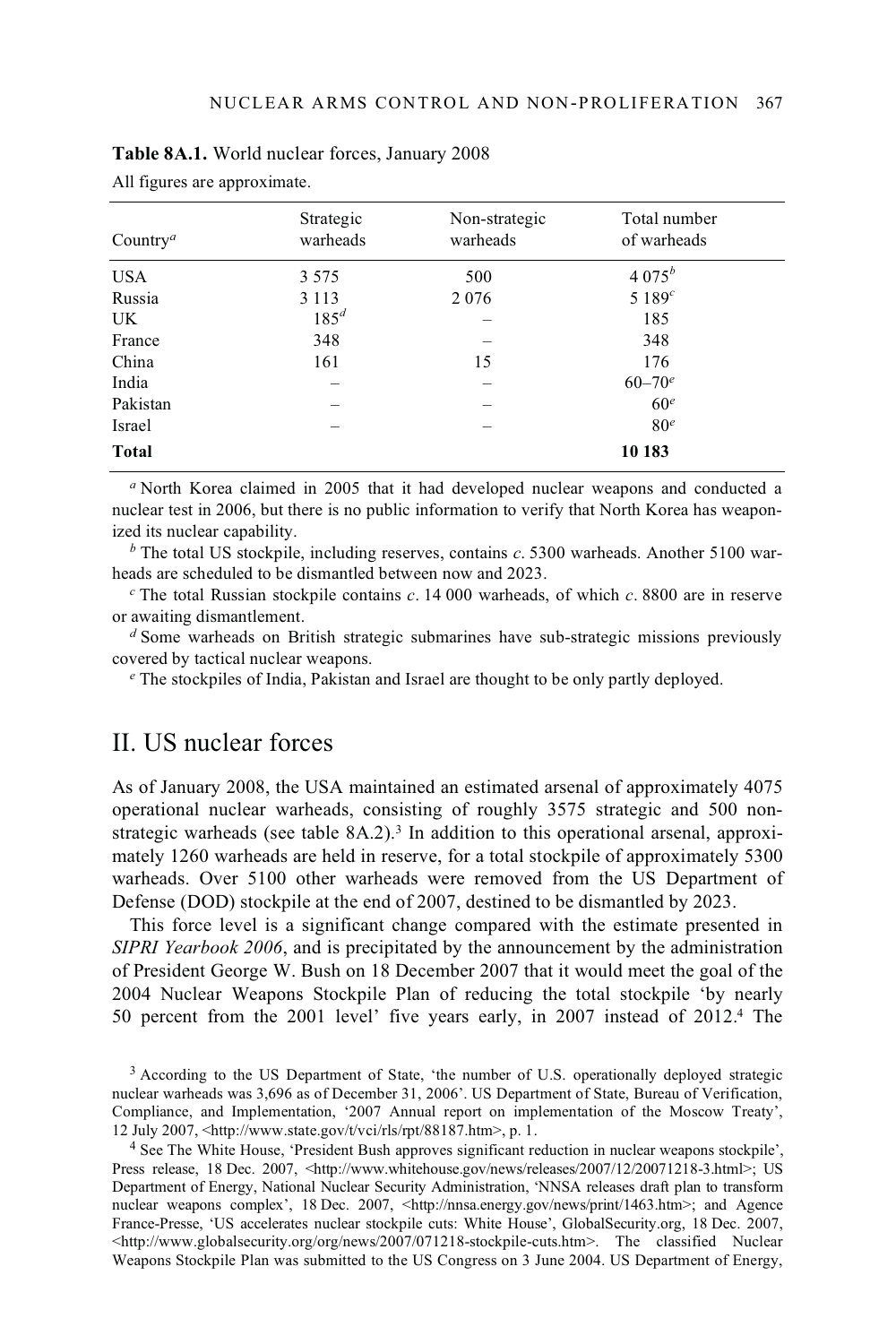| Country <sup><i>a</i></sup> | Strategic<br>warheads | Non-strategic<br>warheads | Total number<br>of warheads |
|-----------------------------|-----------------------|---------------------------|-----------------------------|
| <b>USA</b>                  | 3 5 7 5               | 500                       | $4075^{b}$                  |
| Russia                      | 3 1 1 3               | 2076                      | 5 189 $^c$                  |
| <b>UK</b>                   | $185^d$               |                           | 185                         |
| France                      | 348                   |                           | 348                         |
| China                       | 161                   | 15                        | 176                         |
| India                       |                       |                           | $60 - 70^e$                 |
| Pakistan                    |                       |                           | 60 <sup>e</sup>             |
| Israel                      |                       |                           | 80 <sup>e</sup>             |
| <b>Total</b>                |                       |                           | 10 183                      |

**Table 8A.1.** World nuclear forces, January 2008

All figures are approximate.

*<sup>a</sup>* North Korea claimed in 2005 that it had developed nuclear weapons and conducted a nuclear test in 2006, but there is no public information to verify that North Korea has weaponized its nuclear capability.

*b* The total US stockpile, including reserves, contains *c*. 5300 warheads. Another 5100 warheads are scheduled to be dismantled between now and 2023.

*c* The total Russian stockpile contains *c*. 14 000 warheads, of which *c*. 8800 are in reserve or awaiting dismantlement.

*<sup>d</sup>* Some warheads on British strategic submarines have sub-strategic missions previously covered by tactical nuclear weapons.

*e* The stockpiles of India, Pakistan and Israel are thought to be only partly deployed.

# II. US nuclear forces

As of January 2008, the USA maintained an estimated arsenal of approximately 4075 operational nuclear warheads, consisting of roughly 3575 strategic and 500 nonstrategic warheads (see table  $8A.2$ ).<sup>3</sup> In addition to this operational arsenal, approximately 1260 warheads are held in reserve, for a total stockpile of approximately 5300 warheads. Over 5100 other warheads were removed from the US Department of Defense (DOD) stockpile at the end of 2007, destined to be dismantled by 2023.

This force level is a significant change compared with the estimate presented in *SIPRI Yearbook 2006*, and is precipitated by the announcement by the administration of President George W. Bush on 18 December 2007 that it would meet the goal of the 2004 Nuclear Weapons Stockpile Plan of reducing the total stockpile 'by nearly 50 percent from the 2001 level' five years early, in 2007 instead of 2012.4 The

<sup>3</sup> According to the US Department of State, 'the number of U.S. operationally deployed strategic nuclear warheads was 3,696 as of December 31, 2006'. US Department of State, Bureau of Verification, Compliance, and Implementation, '2007 Annual report on implementation of the Moscow Treaty', 12 July 2007, <http://www.state.gov/t/vci/rls/rpt/88187.htm>, p. 1.

<sup>&</sup>lt;sup>4</sup> See The White House, 'President Bush approves significant reduction in nuclear weapons stockpile', Press release, 18 Dec. 2007, <http://www.whitehouse.gov/news/releases/2007/12/20071218-3.html>; US Department of Energy, National Nuclear Security Administration, 'NNSA releases draft plan to transform nuclear weapons complex', 18 Dec. 2007, <http://nnsa.energy.gov/news/print/1463.htm>; and Agence France-Presse, 'US accelerates nuclear stockpile cuts: White House', GlobalSecurity.org, 18 Dec. 2007, <http://www.globalsecurity.org/org/news/2007/071218-stockpile-cuts.htm>. The classified Nuclear Weapons Stockpile Plan was submitted to the US Congress on 3 June 2004. US Department of Energy,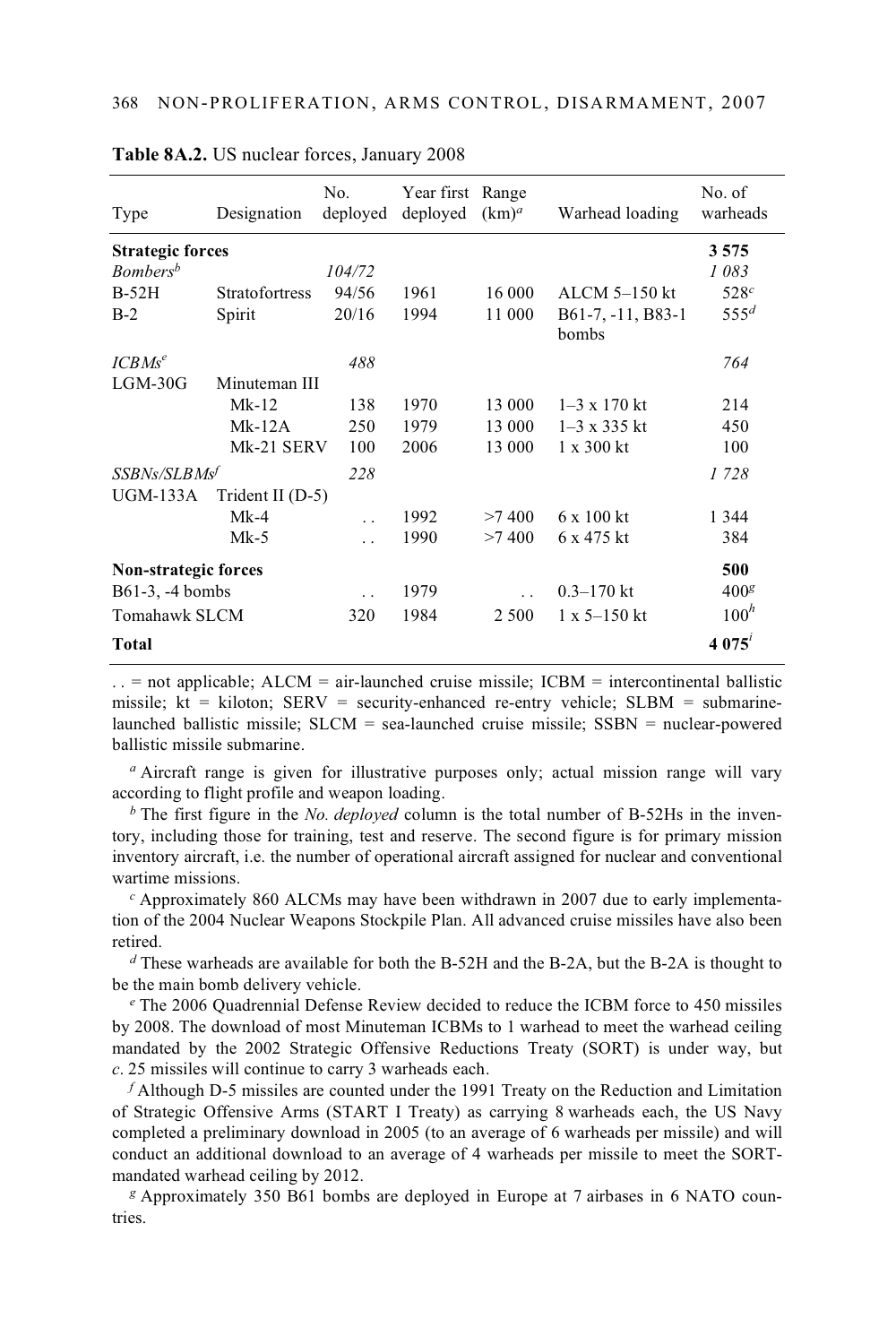| Type                           | Designation           | No.<br>deployed      | Year first Range<br>deployed | $(km)^{a}$ | Warhead loading              | No. of<br>warheads |
|--------------------------------|-----------------------|----------------------|------------------------------|------------|------------------------------|--------------------|
| <b>Strategic forces</b>        |                       |                      |                              |            |                              | 3575               |
| <b>Bombers</b> <sup>b</sup>    |                       | 104/72               |                              |            |                              | 1 083              |
| $B-52H$                        | <b>Stratofortress</b> | 94/56                | 1961                         | 16 000     | ALCM 5-150 kt                | 528c               |
| $B-2$                          | Spirit                | 20/16                | 1994                         | 11 000     | $B61-7, -11, B83-1$<br>bombs | $555^d$            |
| $ICBMs^e$                      |                       | 488                  |                              |            |                              | 764                |
| $LGM-30G$                      | Minuteman III         |                      |                              |            |                              |                    |
|                                | $Mk-12$               | 138                  | 1970                         | 13 000     | $1-3 \times 170$ kt          | 214                |
|                                | $Mk-12A$              | 250                  | 1979                         | 13 000     | $1-3 \times 335$ kt          | 450                |
|                                | Mk-21 SERV            | 100                  | 2006                         | 13 000     | $1 \times 300$ kt            | 100                |
| <i>SSBNs/SLBMs<sup>f</sup></i> |                       | 228                  |                              |            |                              | 1728               |
| UGM-133A                       | Trident II $(D-5)$    |                      |                              |            |                              |                    |
|                                | $Mk-4$                |                      | 1992                         | >7400      | $6 \times 100$ kt            | 1 3 4 4            |
|                                | $Mk-5$                | . .                  | 1990                         | >7400      | 6 x 475 kt                   | 384                |
| Non-strategic forces           |                       |                      |                              |            |                              | 500                |
| $B61-3$ , $-4$ bombs           |                       | $\ddot{\phantom{0}}$ | 1979                         |            | $0.3 - 170$ kt               | 400 <sup>g</sup>   |
| Tomahawk SLCM                  |                       | 320                  | 1984                         | 2 5 0 0    | $1 \times 5 - 150$ kt        | 100 <sup>h</sup>   |
| <b>Total</b>                   |                       |                      |                              |            |                              | 4075'              |

#### **Table 8A.2.** US nuclear forces, January 2008

 $\ldots$  = not applicable; ALCM = air-launched cruise missile; ICBM = intercontinental ballistic missile;  $kt = kiloton$ ;  $SERV = security-enhanced$  re-entry vehicle;  $SLBM = submarine$ launched ballistic missile; SLCM = sea-launched cruise missile; SSBN = nuclear-powered ballistic missile submarine.

*<sup>a</sup>* Aircraft range is given for illustrative purposes only; actual mission range will vary according to flight profile and weapon loading.

*b* The first figure in the *No. deployed* column is the total number of B-52Hs in the inventory, including those for training, test and reserve. The second figure is for primary mission inventory aircraft, i.e. the number of operational aircraft assigned for nuclear and conventional wartime missions.

*c* Approximately 860 ALCMs may have been withdrawn in 2007 due to early implementation of the 2004 Nuclear Weapons Stockpile Plan. All advanced cruise missiles have also been retired.

*<sup>d</sup>* These warheads are available for both the B-52H and the B-2A, but the B-2A is thought to be the main bomb delivery vehicle.

*<sup>e</sup>* The 2006 Quadrennial Defense Review decided to reduce the ICBM force to 450 missiles by 2008. The download of most Minuteman ICBMs to 1 warhead to meet the warhead ceiling mandated by the 2002 Strategic Offensive Reductions Treaty (SORT) is under way, but *c*. 25 missiles will continue to carry 3 warheads each.

*f* Although D-5 missiles are counted under the 1991 Treaty on the Reduction and Limitation of Strategic Offensive Arms (START I Treaty) as carrying 8 warheads each, the US Navy completed a preliminary download in 2005 (to an average of 6 warheads per missile) and will conduct an additional download to an average of 4 warheads per missile to meet the SORTmandated warhead ceiling by 2012.

*g* Approximately 350 B61 bombs are deployed in Europe at 7 airbases in 6 NATO countries.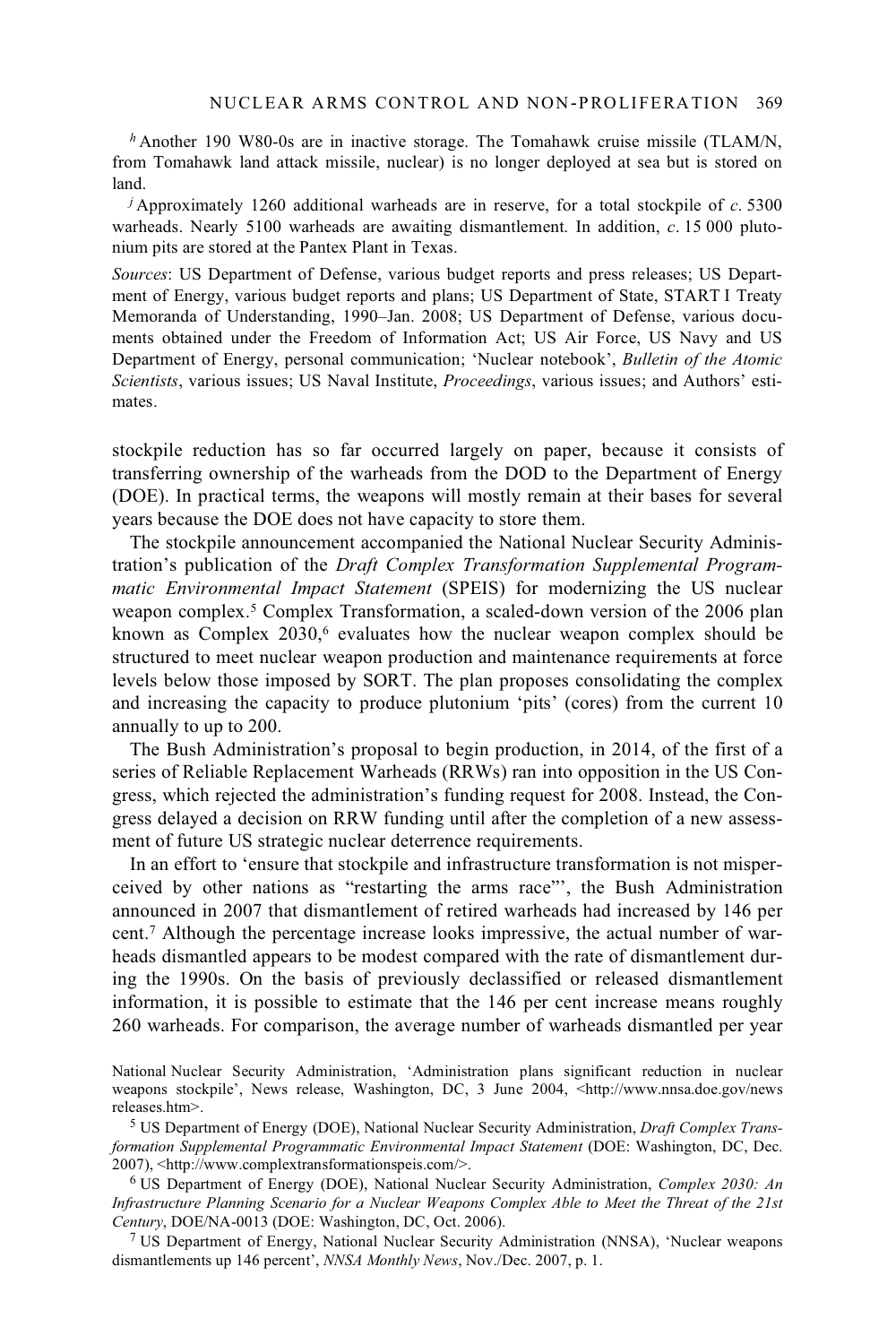*h* Another 190 W80-0s are in inactive storage. The Tomahawk cruise missile (TLAM/N, from Tomahawk land attack missile, nuclear) is no longer deployed at sea but is stored on land.

*j*Approximately 1260 additional warheads are in reserve, for a total stockpile of *c*. 5300 warheads. Nearly 5100 warheads are awaiting dismantlement. In addition, *c*. 15 000 plutonium pits are stored at the Pantex Plant in Texas.

*Sources*: US Department of Defense, various budget reports and press releases; US Department of Energy, various budget reports and plans; US Department of State, START I Treaty Memoranda of Understanding, 1990–Jan. 2008; US Department of Defense, various documents obtained under the Freedom of Information Act; US Air Force, US Navy and US Department of Energy, personal communication; 'Nuclear notebook', *Bulletin of the Atomic Scientists*, various issues; US Naval Institute, *Proceedings*, various issues; and Authors' estimates.

stockpile reduction has so far occurred largely on paper, because it consists of transferring ownership of the warheads from the DOD to the Department of Energy (DOE). In practical terms, the weapons will mostly remain at their bases for several years because the DOE does not have capacity to store them.

The stockpile announcement accompanied the National Nuclear Security Administration's publication of the *Draft Complex Transformation Supplemental Programmatic Environmental Impact Statement* (SPEIS) for modernizing the US nuclear weapon complex.5 Complex Transformation, a scaled-down version of the 2006 plan known as Complex  $2030<sub>5</sub>$  evaluates how the nuclear weapon complex should be structured to meet nuclear weapon production and maintenance requirements at force levels below those imposed by SORT. The plan proposes consolidating the complex and increasing the capacity to produce plutonium 'pits' (cores) from the current 10 annually to up to 200.

The Bush Administration's proposal to begin production, in 2014, of the first of a series of Reliable Replacement Warheads (RRWs) ran into opposition in the US Congress, which rejected the administration's funding request for 2008. Instead, the Congress delayed a decision on RRW funding until after the completion of a new assessment of future US strategic nuclear deterrence requirements.

In an effort to 'ensure that stockpile and infrastructure transformation is not misperceived by other nations as "restarting the arms race"', the Bush Administration announced in 2007 that dismantlement of retired warheads had increased by 146 per cent.7 Although the percentage increase looks impressive, the actual number of warheads dismantled appears to be modest compared with the rate of dismantlement during the 1990s. On the basis of previously declassified or released dismantlement information, it is possible to estimate that the 146 per cent increase means roughly 260 warheads. For comparison, the average number of warheads dismantled per year

National Nuclear Security Administration, 'Administration plans significant reduction in nuclear weapons stockpile', News release, Washington, DC, 3 June 2004, <http://www.nnsa.doe.gov/news releases.htm>. 5 US Department of Energy (DOE), National Nuclear Security Administration, *Draft Complex Trans-*

*formation Supplemental Programmatic Environmental Impact Statement* (DOE: Washington, DC, Dec. 2007), <http://www.complextransformationspeis.com/>.

6 US Department of Energy (DOE), National Nuclear Security Administration, *Complex 2030: An Infrastructure Planning Scenario for a Nuclear Weapons Complex Able to Meet the Threat of the 21st Century*, DOE/NA-0013 (DOE: Washington, DC, Oct. 2006). 7 US Department of Energy, National Nuclear Security Administration (NNSA), 'Nuclear weapons

dismantlements up 146 percent', *NNSA Monthly News*, Nov./Dec. 2007, p. 1.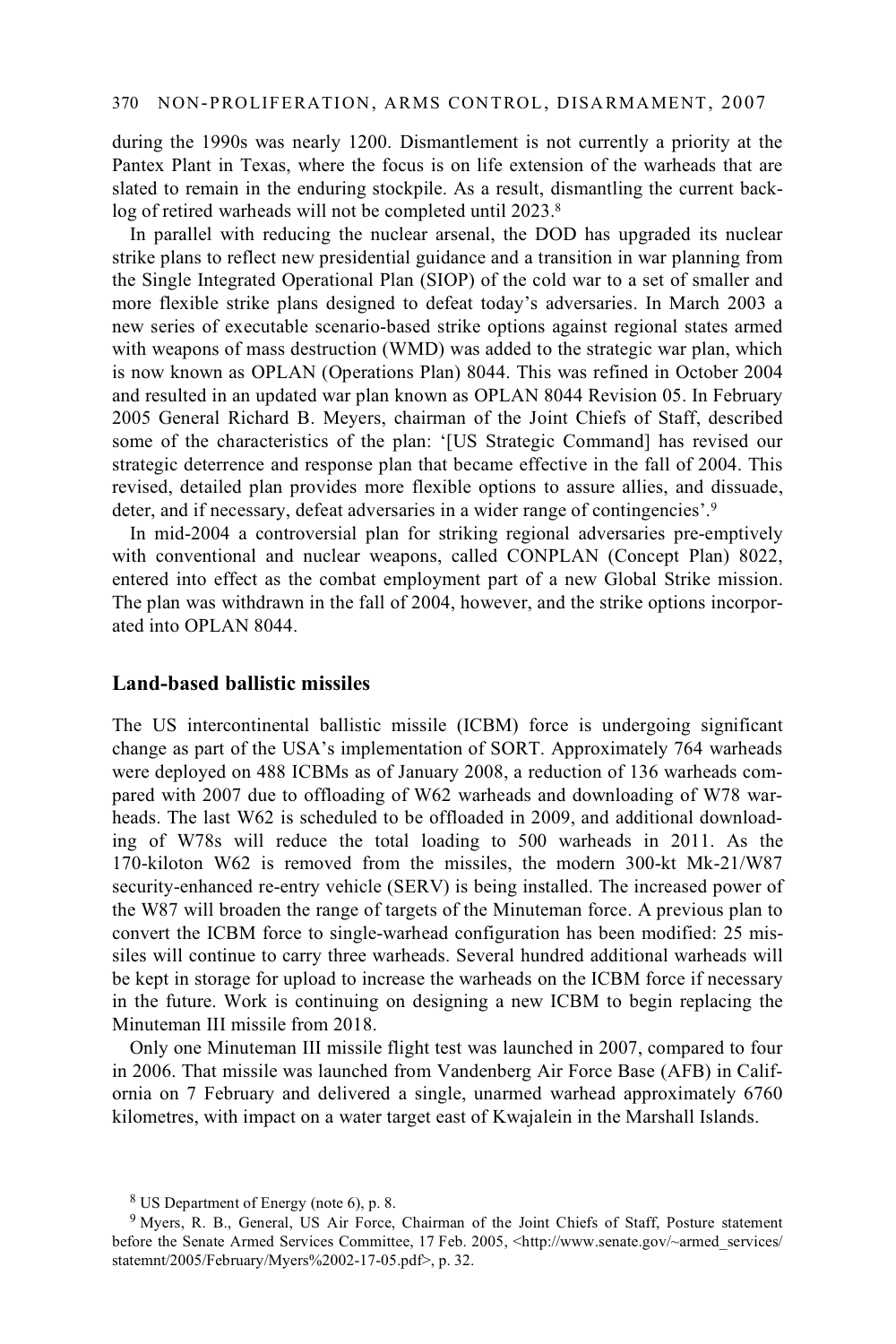#### 370 NON-PROLIFERATION, ARMS CONTROL, DISARMAMENT, 2007

during the 1990s was nearly 1200. Dismantlement is not currently a priority at the Pantex Plant in Texas, where the focus is on life extension of the warheads that are slated to remain in the enduring stockpile. As a result, dismantling the current backlog of retired warheads will not be completed until 2023.<sup>8</sup>

In parallel with reducing the nuclear arsenal, the DOD has upgraded its nuclear strike plans to reflect new presidential guidance and a transition in war planning from the Single Integrated Operational Plan (SIOP) of the cold war to a set of smaller and more flexible strike plans designed to defeat today's adversaries. In March 2003 a new series of executable scenario-based strike options against regional states armed with weapons of mass destruction (WMD) was added to the strategic war plan, which is now known as OPLAN (Operations Plan) 8044. This was refined in October 2004 and resulted in an updated war plan known as OPLAN 8044 Revision 05. In February 2005 General Richard B. Meyers, chairman of the Joint Chiefs of Staff, described some of the characteristics of the plan: '[US Strategic Command] has revised our strategic deterrence and response plan that became effective in the fall of 2004. This revised, detailed plan provides more flexible options to assure allies, and dissuade, deter, and if necessary, defeat adversaries in a wider range of contingencies'.9

In mid-2004 a controversial plan for striking regional adversaries pre-emptively with conventional and nuclear weapons, called CONPLAN (Concept Plan) 8022, entered into effect as the combat employment part of a new Global Strike mission. The plan was withdrawn in the fall of 2004, however, and the strike options incorporated into OPLAN 8044.

# **Land-based ballistic missiles**

The US intercontinental ballistic missile (ICBM) force is undergoing significant change as part of the USA's implementation of SORT. Approximately 764 warheads were deployed on 488 ICBMs as of January 2008, a reduction of 136 warheads compared with 2007 due to offloading of W62 warheads and downloading of W78 warheads. The last W62 is scheduled to be offloaded in 2009, and additional downloading of W78s will reduce the total loading to 500 warheads in 2011. As the 170-kiloton W62 is removed from the missiles, the modern 300-kt Mk-21/W87 security-enhanced re-entry vehicle (SERV) is being installed. The increased power of the W87 will broaden the range of targets of the Minuteman force. A previous plan to convert the ICBM force to single-warhead configuration has been modified: 25 missiles will continue to carry three warheads. Several hundred additional warheads will be kept in storage for upload to increase the warheads on the ICBM force if necessary in the future. Work is continuing on designing a new ICBM to begin replacing the Minuteman III missile from 2018.

Only one Minuteman III missile flight test was launched in 2007, compared to four in 2006. That missile was launched from Vandenberg Air Force Base (AFB) in California on 7 February and delivered a single, unarmed warhead approximately 6760 kilometres, with impact on a water target east of Kwajalein in the Marshall Islands.

<sup>8</sup> US Department of Energy (note 6), p. 8.

<sup>9</sup> Myers, R. B., General, US Air Force, Chairman of the Joint Chiefs of Staff, Posture statement before the Senate Armed Services Committee, 17 Feb. 2005, <http://www.senate.gov/~armed\_services/ statemnt/2005/February/Myers%2002-17-05.pdf>, p. 32.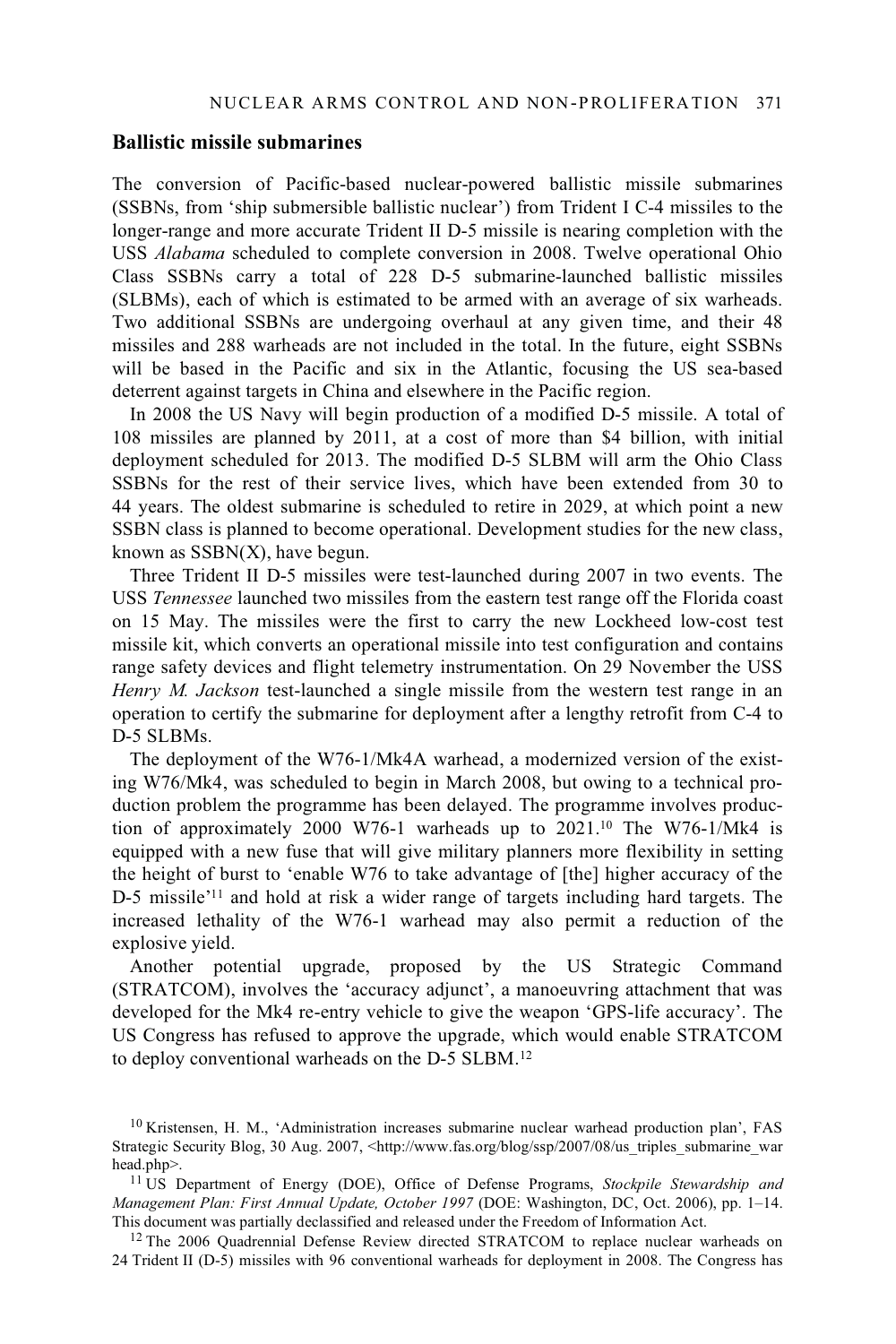### **Ballistic missile submarines**

The conversion of Pacific-based nuclear-powered ballistic missile submarines (SSBNs, from 'ship submersible ballistic nuclear') from Trident I C-4 missiles to the longer-range and more accurate Trident II D-5 missile is nearing completion with the USS *Alabama* scheduled to complete conversion in 2008. Twelve operational Ohio Class SSBNs carry a total of 228 D-5 submarine-launched ballistic missiles (SLBMs), each of which is estimated to be armed with an average of six warheads. Two additional SSBNs are undergoing overhaul at any given time, and their 48 missiles and 288 warheads are not included in the total. In the future, eight SSBNs will be based in the Pacific and six in the Atlantic, focusing the US sea-based deterrent against targets in China and elsewhere in the Pacific region.

In 2008 the US Navy will begin production of a modified D-5 missile. A total of 108 missiles are planned by 2011, at a cost of more than \$4 billion, with initial deployment scheduled for 2013. The modified D-5 SLBM will arm the Ohio Class SSBNs for the rest of their service lives, which have been extended from 30 to 44 years. The oldest submarine is scheduled to retire in 2029, at which point a new SSBN class is planned to become operational. Development studies for the new class, known as SSBN(X), have begun.

Three Trident II D-5 missiles were test-launched during 2007 in two events. The USS *Tennessee* launched two missiles from the eastern test range off the Florida coast on 15 May. The missiles were the first to carry the new Lockheed low-cost test missile kit, which converts an operational missile into test configuration and contains range safety devices and flight telemetry instrumentation. On 29 November the USS *Henry M. Jackson* test-launched a single missile from the western test range in an operation to certify the submarine for deployment after a lengthy retrofit from C-4 to D-5 SLBMs.

The deployment of the W76-1/Mk4A warhead, a modernized version of the existing W76/Mk4, was scheduled to begin in March 2008, but owing to a technical production problem the programme has been delayed. The programme involves production of approximately 2000 W76-1 warheads up to 2021.10 The W76-1/Mk4 is equipped with a new fuse that will give military planners more flexibility in setting the height of burst to 'enable W76 to take advantage of [the] higher accuracy of the D-5 missile'11 and hold at risk a wider range of targets including hard targets. The increased lethality of the W76-1 warhead may also permit a reduction of the explosive yield.

Another potential upgrade, proposed by the US Strategic Command (STRATCOM), involves the 'accuracy adjunct', a manoeuvring attachment that was developed for the Mk4 re-entry vehicle to give the weapon 'GPS-life accuracy'. The US Congress has refused to approve the upgrade, which would enable STRATCOM to deploy conventional warheads on the D-5 SLBM.12

 $10$  Kristensen, H. M., 'Administration increases submarine nuclear warhead production plan', FAS Strategic Security Blog, 30 Aug. 2007, <http://www.fas.org/blog/ssp/2007/08/us\_triples\_submarine\_war head.php>.<br><sup>11</sup> US Department of Energy (DOE), Office of Defense Programs, *Stockpile Stewardship and* 

*Management Plan: First Annual Update, October 1997* (DOE: Washington, DC, Oct. 2006), pp. 1–14. This document was partially declassified and released under the Freedom of Information Act.

<sup>&</sup>lt;sup>12</sup> The 2006 Quadrennial Defense Review directed STRATCOM to replace nuclear warheads on 24 Trident II (D-5) missiles with 96 conventional warheads for deployment in 2008. The Congress has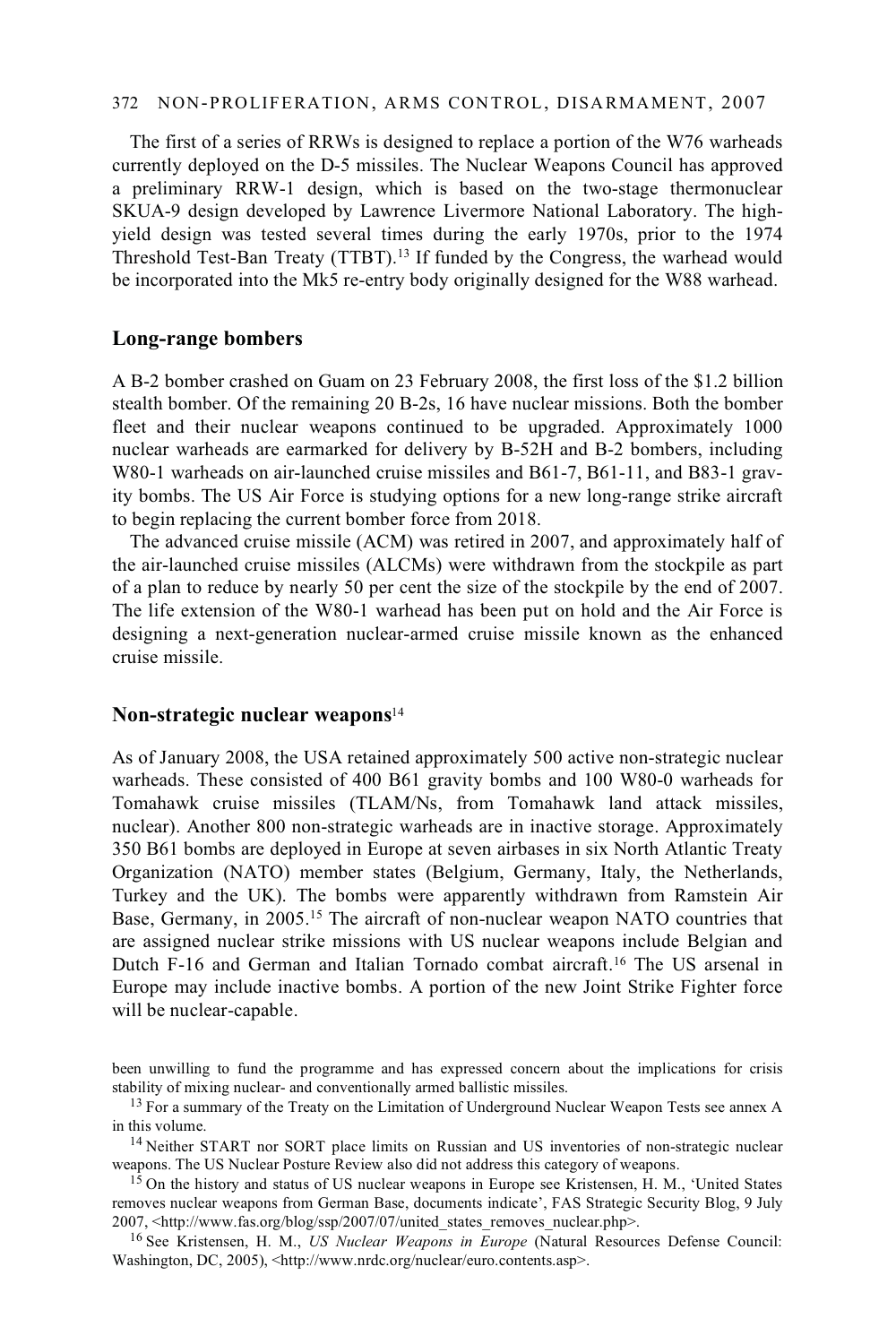### 372 NON-PROLIFERATION, ARMS CONTROL, DISARMAMENT, 2007

The first of a series of RRWs is designed to replace a portion of the W76 warheads currently deployed on the D-5 missiles. The Nuclear Weapons Council has approved a preliminary RRW-1 design, which is based on the two-stage thermonuclear SKUA-9 design developed by Lawrence Livermore National Laboratory. The highyield design was tested several times during the early 1970s, prior to the 1974 Threshold Test-Ban Treaty (TTBT).13 If funded by the Congress, the warhead would be incorporated into the Mk5 re-entry body originally designed for the W88 warhead.

### **Long-range bombers**

A B-2 bomber crashed on Guam on 23 February 2008, the first loss of the \$1.2 billion stealth bomber. Of the remaining 20 B-2s, 16 have nuclear missions. Both the bomber fleet and their nuclear weapons continued to be upgraded. Approximately 1000 nuclear warheads are earmarked for delivery by B-52H and B-2 bombers, including W80-1 warheads on air-launched cruise missiles and B61-7, B61-11, and B83-1 gravity bombs. The US Air Force is studying options for a new long-range strike aircraft to begin replacing the current bomber force from 2018.

The advanced cruise missile (ACM) was retired in 2007, and approximately half of the air-launched cruise missiles (ALCMs) were withdrawn from the stockpile as part of a plan to reduce by nearly 50 per cent the size of the stockpile by the end of 2007. The life extension of the W80-1 warhead has been put on hold and the Air Force is designing a next-generation nuclear-armed cruise missile known as the enhanced cruise missile.

#### **Non-strategic nuclear weapons**<sup>14</sup>

As of January 2008, the USA retained approximately 500 active non-strategic nuclear warheads. These consisted of 400 B61 gravity bombs and 100 W80-0 warheads for Tomahawk cruise missiles (TLAM/Ns, from Tomahawk land attack missiles, nuclear). Another 800 non-strategic warheads are in inactive storage. Approximately 350 B61 bombs are deployed in Europe at seven airbases in six North Atlantic Treaty Organization (NATO) member states (Belgium, Germany, Italy, the Netherlands, Turkey and the UK). The bombs were apparently withdrawn from Ramstein Air Base, Germany, in 2005.15 The aircraft of non-nuclear weapon NATO countries that are assigned nuclear strike missions with US nuclear weapons include Belgian and Dutch F-16 and German and Italian Tornado combat aircraft.16 The US arsenal in Europe may include inactive bombs. A portion of the new Joint Strike Fighter force will be nuclear-capable.

been unwilling to fund the programme and has expressed concern about the implications for crisis

stability of mixing nuclear- and conventionally armed ballistic missiles.<br><sup>13</sup> For a summary of the Treaty on the Limitation of Underground Nuclear Weapon Tests see annex A in this volume.

<sup>&</sup>lt;sup>14</sup> Neither START nor SORT place limits on Russian and US inventories of non-strategic nuclear weapons. The US Nuclear Posture Review also did not address this category of weapons.<br><sup>15</sup> On the history and status of US nuclear weapons in Europe see Kristensen, H. M., 'United States

removes nuclear weapons from German Base, documents indicate', FAS Strategic Security Blog, 9 July 2007, <http://www.fas.org/blog/ssp/2007/07/united\_states\_removes\_nuclear.php>. 16 See Kristensen, H. M., *US Nuclear Weapons in Europe* (Natural Resources Defense Council:

Washington, DC, 2005), <http://www.nrdc.org/nuclear/euro.contents.asp>.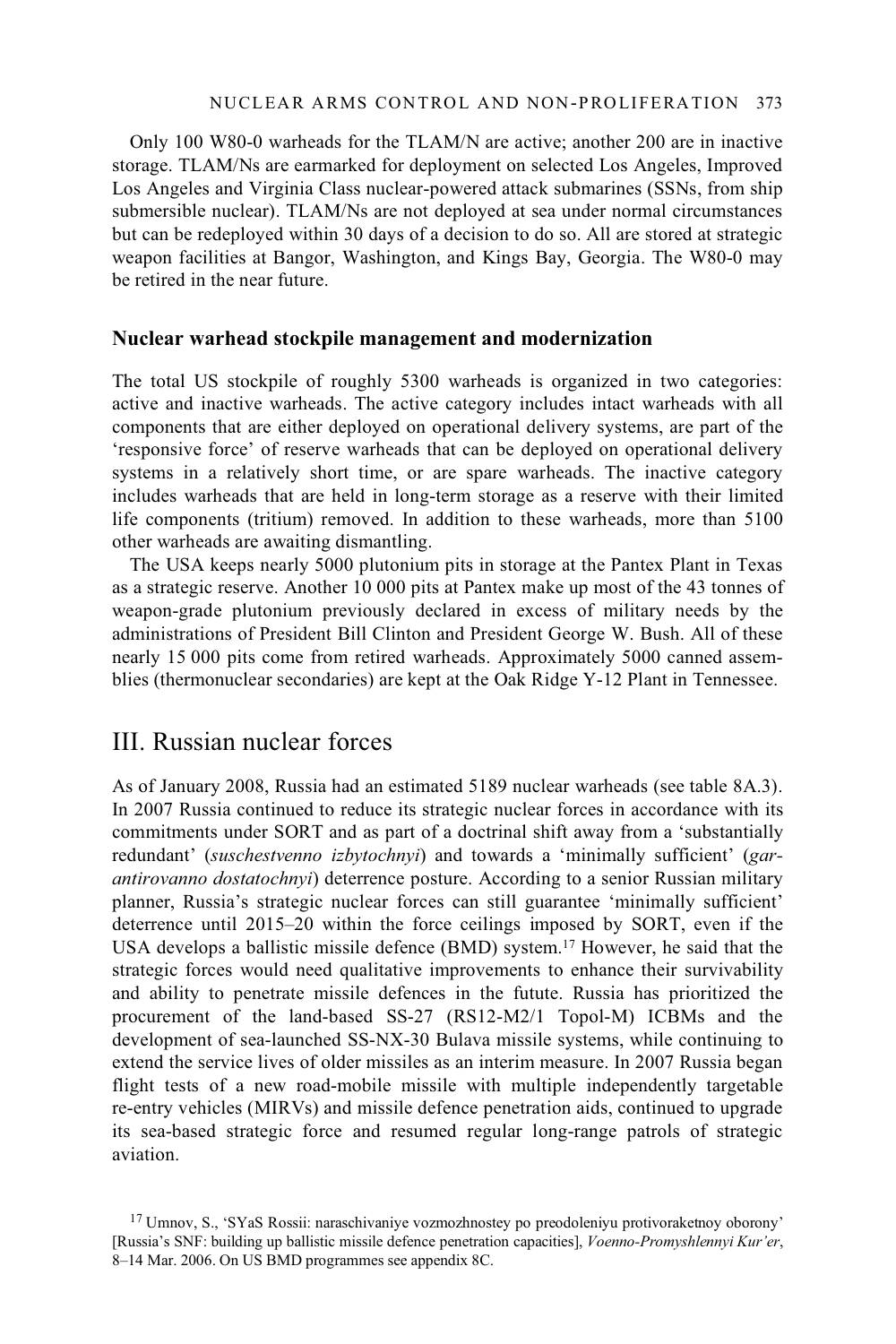Only 100 W80-0 warheads for the TLAM/N are active; another 200 are in inactive storage. TLAM/Ns are earmarked for deployment on selected Los Angeles, Improved Los Angeles and Virginia Class nuclear-powered attack submarines (SSNs, from ship submersible nuclear). TLAM/Ns are not deployed at sea under normal circumstances but can be redeployed within 30 days of a decision to do so. All are stored at strategic weapon facilities at Bangor, Washington, and Kings Bay, Georgia. The W80-0 may be retired in the near future.

#### **Nuclear warhead stockpile management and modernization**

The total US stockpile of roughly 5300 warheads is organized in two categories: active and inactive warheads. The active category includes intact warheads with all components that are either deployed on operational delivery systems, are part of the 'responsive force' of reserve warheads that can be deployed on operational delivery systems in a relatively short time, or are spare warheads. The inactive category includes warheads that are held in long-term storage as a reserve with their limited life components (tritium) removed. In addition to these warheads, more than 5100 other warheads are awaiting dismantling.

The USA keeps nearly 5000 plutonium pits in storage at the Pantex Plant in Texas as a strategic reserve. Another 10 000 pits at Pantex make up most of the 43 tonnes of weapon-grade plutonium previously declared in excess of military needs by the administrations of President Bill Clinton and President George W. Bush. All of these nearly 15 000 pits come from retired warheads. Approximately 5000 canned assemblies (thermonuclear secondaries) are kept at the Oak Ridge Y-12 Plant in Tennessee.

# III. Russian nuclear forces

As of January 2008, Russia had an estimated 5189 nuclear warheads (see table 8A.3). In 2007 Russia continued to reduce its strategic nuclear forces in accordance with its commitments under SORT and as part of a doctrinal shift away from a 'substantially redundant' (*suschestvenno izbytochnyi*) and towards a 'minimally sufficient' (*garantirovanno dostatochnyi*) deterrence posture. According to a senior Russian military planner, Russia's strategic nuclear forces can still guarantee 'minimally sufficient' deterrence until 2015–20 within the force ceilings imposed by SORT, even if the USA develops a ballistic missile defence (BMD) system.17 However, he said that the strategic forces would need qualitative improvements to enhance their survivability and ability to penetrate missile defences in the futute. Russia has prioritized the procurement of the land-based SS-27 (RS12-M2/1 Topol-M) ICBMs and the development of sea-launched SS-NX-30 Bulava missile systems, while continuing to extend the service lives of older missiles as an interim measure. In 2007 Russia began flight tests of a new road-mobile missile with multiple independently targetable re-entry vehicles (MIRVs) and missile defence penetration aids, continued to upgrade its sea-based strategic force and resumed regular long-range patrols of strategic aviation.

<sup>&</sup>lt;sup>17</sup> Umnov, S., 'SYaS Rossii: naraschivaniye vozmozhnostey po preodoleniyu protivoraketnoy oborony' [Russia's SNF: building up ballistic missile defence penetration capacities], *Voenno-Promyshlennyi Kur'er*, 8–14 Mar. 2006. On US BMD programmes see appendix 8C.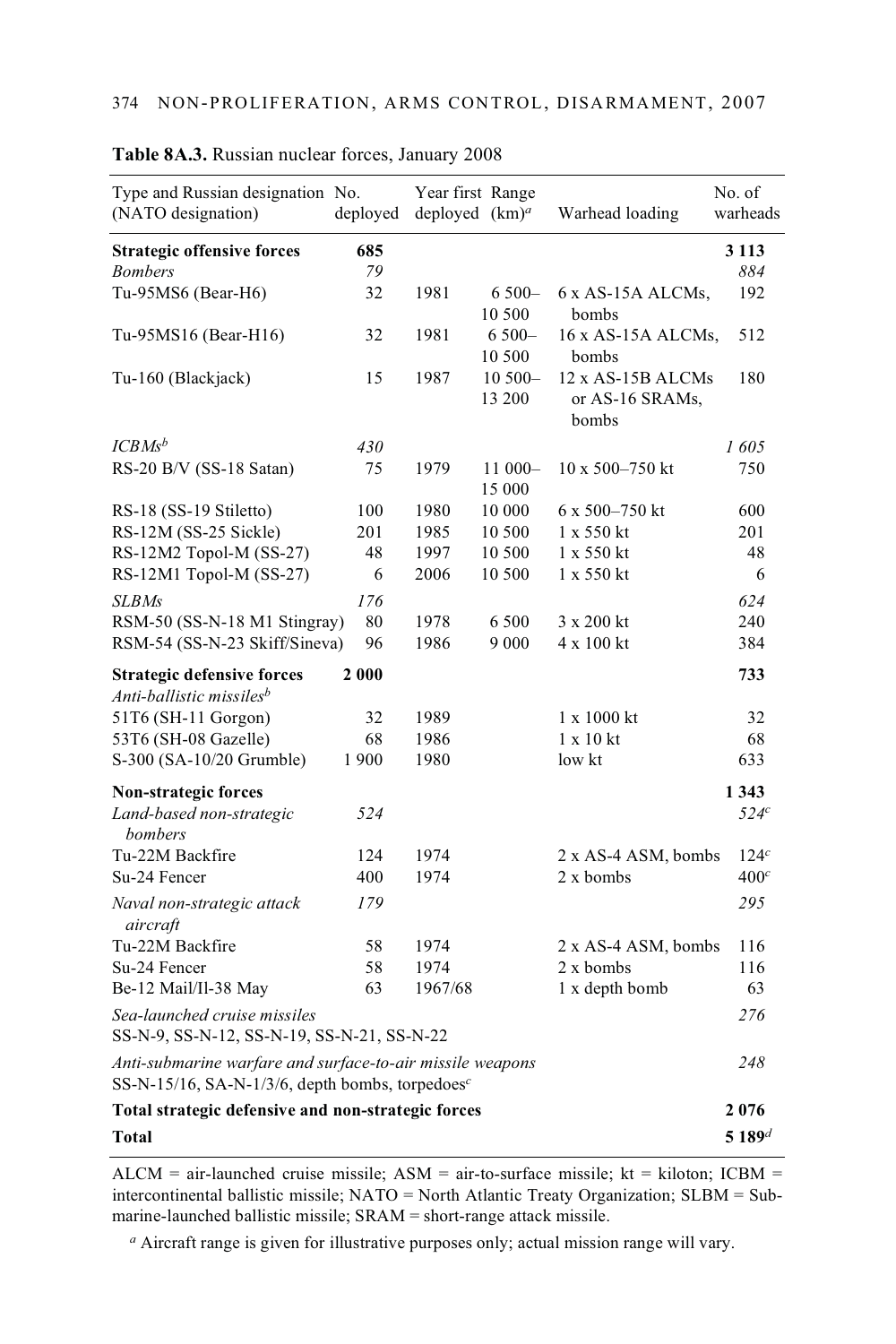| Type and Russian designation No.                                                                                         |            | Year first Range  |                    |                          | No. of           |  |
|--------------------------------------------------------------------------------------------------------------------------|------------|-------------------|--------------------|--------------------------|------------------|--|
| (NATO designation)                                                                                                       | deployed   | deployed $(km)^a$ |                    | Warhead loading          | warheads         |  |
| <b>Strategic offensive forces</b>                                                                                        | 685        |                   |                    |                          | 3 1 1 3          |  |
| <b>Bombers</b>                                                                                                           | 79         |                   |                    |                          | 884              |  |
| Tu-95MS6 (Bear-H6)                                                                                                       | 32         | 1981              | $6500 -$           | 6 x AS-15A ALCMs,        | 192              |  |
|                                                                                                                          |            |                   | 10 500             | bombs                    |                  |  |
| Tu-95MS16 (Bear-H16)                                                                                                     | 32         | 1981              | $6500 -$           | 16 x AS-15A ALCMs,       | 512              |  |
|                                                                                                                          |            |                   | 10 500             | bombs                    |                  |  |
| Tu-160 (Blackjack)                                                                                                       | 15         | 1987              | $10500 -$          | 12 x AS-15B ALCMs        | 180              |  |
|                                                                                                                          |            |                   | 13 200             | or AS-16 SRAMs,<br>bombs |                  |  |
| $ICBMs^b$                                                                                                                | 430        |                   |                    |                          | 1605             |  |
| RS-20 B/V (SS-18 Satan)                                                                                                  | 75         | 1979              | $11000-$<br>15 000 | $10 \times 500 - 750$ kt | 750              |  |
| RS-18 (SS-19 Stiletto)                                                                                                   | 100        | 1980              | 10 000             | 6 x 500–750 kt           | 600              |  |
| RS-12M (SS-25 Sickle)                                                                                                    | 201        | 1985              | 10 500             | $1 \times 550$ kt        | 201              |  |
| RS-12M2 Topol-M (SS-27)                                                                                                  | 48         | 1997              | 10 500             | $1 \times 550$ kt        | 48               |  |
| RS-12M1 Topol-M (SS-27)                                                                                                  | 6          | 2006              | 10 500             | 1 x 550 kt               | 6                |  |
| <b>SLBMs</b>                                                                                                             | 176        |                   |                    |                          | 624              |  |
| RSM-50 (SS-N-18 M1 Stingray)                                                                                             | 80         | 1978              | 6 500              | 3 x 200 kt               | 240              |  |
| RSM-54 (SS-N-23 Skiff/Sineva)                                                                                            | 96         | 1986              | 9 0 0 0            | $4 \times 100$ kt        | 384              |  |
| <b>Strategic defensive forces</b><br>Anti-ballistic missiles <sup>b</sup>                                                | 2000       |                   |                    |                          | 733              |  |
| 51T6 (SH-11 Gorgon)                                                                                                      | 32         | 1989              |                    | $1 \times 1000$ kt       | 32               |  |
| 53T6 (SH-08 Gazelle)                                                                                                     | 68         | 1986              |                    | $1 \times 10$ kt         | 68               |  |
| S-300 (SA-10/20 Grumble)                                                                                                 | 1900       | 1980              |                    | low kt                   | 633              |  |
|                                                                                                                          |            |                   |                    |                          |                  |  |
| Non-strategic forces                                                                                                     |            |                   |                    |                          | 1 3 4 3          |  |
| Land-based non-strategic<br>bombers                                                                                      | 524        |                   |                    |                          | 524c             |  |
| Tu-22M Backfire                                                                                                          | 124        | 1974              |                    | 2 x AS-4 ASM, bombs      | 124c             |  |
| Su-24 Fencer                                                                                                             | 400        | 1974              |                    | 2 x bombs                | 400 <sup>c</sup> |  |
| Naval non-strategic attack<br>aircraft                                                                                   | 179        |                   |                    |                          | 295              |  |
| Tu-22M Backfire                                                                                                          | 58         | 1974              |                    | 2 x AS-4 ASM, bombs      | 116              |  |
| Su-24 Fencer                                                                                                             | 58         | 1974              |                    | 2 x bombs                | 116              |  |
| Be-12 Mail/Il-38 May                                                                                                     | 63         | 1967/68           |                    | 1 x depth bomb           | 63               |  |
| Sea-launched cruise missiles<br>SS-N-9, SS-N-12, SS-N-19, SS-N-21, SS-N-22                                               |            |                   |                    |                          | 276              |  |
| Anti-submarine warfare and surface-to-air missile weapons<br>SS-N-15/16, SA-N-1/3/6, depth bombs, torpedoes <sup>c</sup> |            |                   |                    |                          | 248              |  |
| Total strategic defensive and non-strategic forces                                                                       |            |                   |                    |                          | 2076             |  |
| <b>Total</b>                                                                                                             | $5\,189^d$ |                   |                    |                          |                  |  |

### **Table 8A.3.** Russian nuclear forces, January 2008

 $ALCM = air-la$ unched cruise missile;  $ASM = air-to-surface$  missile;  $kt = kiloton$ ; ICBM = intercontinental ballistic missile; NATO = North Atlantic Treaty Organization; SLBM = Submarine-launched ballistic missile; SRAM = short-range attack missile.

*a* Aircraft range is given for illustrative purposes only; actual mission range will vary.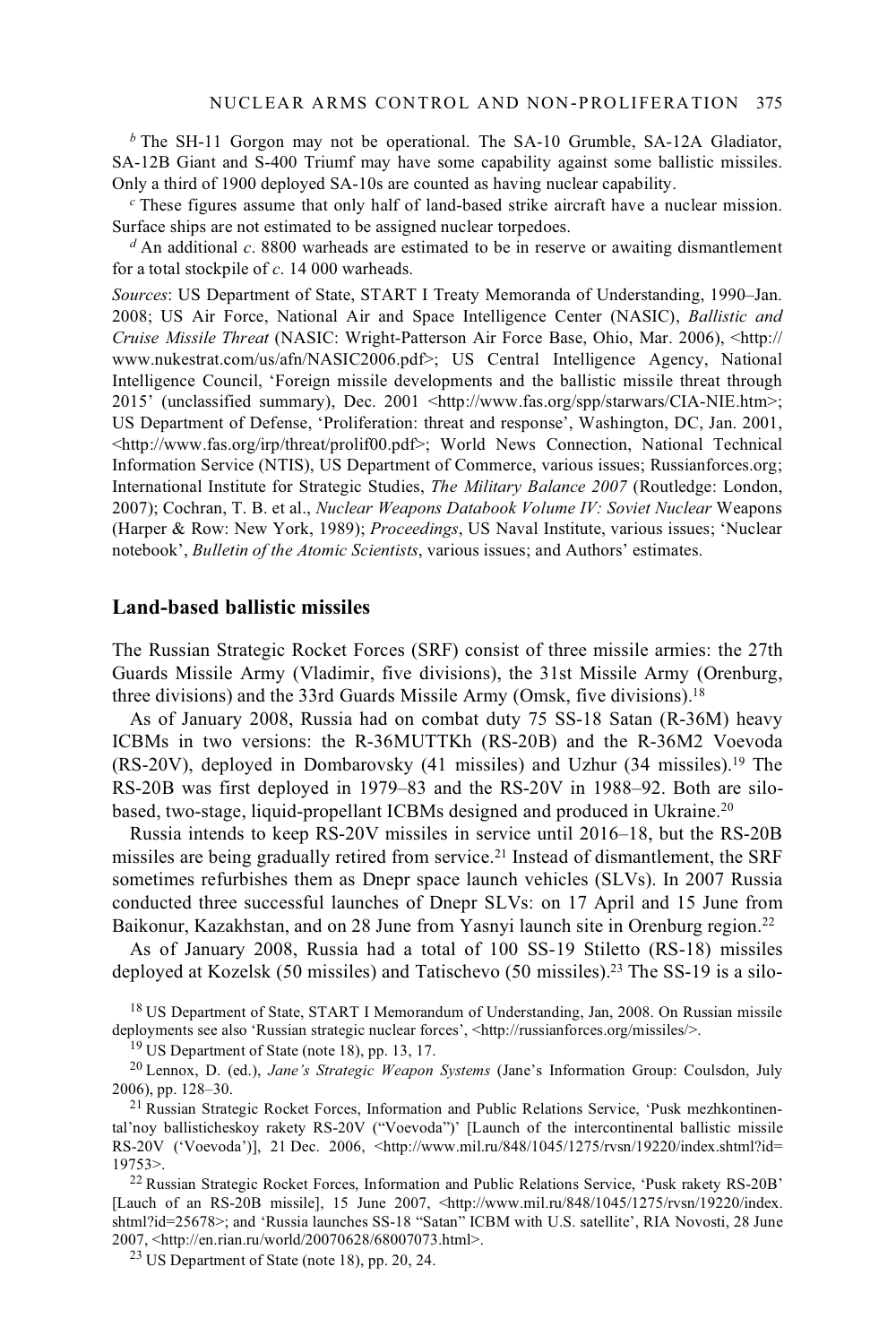*b* The SH-11 Gorgon may not be operational. The SA-10 Grumble, SA-12A Gladiator, SA-12B Giant and S-400 Triumf may have some capability against some ballistic missiles. Only a third of 1900 deployed SA-10s are counted as having nuclear capability.

*<sup>c</sup>* These figures assume that only half of land-based strike aircraft have a nuclear mission. Surface ships are not estimated to be assigned nuclear torpedoes.

*<sup>d</sup>* An additional *c*. 8800 warheads are estimated to be in reserve or awaiting dismantlement for a total stockpile of *c*. 14 000 warheads.

*Sources*: US Department of State, START I Treaty Memoranda of Understanding, 1990–Jan. 2008; US Air Force, National Air and Space Intelligence Center (NASIC), *Ballistic and Cruise Missile Threat* (NASIC: Wright-Patterson Air Force Base, Ohio, Mar. 2006), <http:// www.nukestrat.com/us/afn/NASIC2006.pdf>; US Central Intelligence Agency, National Intelligence Council, 'Foreign missile developments and the ballistic missile threat through 2015' (unclassified summary), Dec. 2001 <http://www.fas.org/spp/starwars/CIA-NIE.htm>; US Department of Defense, 'Proliferation: threat and response', Washington, DC, Jan. 2001, <http://www.fas.org/irp/threat/prolif00.pdf>; World News Connection, National Technical Information Service (NTIS), US Department of Commerce, various issues; Russianforces.org; International Institute for Strategic Studies, *The Military Balance 2007* (Routledge: London, 2007); Cochran, T. B. et al., *Nuclear Weapons Databook Volume IV: Soviet Nuclear* Weapons (Harper & Row: New York, 1989); *Proceedings*, US Naval Institute, various issues; 'Nuclear notebook', *Bulletin of the Atomic Scientists*, various issues; and Authors' estimates.

### **Land-based ballistic missiles**

The Russian Strategic Rocket Forces (SRF) consist of three missile armies: the 27th Guards Missile Army (Vladimir, five divisions), the 31st Missile Army (Orenburg, three divisions) and the 33rd Guards Missile Army (Omsk, five divisions).<sup>18</sup>

As of January 2008, Russia had on combat duty 75 SS-18 Satan (R-36M) heavy ICBMs in two versions: the R-36MUTTKh (RS-20B) and the R-36M2 Voevoda (RS-20V), deployed in Dombarovsky (41 missiles) and Uzhur (34 missiles).19 The RS-20B was first deployed in 1979–83 and the RS-20V in 1988–92. Both are silobased, two-stage, liquid-propellant ICBMs designed and produced in Ukraine.20

Russia intends to keep RS-20V missiles in service until 2016–18, but the RS-20B missiles are being gradually retired from service.21 Instead of dismantlement, the SRF sometimes refurbishes them as Dnepr space launch vehicles (SLVs). In 2007 Russia conducted three successful launches of Dnepr SLVs: on 17 April and 15 June from Baikonur, Kazakhstan, and on 28 June from Yasnyi launch site in Orenburg region.22

As of January 2008, Russia had a total of 100 SS-19 Stiletto (RS-18) missiles deployed at Kozelsk (50 missiles) and Tatischevo (50 missiles).23 The SS-19 is a silo-

<sup>18</sup> US Department of State, START I Memorandum of Understanding, Jan, 2008. On Russian missile deployments see also 'Russian strategic nuclear forces', <http://russianforces.org/missiles/>. <sup>19</sup> US Department of State (note 18), pp. 13, 17.

20 Lennox, D. (ed.), *Jane's Strategic Weapon Systems* (Jane's Information Group: Coulsdon, July 2006), pp. 128–30.<br><sup>21</sup> Russian Strategic Rocket Forces, Information and Public Relations Service, 'Pusk mezhkontinen-

tal'noy ballisticheskoy rakety RS-20V ("Voevoda")' [Launch of the intercontinental ballistic missile RS-20V ('Voevoda')], 21 Dec. 2006, <http://www.mil.ru/848/1045/1275/rvsn/19220/index.shtml?id= 19753>.<br><sup>22</sup> Russian Strategic Rocket Forces, Information and Public Relations Service, 'Pusk rakety RS-20B'

[Lauch of an RS-20B missile], 15 June 2007, <http://www.mil.ru/848/1045/1275/rvsn/19220/index. shtml?id=25678>; and 'Russia launches SS-18 "Satan" ICBM with U.S. satellite', RIA Novosti, 28 June 2007, <http://en.rian.ru/world/20070628/68007073.html>. 23 US Department of State (note 18), pp. 20, 24.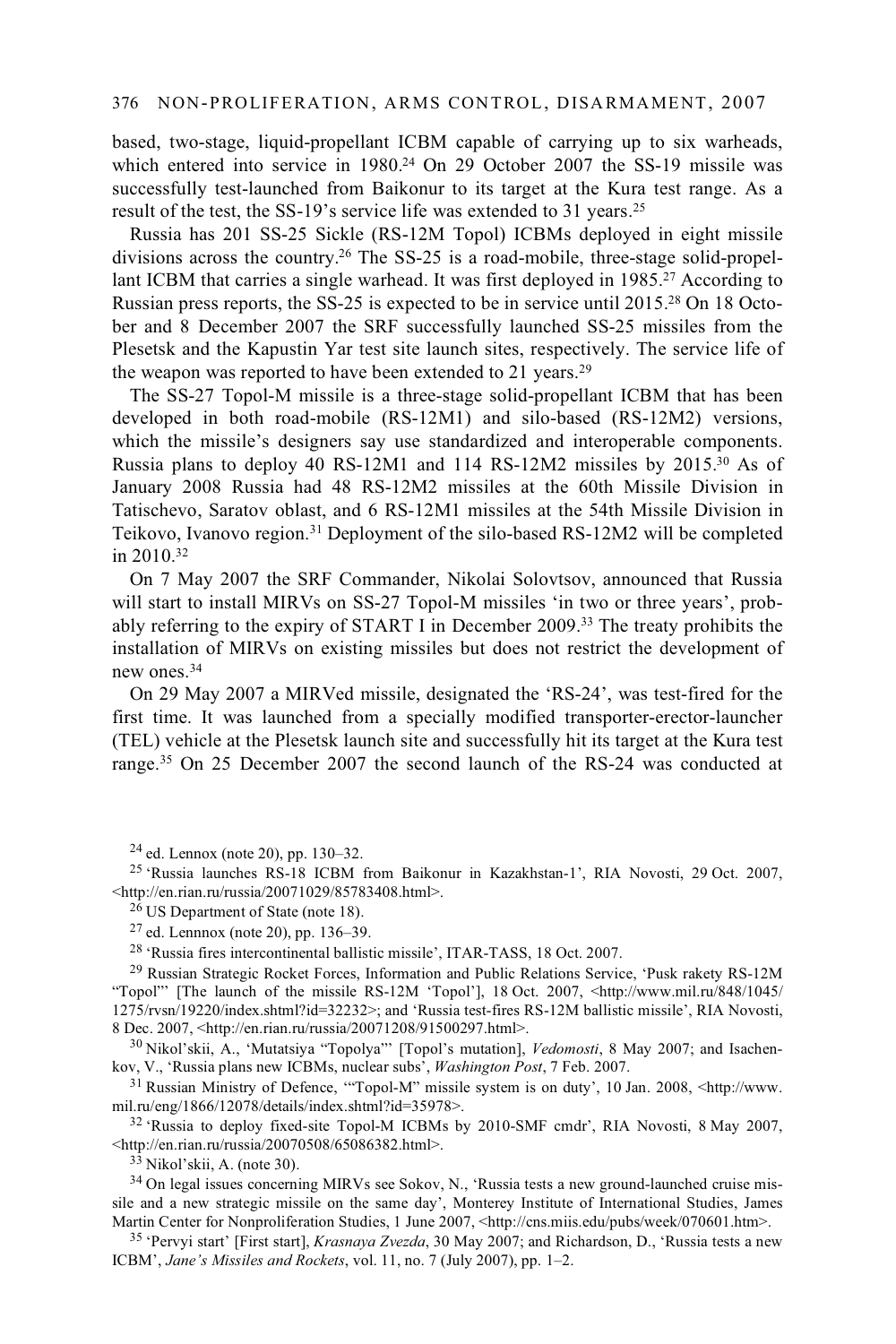based, two-stage, liquid-propellant ICBM capable of carrying up to six warheads, which entered into service in 1980.<sup>24</sup> On 29 October 2007 the SS-19 missile was successfully test-launched from Baikonur to its target at the Kura test range. As a result of the test, the SS-19's service life was extended to 31 years.25

Russia has 201 SS-25 Sickle (RS-12M Topol) ICBMs deployed in eight missile divisions across the country.26 The SS-25 is a road-mobile, three-stage solid-propellant ICBM that carries a single warhead. It was first deployed in 1985.<sup>27</sup> According to Russian press reports, the SS-25 is expected to be in service until 2015.28 On 18 October and 8 December 2007 the SRF successfully launched SS-25 missiles from the Plesetsk and the Kapustin Yar test site launch sites, respectively. The service life of the weapon was reported to have been extended to 21 years.29

The SS-27 Topol-M missile is a three-stage solid-propellant ICBM that has been developed in both road-mobile (RS-12M1) and silo-based (RS-12M2) versions, which the missile's designers say use standardized and interoperable components. Russia plans to deploy 40 RS-12M1 and 114 RS-12M2 missiles by 2015.30 As of January 2008 Russia had 48 RS-12M2 missiles at the 60th Missile Division in Tatischevo, Saratov oblast, and 6 RS-12M1 missiles at the 54th Missile Division in Teikovo, Ivanovo region.31 Deployment of the silo-based RS-12M2 will be completed in 2010.32

On 7 May 2007 the SRF Commander, Nikolai Solovtsov, announced that Russia will start to install MIRVs on SS-27 Topol-M missiles 'in two or three years', probably referring to the expiry of START I in December 2009.33 The treaty prohibits the installation of MIRVs on existing missiles but does not restrict the development of new ones.34

On 29 May 2007 a MIRVed missile, designated the 'RS-24', was test-fired for the first time. It was launched from a specially modified transporter-erector-launcher (TEL) vehicle at the Plesetsk launch site and successfully hit its target at the Kura test range.35 On 25 December 2007 the second launch of the RS-24 was conducted at

24 ed. Lennox (note 20), pp. 130–32.

25 'Russia launches RS-18 ICBM from Baikonur in Kazakhstan-1', RIA Novosti, 29 Oct. 2007,  $\langle$ http://en.rian.ru/russia/20071029/85783408.html>. <sup>26</sup> US Department of State (note 18).

28 'Russia fires intercontinental ballistic missile', ITAR-TASS, 18 Oct. 2007.

29 Russian Strategic Rocket Forces, Information and Public Relations Service, 'Pusk rakety RS-12M "Topol"' [The launch of the missile RS-12M 'Topol'], 18 Oct. 2007, <http://www.mil.ru/848/1045/ 1275/rvsn/19220/index.shtml?id=32232>; and 'Russia test-fires RS-12M ballistic missile', RIA Novosti,

8 Dec. 2007, <http://en.rian.ru/russia/20071208/91500297.html>.<br><sup>30</sup> Nikol'skii, A., 'Mutatsiya "Topolya"' [Topol's mutation], *Vedomosti*, 8 May 2007; and Isachen-<br>kov, V., 'Russia plans new ICBMs, nuclear subs', *Washing* 

<sup>31</sup> Russian Ministry of Defence, "Topol-M" missile system is on duty', 10 Jan. 2008, <http://www. mil.ru/eng/1866/12078/details/index.shtml?id=35978>.<br><sup>32</sup> 'Russia to deploy fixed-site Topol-M ICBMs by 2010-SMF cmdr', RIA Novosti, 8 May 2007,

 $\frac{\text{th}}{33}$  Nikol'skii, A. (note 30).  $\frac{33 \text{ Nikol}}{36}$  Nikol'skii, A. (note 30).

<sup>34</sup> On legal issues concerning MIRVs see Sokov, N., 'Russia tests a new ground-launched cruise missile and a new strategic missile on the same day', Monterey Institute of International Studies, James Martin Center for Nonproliferation Studies, 1 June 2007, <http://cns.miis.edu/pubs/week/070601.htm>. <sup>35</sup> 'Pervyi start' [First start], *Krasnaya Zvezda*, 30 May 2007; and Richardson, D., 'Russia tests a new

ICBM', *Jane's Missiles and Rockets*, vol. 11, no. 7 (July 2007), pp. 1–2.

<sup>27</sup> ed. Lennnox (note 20), pp. 136–39.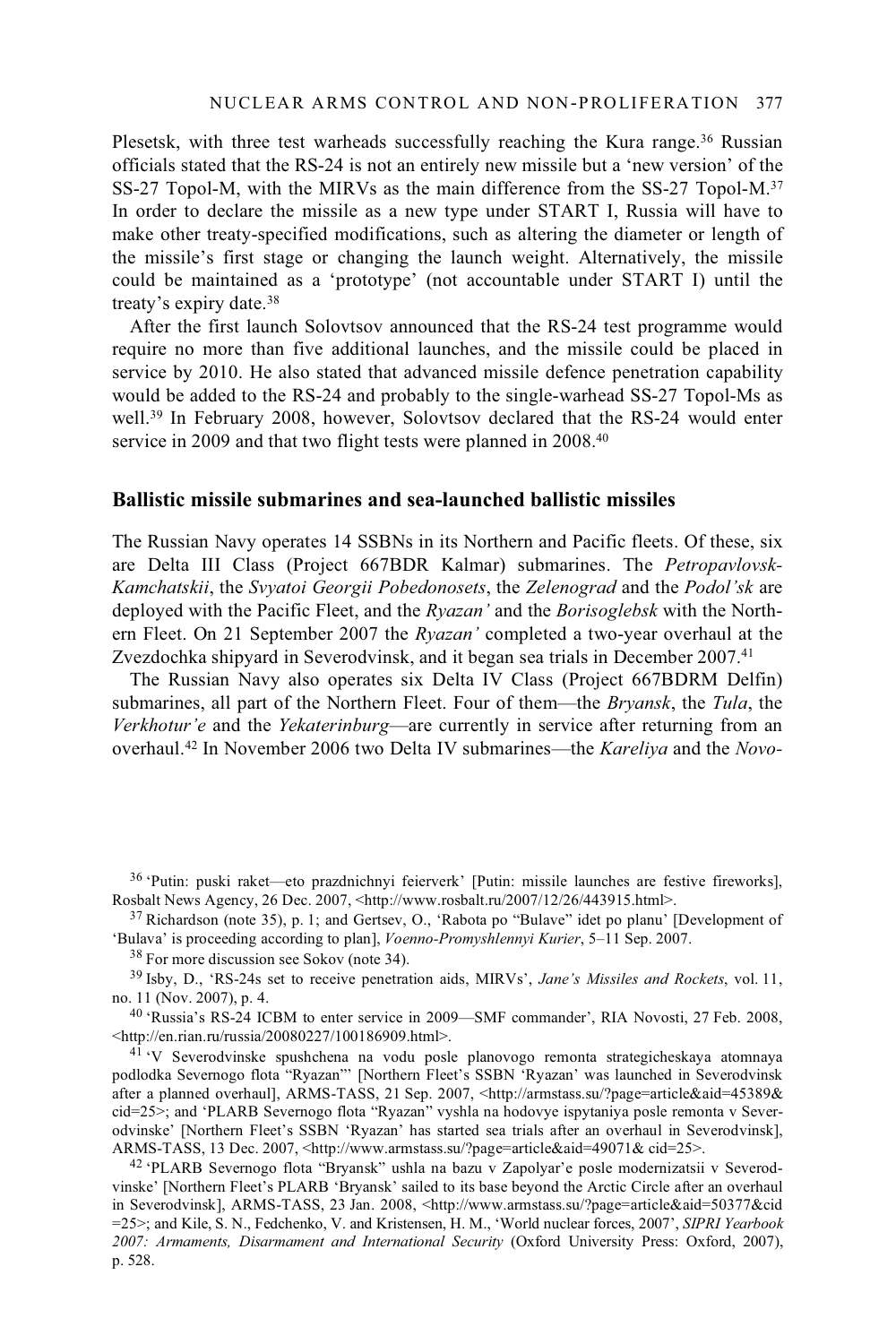Plesetsk, with three test warheads successfully reaching the Kura range.<sup>36</sup> Russian officials stated that the RS-24 is not an entirely new missile but a 'new version' of the SS-27 Topol-M, with the MIRVs as the main difference from the SS-27 Topol-M.37 In order to declare the missile as a new type under START I, Russia will have to make other treaty-specified modifications, such as altering the diameter or length of the missile's first stage or changing the launch weight. Alternatively, the missile could be maintained as a 'prototype' (not accountable under START I) until the treaty's expiry date.38

After the first launch Solovtsov announced that the RS-24 test programme would require no more than five additional launches, and the missile could be placed in service by 2010. He also stated that advanced missile defence penetration capability would be added to the RS-24 and probably to the single-warhead SS-27 Topol-Ms as well.<sup>39</sup> In February 2008, however, Solovtsov declared that the RS-24 would enter service in 2009 and that two flight tests were planned in 2008.<sup>40</sup>

### **Ballistic missile submarines and sea-launched ballistic missiles**

The Russian Navy operates 14 SSBNs in its Northern and Pacific fleets. Of these, six are Delta III Class (Project 667BDR Kalmar) submarines. The *Petropavlovsk-Kamchatskii*, the *Svyatoi Georgii Pobedonosets*, the *Zelenograd* and the *Podol'sk* are deployed with the Pacific Fleet, and the *Ryazan'* and the *Borisoglebsk* with the Northern Fleet. On 21 September 2007 the *Ryazan'* completed a two-year overhaul at the Zvezdochka shipyard in Severodvinsk, and it began sea trials in December 2007.<sup>41</sup>

The Russian Navy also operates six Delta IV Class (Project 667BDRM Delfin) submarines, all part of the Northern Fleet. Four of them—the *Bryansk*, the *Tula*, the *Verkhotur'e* and the *Yekaterinburg*—are currently in service after returning from an overhaul.42 In November 2006 two Delta IV submarines—the *Kareliya* and the *Novo-*

36 'Putin: puski raket—eto prazdnichnyi feierverk' [Putin: missile launches are festive fireworks], Rosbalt News Agency, 26 Dec. 2007, <http://www.rosbalt.ru/2007/12/26/443915.html>.<br><sup>37</sup> Richardson (note 35), p. 1; and Gertsev, O., 'Rabota po "Bulave" idet po planu' [Development of

'Bulava' is proceeding according to plan], *Voenno-Promyshlennyi Kurier*, 5–11 Sep. 2007. 38 For more discussion see Sokov (note 34).

39 Isby, D., 'RS-24s set to receive penetration aids, MIRVs', *Jane's Missiles and Rockets*, vol. 11,

<sup>40</sup> 'Russia's RS-24 ICBM to enter service in 2009—SMF commander', RIA Novosti, 27 Feb. 2008,  $\langle$ http://en.rian.ru/russia/20080227/100186909.html>.

 $41$  'V Severodvinske spushchena na vodu posle planovogo remonta strategicheskaya atomnaya podlodka Severnogo flota "Ryazan"' [Northern Fleet's SSBN 'Ryazan' was launched in Severodvinsk after a planned overhaul], ARMS-TASS, 21 Sep. 2007, <http://armstass.su/?page=article&aid=45389& cid=25>; and 'PLARB Severnogo flota "Ryazan" vyshla na hodovye ispytaniya posle remonta v Severodvinske' [Northern Fleet's SSBN 'Ryazan' has started sea trials after an overhaul in Severodvinsk], ARMS-TASS, 13 Dec. 2007, <http://www.armstass.su/?page=article&aid=49071&cid=25>.

<sup>42</sup> 'PLARB Severnogo flota "Bryansk" ushla na bazu v Zapolyar'e posle modernizatsii v Severodvinske' [Northern Fleet's PLARB 'Bryansk' sailed to its base beyond the Arctic Circle after an overhaul in Severodvinsk], ARMS-TASS, 23 Jan. 2008, <http://www.armstass.su/?page=article&aid=50377&cid =25>; and Kile, S. N., Fedchenko, V. and Kristensen, H. M., 'World nuclear forces, 2007', *SIPRI Yearbook 2007: Armaments, Disarmament and International Security* (Oxford University Press: Oxford, 2007), p. 528.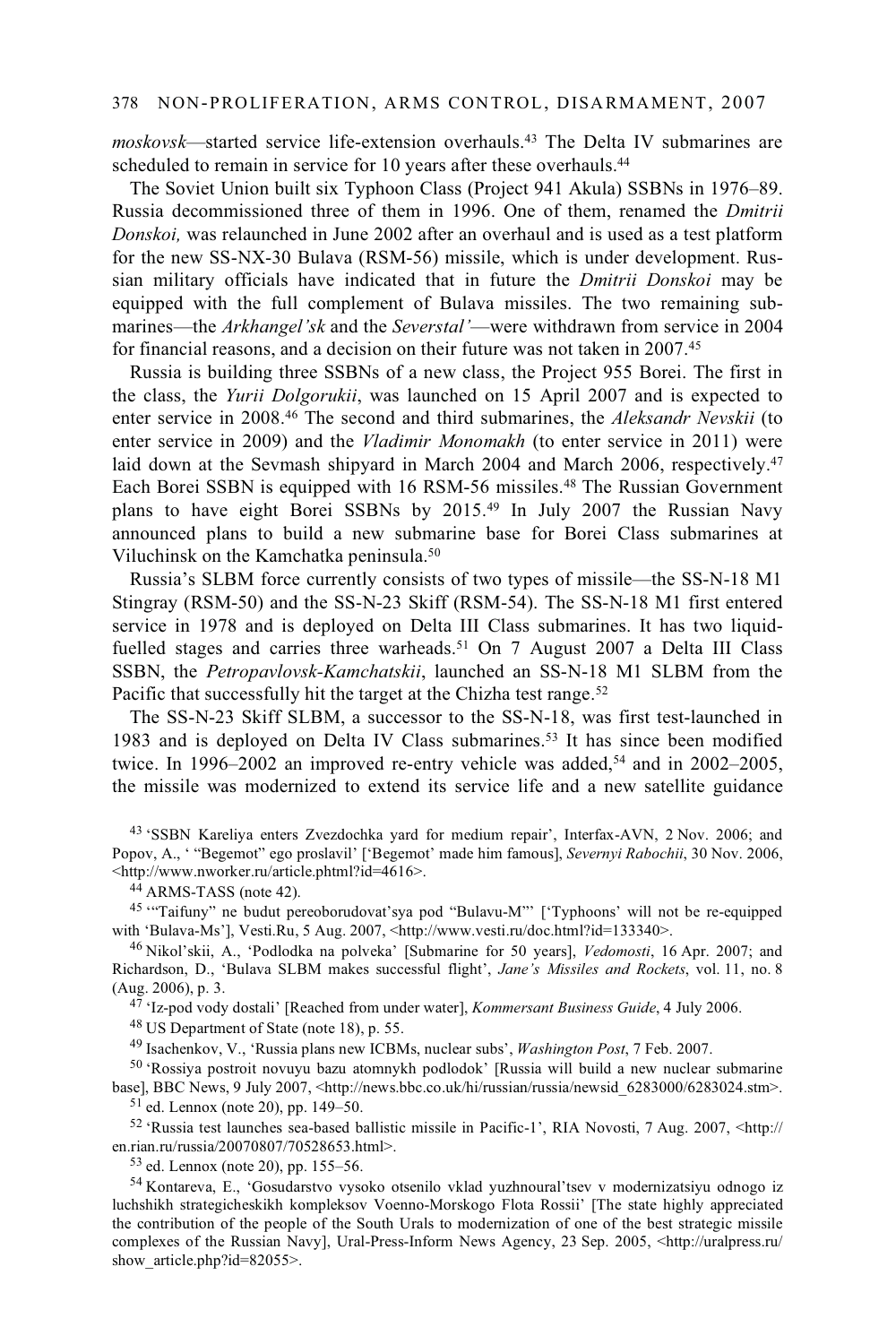#### 378 NON-PROLIFERATION, ARMS CONTROL, DISARMAMENT, 2007

*moskovsk*—started service life-extension overhauls.43 The Delta IV submarines are scheduled to remain in service for 10 years after these overhauls.<sup>44</sup>

The Soviet Union built six Typhoon Class (Project 941 Akula) SSBNs in 1976–89. Russia decommissioned three of them in 1996. One of them, renamed the *Dmitrii Donskoi,* was relaunched in June 2002 after an overhaul and is used as a test platform for the new SS-NX-30 Bulava (RSM-56) missile, which is under development. Russian military officials have indicated that in future the *Dmitrii Donskoi* may be equipped with the full complement of Bulava missiles. The two remaining submarines—the *Arkhangel'sk* and the *Severstal'*—were withdrawn from service in 2004 for financial reasons, and a decision on their future was not taken in 2007.45

Russia is building three SSBNs of a new class, the Project 955 Borei. The first in the class, the *Yurii Dolgorukii*, was launched on 15 April 2007 and is expected to enter service in 2008.46 The second and third submarines, the *Aleksandr Nevskii* (to enter service in 2009) and the *Vladimir Monomakh* (to enter service in 2011) were laid down at the Sevmash shipyard in March 2004 and March 2006, respectively.<sup>47</sup> Each Borei SSBN is equipped with 16 RSM-56 missiles.<sup>48</sup> The Russian Government plans to have eight Borei SSBNs by 2015.49 In July 2007 the Russian Navy announced plans to build a new submarine base for Borei Class submarines at Viluchinsk on the Kamchatka peninsula.50

Russia's SLBM force currently consists of two types of missile—the SS-N-18 M1 Stingray (RSM-50) and the SS-N-23 Skiff (RSM-54). The SS-N-18 M1 first entered service in 1978 and is deployed on Delta III Class submarines. It has two liquidfuelled stages and carries three warheads.<sup>51</sup> On 7 August 2007 a Delta III Class SSBN, the *Petropavlovsk-Kamchatskii*, launched an SS-N-18 M1 SLBM from the Pacific that successfully hit the target at the Chizha test range.<sup>52</sup>

The SS-N-23 Skiff SLBM, a successor to the SS-N-18, was first test-launched in 1983 and is deployed on Delta IV Class submarines.53 It has since been modified twice. In 1996–2002 an improved re-entry vehicle was added,<sup>54</sup> and in 2002–2005, the missile was modernized to extend its service life and a new satellite guidance

43 'SSBN Kareliya enters Zvezdochka yard for medium repair', Interfax-AVN, 2 Nov. 2006; and Popov, A., ' "Begemot" ego proslavil' ['Begemot' made him famous], *Severnyi Rabochii*, 30 Nov. 2006, <http://www.nworker.ru/article.phtml?id=4616>. 44 ARMS-TASS (note 42).

<sup>45 "</sup>Taifuny" ne budut pereoborudovat'sya pod "Bulavu-M"" ['Typhoons' will not be re-equipped with 'Bulava-Ms'], Vesti.Ru, 5 Aug. 2007, <http://www.vesti.ru/doc.html?id=133340>.

<sup>46</sup> Nikol'skii, A., 'Podlodka na polveka' [Submarine for 50 years], *Vedomosti*, 16 Apr. 2007; and Richardson, D., 'Bulava SLBM makes successful flight', *Jane's Missiles and Rockets*, vol. 11, no. 8 (Aug. 2006), p. 3. 47 'Iz-pod vody dostali' [Reached from under water], *Kommersant Business Guide*, 4 July 2006. 48 US Department of State (note 18), p. 55.

49 Isachenkov, V., 'Russia plans new ICBMs, nuclear subs', *Washington Post*, 7 Feb. 2007.<br><sup>50</sup> 'Rossiya postroit novuyu bazu atomnykh podlodok' [Russia will build a new nuclear submarine base], BBC News, 9 July 2007, <http://news.bbc.co.uk/hi/russian/russia/newsid\_6283000/6283024.stm>. 5<sup>1</sup> ed. Lennox (note 20), pp. 149–50.

52 'Russia test launches sea-based ballistic missile in Pacific-1', RIA Novosti, 7 Aug. 2007, <http:// en.rian.ru/russia/20070807/70528653.html>. 53 ed. Lennox (note 20), pp. 155–56.

54 Kontareva, E., 'Gosudarstvo vysoko otsenilo vklad yuzhnoural'tsev v modernizatsiyu odnogo iz luchshikh strategicheskikh kompleksov Voenno-Morskogo Flota Rossii' [The state highly appreciated the contribution of the people of the South Urals to modernization of one of the best strategic missile complexes of the Russian Navy], Ural-Press-Inform News Agency, 23 Sep. 2005, <http://uralpress.ru/ show article.php?id=82055>.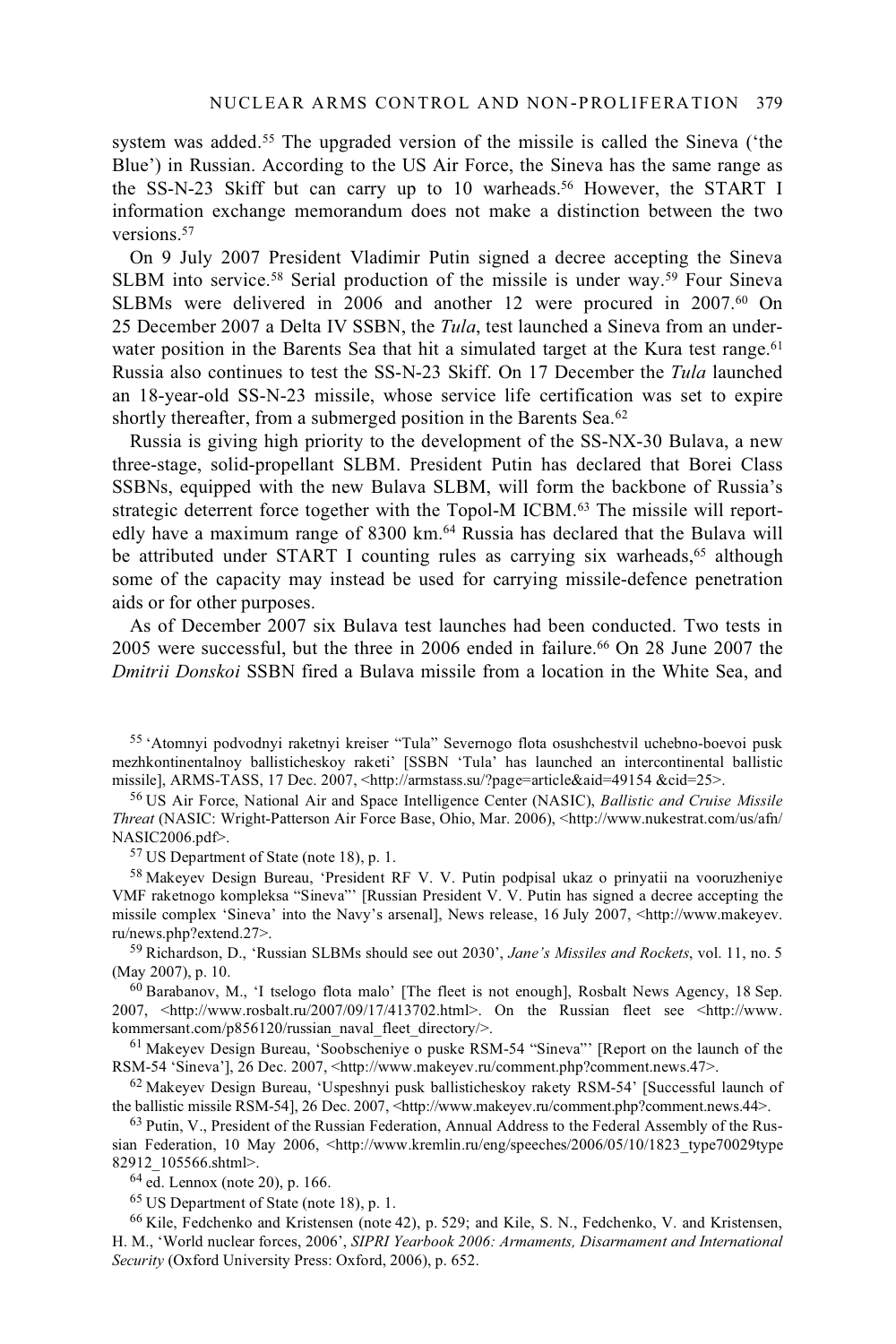system was added.<sup>55</sup> The upgraded version of the missile is called the Sineva ('the Blue') in Russian. According to the US Air Force, the Sineva has the same range as the SS-N-23 Skiff but can carry up to 10 warheads.56 However, the START I information exchange memorandum does not make a distinction between the two versions.<sup>57</sup>

On 9 July 2007 President Vladimir Putin signed a decree accepting the Sineva SLBM into service.58 Serial production of the missile is under way.59 Four Sineva SLBMs were delivered in 2006 and another 12 were procured in 2007.60 On 25 December 2007 a Delta IV SSBN, the *Tula*, test launched a Sineva from an underwater position in the Barents Sea that hit a simulated target at the Kura test range.<sup>61</sup> Russia also continues to test the SS-N-23 Skiff. On 17 December the *Tula* launched an 18-year-old SS-N-23 missile, whose service life certification was set to expire shortly thereafter, from a submerged position in the Barents Sea.<sup>62</sup>

Russia is giving high priority to the development of the SS-NX-30 Bulava, a new three-stage, solid-propellant SLBM. President Putin has declared that Borei Class SSBNs, equipped with the new Bulava SLBM, will form the backbone of Russia's strategic deterrent force together with the Topol-M ICBM.63 The missile will reportedly have a maximum range of 8300 km.64 Russia has declared that the Bulava will be attributed under START I counting rules as carrying six warheads,  $65$  although some of the capacity may instead be used for carrying missile-defence penetration aids or for other purposes.

As of December 2007 six Bulava test launches had been conducted. Two tests in 2005 were successful, but the three in 2006 ended in failure.66 On 28 June 2007 the *Dmitrii Donskoi* SSBN fired a Bulava missile from a location in the White Sea, and

55 'Atomnyi podvodnyi raketnyi kreiser "Tula" Severnogo flota osushchestvil uchebno-boevoi pusk mezhkontinentalnoy ballisticheskoy raketi' [SSBN 'Tula' has launched an intercontinental ballistic missile], ARMS-TASS, 17 Dec. 2007, <http://armstass.su/?page=article&aid=49154 &cid=25>.

<sup>56</sup> US Air Force, National Air and Space Intelligence Center (NASIC), *Ballistic and Cruise Missile Threat* (NASIC: Wright-Patterson Air Force Base, Ohio, Mar. 2006), <http://www.nukestrat.com/us/afn/ NASIC2006.pdf>.<br><sup>57</sup> US Department of State (note 18), p. 1.

58 Makeyev Design Bureau, 'President RF V. V. Putin podpisal ukaz o prinyatii na vooruzheniye VMF raketnogo kompleksa "Sineva"' [Russian President V. V. Putin has signed a decree accepting the missile complex 'Sineva' into the Navy's arsenal], News release, 16 July 2007, <http://www.makeyev. ru/news.php?extend.27>.

59 Richardson, D., 'Russian SLBMs should see out 2030', *Jane's Missiles and Rockets*, vol. 11, no. 5

 $^{60}$  Barabanov, M., 'I tselogo flota malo' [The fleet is not enough], Rosbalt News Agency, 18 Sep. 2007, <http://www.rosbalt.ru/2007/09/17/413702.html>. On the Russian fleet see <http://www.

kommersant.com/p856120/russian\_naval\_fleet\_directory/>.<br><sup>61</sup> Makeyev Design Bureau, 'Soobscheniye o puske RSM-54 "Sineva"' [Report on the launch of the<br>RSM-54 'Sineva'], 26 Dec. 2007, <http://www.makeyev.ru/comment.php?com

<sup>62</sup> Makeyev Design Bureau, 'Uspeshnyi pusk ballisticheskoy rakety RSM-54' [Successful launch of the ballistic missile RSM-54], 26 Dec. 2007, <http://www.makeyev.ru/comment.php?comment.news.44>. 63 Putin, V., President of the Russian Federation, Annual Address to the Federal Assembly of the Rus-

sian Federation, 10 May 2006, <http://www.kremlin.ru/eng/speeches/2006/05/10/1823 type70029type 82912\_105566.shtml>.<br><sup>64</sup> ed. Lennox (note 20), p. 166.

65 US Department of State (note 18), p. 1.

66 Kile, Fedchenko and Kristensen (note 42), p. 529; and Kile, S. N., Fedchenko, V. and Kristensen, H. M., 'World nuclear forces, 2006', *SIPRI Yearbook 2006: Armaments, Disarmament and International Security* (Oxford University Press: Oxford, 2006), p. 652.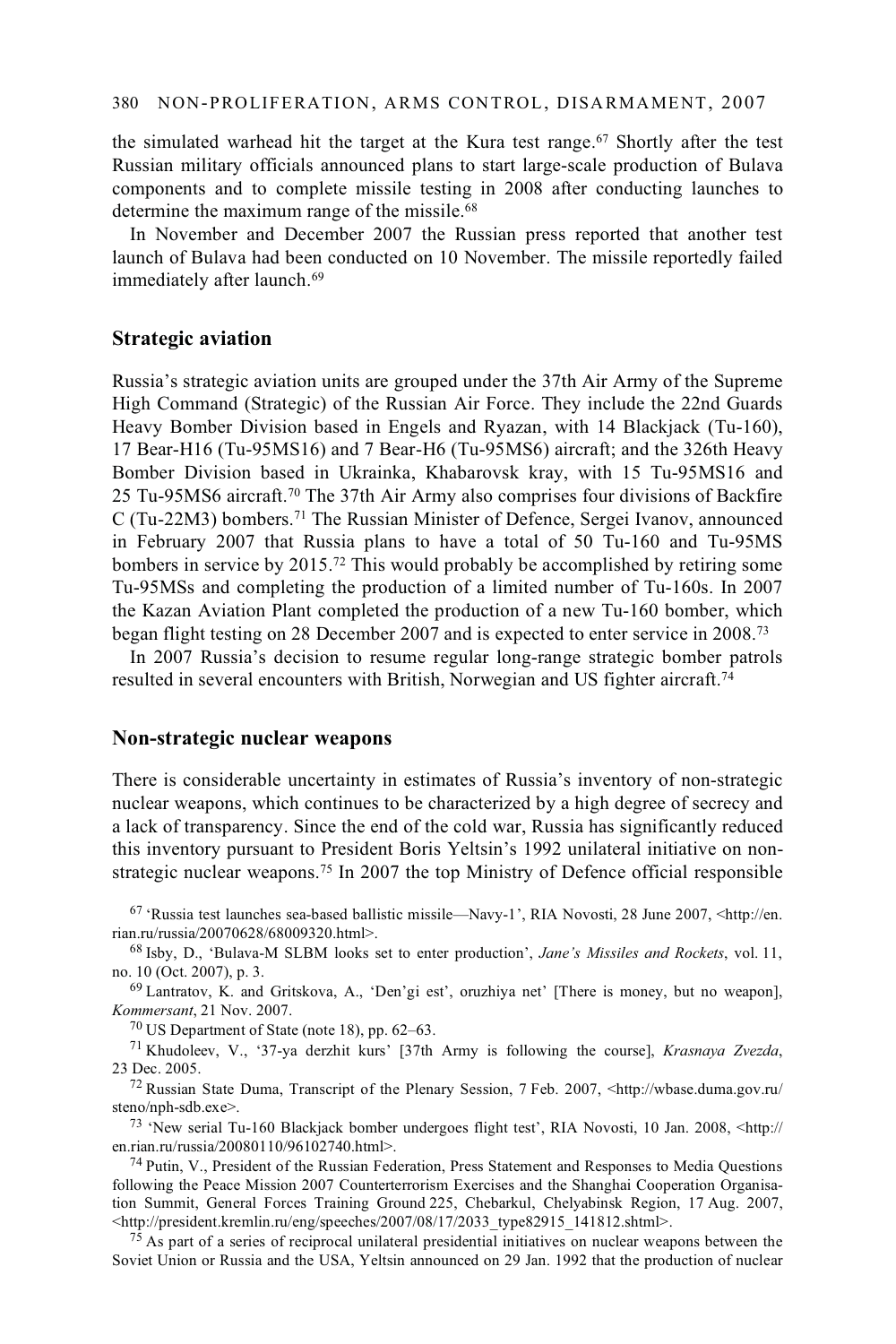the simulated warhead hit the target at the Kura test range.67 Shortly after the test Russian military officials announced plans to start large-scale production of Bulava components and to complete missile testing in 2008 after conducting launches to determine the maximum range of the missile.<sup>68</sup>

In November and December 2007 the Russian press reported that another test launch of Bulava had been conducted on 10 November. The missile reportedly failed immediately after launch.<sup>69</sup>

### **Strategic aviation**

Russia's strategic aviation units are grouped under the 37th Air Army of the Supreme High Command (Strategic) of the Russian Air Force. They include the 22nd Guards Heavy Bomber Division based in Engels and Ryazan, with 14 Blackjack (Tu-160), 17 Bear-H16 (Tu-95MS16) and 7 Bear-H6 (Tu-95MS6) aircraft; and the 326th Heavy Bomber Division based in Ukrainka, Khabarovsk kray, with 15 Tu-95MS16 and 25 Tu-95MS6 aircraft.70 The 37th Air Army also comprises four divisions of Backfire C (Tu-22M3) bombers.71 The Russian Minister of Defence, Sergei Ivanov, announced in February 2007 that Russia plans to have a total of 50 Tu-160 and Tu-95MS bombers in service by 2015.72 This would probably be accomplished by retiring some Tu-95MSs and completing the production of a limited number of Tu-160s. In 2007 the Kazan Aviation Plant completed the production of a new Tu-160 bomber, which began flight testing on 28 December 2007 and is expected to enter service in 2008.73

In 2007 Russia's decision to resume regular long-range strategic bomber patrols resulted in several encounters with British, Norwegian and US fighter aircraft.74

#### **Non-strategic nuclear weapons**

There is considerable uncertainty in estimates of Russia's inventory of non-strategic nuclear weapons, which continues to be characterized by a high degree of secrecy and a lack of transparency. Since the end of the cold war, Russia has significantly reduced this inventory pursuant to President Boris Yeltsin's 1992 unilateral initiative on nonstrategic nuclear weapons.<sup>75</sup> In 2007 the top Ministry of Defence official responsible

<sup>67</sup> 'Russia test launches sea-based ballistic missile—Navy-1', RIA Novosti, 28 June 2007, <http://en. rian.ru/russia/20070628/68009320.html>.

<sup>68</sup> Isby, D., 'Bulava-M SLBM looks set to enter production', *Jane's Missiles and Rockets*, vol. 11, no. 10 (Oct. 2007), p. 3. 69 Lantratov, K. and Gritskova, A., 'Den'gi est', oruzhiya net' [There is money, but no weapon],

*Kommersant*, 21 Nov. 2007.

70 US Department of State (note 18), pp. 62–63.

71 Khudoleev, V., '37-ya derzhit kurs' [37th Army is following the course], *Krasnaya Zvezda*,

23 Dec. 2005.<br><sup>72</sup> Russian State Duma, Transcript of the Plenary Session, 7 Feb. 2007, <http://wbase.duma.gov.ru/<br>steno/nph-sdb.exe>.

<sup>73</sup> 'New serial Tu-160 Blackjack bomber undergoes flight test', RIA Novosti, 10 Jan. 2008,  $\langle$ http:// en.rian.ru/russia/20080110/96102740.html>.

 $^{74}$  Putin, V., President of the Russian Federation, Press Statement and Responses to Media Questions following the Peace Mission 2007 Counterterrorism Exercises and the Shanghai Cooperation Organisation Summit, General Forces Training Ground 225, Chebarkul, Chelyabinsk Region, 17 Aug. 2007, <http://president.kremlin.ru/eng/speeches/2007/08/17/2033\_type82915\_141812.shtml>. 75 As part of a series of reciprocal unilateral presidential initiatives on nuclear weapons between the

Soviet Union or Russia and the USA, Yeltsin announced on 29 Jan. 1992 that the production of nuclear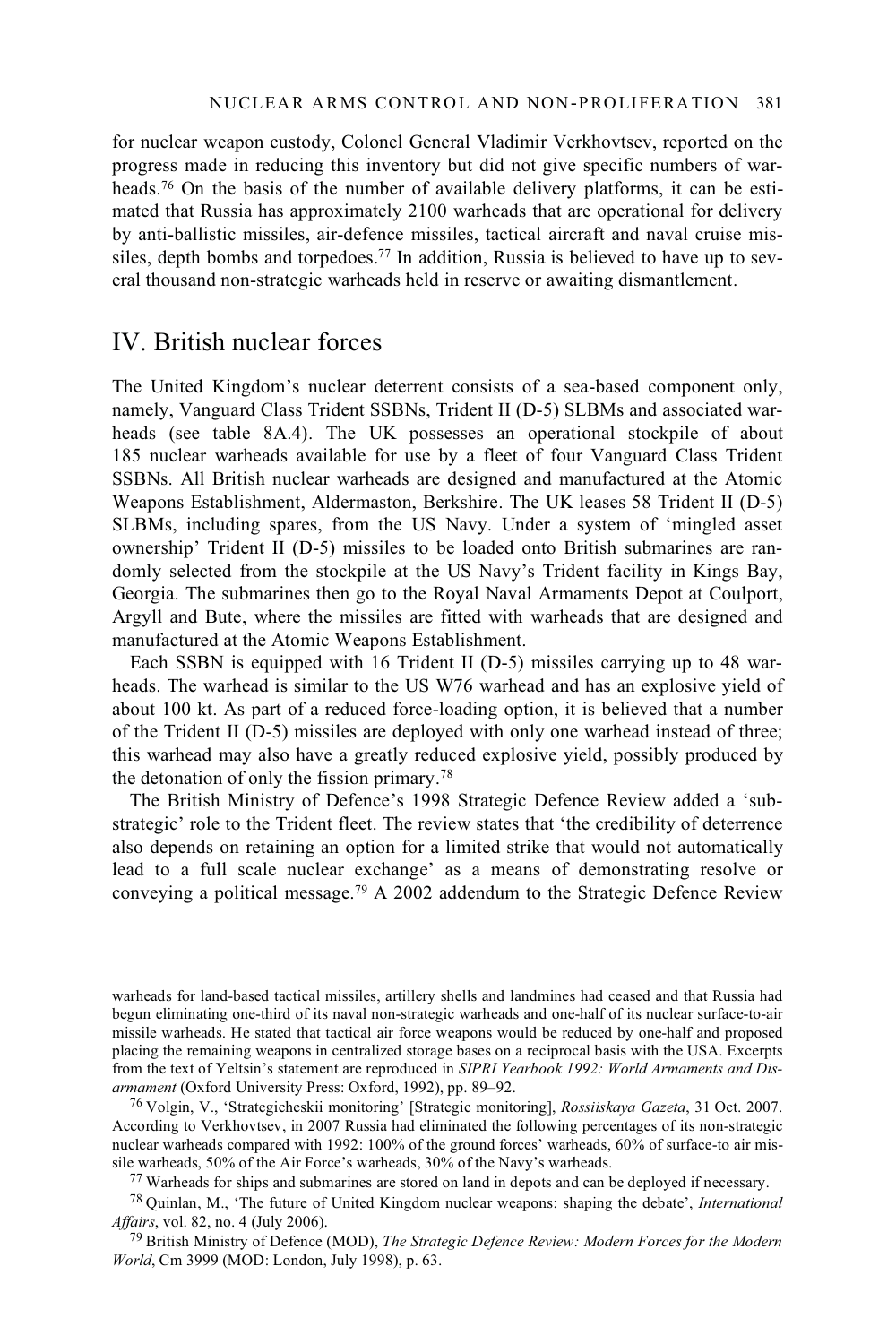for nuclear weapon custody, Colonel General Vladimir Verkhovtsev, reported on the progress made in reducing this inventory but did not give specific numbers of warheads.76 On the basis of the number of available delivery platforms, it can be estimated that Russia has approximately 2100 warheads that are operational for delivery by anti-ballistic missiles, air-defence missiles, tactical aircraft and naval cruise missiles, depth bombs and torpedoes.<sup>77</sup> In addition, Russia is believed to have up to several thousand non-strategic warheads held in reserve or awaiting dismantlement.

# IV. British nuclear forces

The United Kingdom's nuclear deterrent consists of a sea-based component only, namely, Vanguard Class Trident SSBNs, Trident II (D-5) SLBMs and associated warheads (see table 8A.4). The UK possesses an operational stockpile of about 185 nuclear warheads available for use by a fleet of four Vanguard Class Trident SSBNs. All British nuclear warheads are designed and manufactured at the Atomic Weapons Establishment, Aldermaston, Berkshire. The UK leases 58 Trident II (D-5) SLBMs, including spares, from the US Navy. Under a system of 'mingled asset ownership' Trident II (D-5) missiles to be loaded onto British submarines are randomly selected from the stockpile at the US Navy's Trident facility in Kings Bay, Georgia. The submarines then go to the Royal Naval Armaments Depot at Coulport, Argyll and Bute, where the missiles are fitted with warheads that are designed and manufactured at the Atomic Weapons Establishment.

Each SSBN is equipped with 16 Trident II (D-5) missiles carrying up to 48 warheads. The warhead is similar to the US W76 warhead and has an explosive yield of about 100 kt. As part of a reduced force-loading option, it is believed that a number of the Trident II (D-5) missiles are deployed with only one warhead instead of three; this warhead may also have a greatly reduced explosive yield, possibly produced by the detonation of only the fission primary.78

The British Ministry of Defence's 1998 Strategic Defence Review added a 'substrategic' role to the Trident fleet. The review states that 'the credibility of deterrence also depends on retaining an option for a limited strike that would not automatically lead to a full scale nuclear exchange' as a means of demonstrating resolve or conveying a political message.<sup>79</sup> A 2002 addendum to the Strategic Defence Review

warheads for land-based tactical missiles, artillery shells and landmines had ceased and that Russia had begun eliminating one-third of its naval non-strategic warheads and one-half of its nuclear surface-to-air missile warheads. He stated that tactical air force weapons would be reduced by one-half and proposed placing the remaining weapons in centralized storage bases on a reciprocal basis with the USA. Excerpts from the text of Yeltsin's statement are reproduced in *SIPRI Yearbook 1992: World Armaments and Disarmament* (Oxford University Press: Oxford, 1992), pp. 89–92. 76 Volgin, V., 'Strategicheskii monitoring' [Strategic monitoring], *Rossiiskaya Gazeta*, 31 Oct. 2007.

According to Verkhovtsev, in 2007 Russia had eliminated the following percentages of its non-strategic nuclear warheads compared with 1992: 100% of the ground forces' warheads, 60% of surface-to air missile warheads, 50% of the Air Force's warheads, 30% of the Navy's warheads.<br><sup>77</sup> Warheads for ships and submarines are stored on land in depots and can be deployed if necessary.

78 Quinlan, M., 'The future of United Kingdom nuclear weapons: shaping the debate', *International* 

<sup>79</sup> British Ministry of Defence (MOD), *The Strategic Defence Review: Modern Forces for the Modern World*, Cm 3999 (MOD: London, July 1998), p. 63.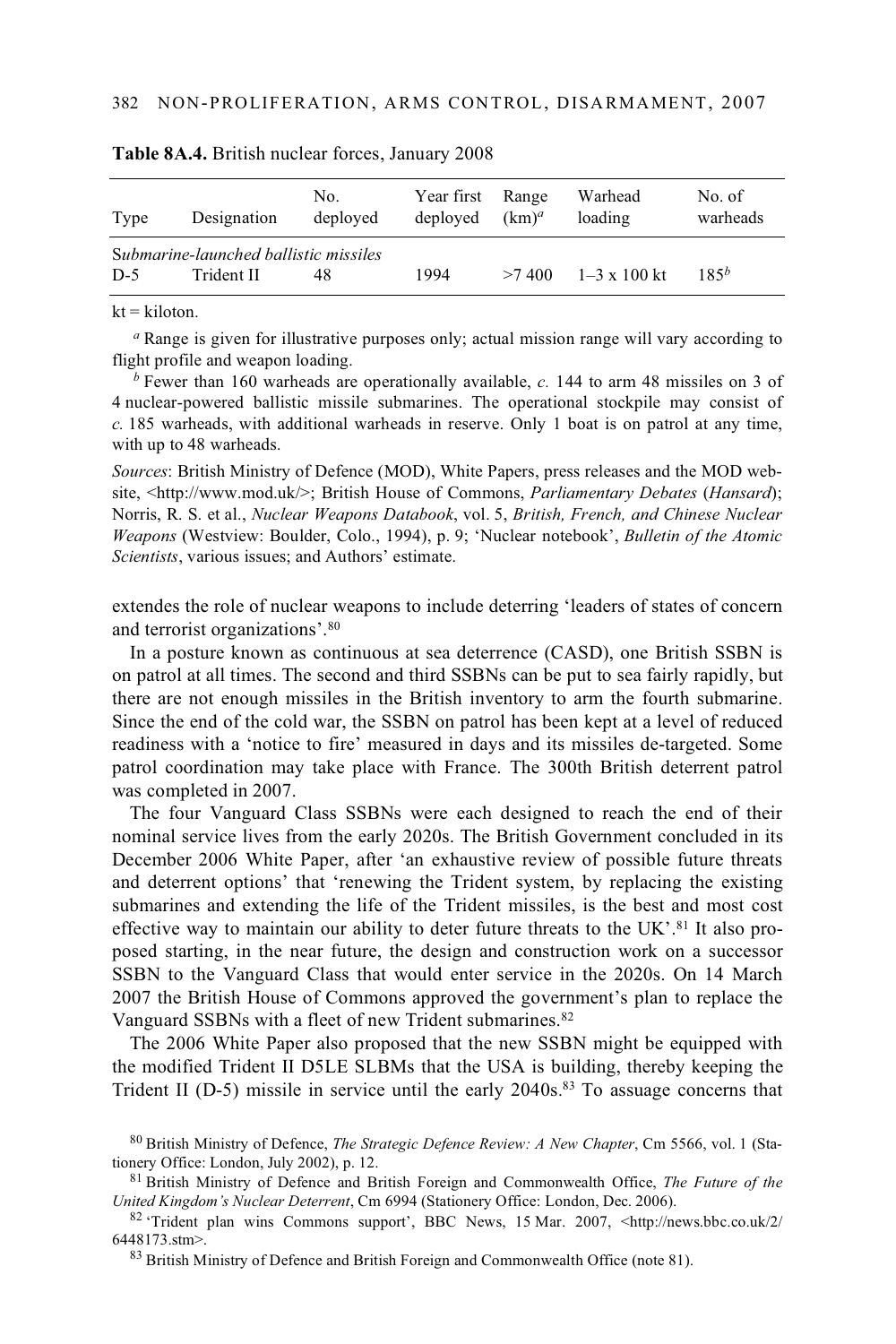| Type                                  | Designation | No.<br>deployed | Year first Range<br>deployed | $(km)^a$ | Warhead<br>loading  | No. of<br>warheads |
|---------------------------------------|-------------|-----------------|------------------------------|----------|---------------------|--------------------|
| Submarine-launched ballistic missiles |             |                 |                              |          |                     |                    |
| $D-5$                                 | Trident II  | 48              | 1994                         | >7.400   | $1-3 \times 100$ kt | $185^{b}$          |

**Table 8A.4.** British nuclear forces, January 2008

 $kt = kiloton$ .

*<sup>a</sup>* Range is given for illustrative purposes only; actual mission range will vary according to flight profile and weapon loading.

*<sup>b</sup>* Fewer than 160 warheads are operationally available, *c.* 144 to arm 48 missiles on 3 of 4 nuclear-powered ballistic missile submarines. The operational stockpile may consist of *c.* 185 warheads, with additional warheads in reserve. Only 1 boat is on patrol at any time, with up to 48 warheads.

*Sources*: British Ministry of Defence (MOD), White Papers, press releases and the MOD website, <http://www.mod.uk/>; British House of Commons, *Parliamentary Debates* (*Hansard*); Norris, R. S. et al., *Nuclear Weapons Databook*, vol. 5, *British, French, and Chinese Nuclear Weapons* (Westview: Boulder, Colo., 1994), p. 9; 'Nuclear notebook', *Bulletin of the Atomic Scientists*, various issues; and Authors' estimate.

extendes the role of nuclear weapons to include deterring 'leaders of states of concern and terrorist organizations'.80

In a posture known as continuous at sea deterrence (CASD), one British SSBN is on patrol at all times. The second and third SSBNs can be put to sea fairly rapidly, but there are not enough missiles in the British inventory to arm the fourth submarine. Since the end of the cold war, the SSBN on patrol has been kept at a level of reduced readiness with a 'notice to fire' measured in days and its missiles de-targeted. Some patrol coordination may take place with France. The 300th British deterrent patrol was completed in 2007.

The four Vanguard Class SSBNs were each designed to reach the end of their nominal service lives from the early 2020s. The British Government concluded in its December 2006 White Paper, after 'an exhaustive review of possible future threats and deterrent options' that 'renewing the Trident system, by replacing the existing submarines and extending the life of the Trident missiles, is the best and most cost effective way to maintain our ability to deter future threats to the UK'.<sup>81</sup> It also proposed starting, in the near future, the design and construction work on a successor SSBN to the Vanguard Class that would enter service in the 2020s. On 14 March 2007 the British House of Commons approved the government's plan to replace the Vanguard SSBNs with a fleet of new Trident submarines.82

The 2006 White Paper also proposed that the new SSBN might be equipped with the modified Trident II D5LE SLBMs that the USA is building, thereby keeping the Trident II (D-5) missile in service until the early 2040s.83 To assuage concerns that

<sup>80</sup> British Ministry of Defence, *The Strategic Defence Review: A New Chapter*, Cm 5566, vol. 1 (Stationery Office: London, July 2002), p. 12.<br><sup>81</sup> British Ministry of Defence and British Foreign and Commonwealth Office, *The Future of the* 

*United Kingdom's Nuclear Deterrent*, Cm 6994 (Stationery Office: London, Dec. 2006). 82 'Trident plan wins Commons support', BBC News, 15 Mar. 2007, <http://news.bbc.co.uk/2/

<sup>6448173.</sup>stm>.<br><sup>83</sup> British Ministry of Defence and British Foreign and Commonwealth Office (note 81).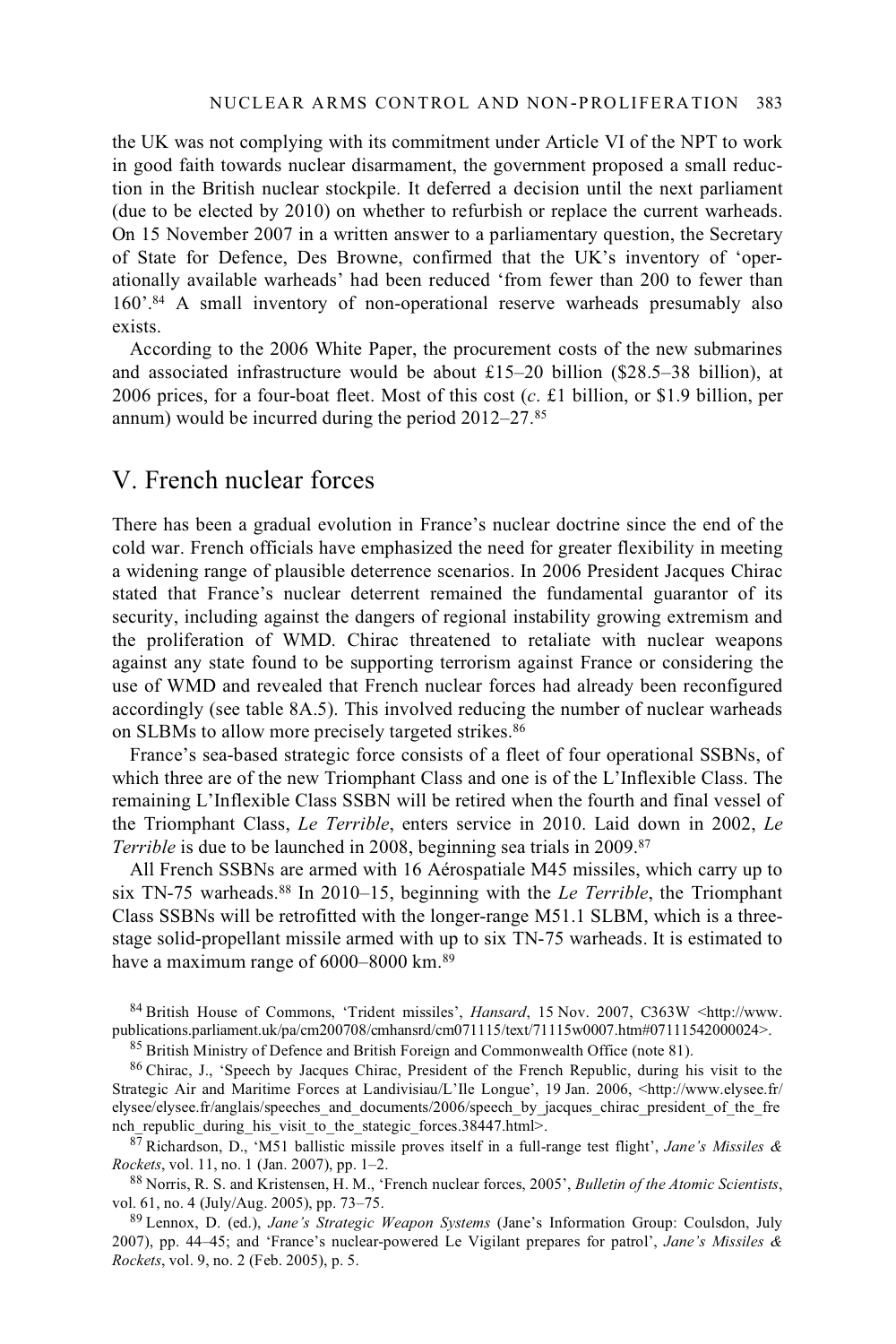the UK was not complying with its commitment under Article VI of the NPT to work in good faith towards nuclear disarmament, the government proposed a small reduction in the British nuclear stockpile. It deferred a decision until the next parliament (due to be elected by 2010) on whether to refurbish or replace the current warheads. On 15 November 2007 in a written answer to a parliamentary question, the Secretary of State for Defence, Des Browne, confirmed that the UK's inventory of 'operationally available warheads' had been reduced 'from fewer than 200 to fewer than 160'.84 A small inventory of non-operational reserve warheads presumably also exists.

According to the 2006 White Paper, the procurement costs of the new submarines and associated infrastructure would be about £15–20 billion (\$28.5–38 billion), at 2006 prices, for a four-boat fleet. Most of this cost (*c*. £1 billion, or \$1.9 billion, per annum) would be incurred during the period 2012–27.85

# V. French nuclear forces

There has been a gradual evolution in France's nuclear doctrine since the end of the cold war. French officials have emphasized the need for greater flexibility in meeting a widening range of plausible deterrence scenarios. In 2006 President Jacques Chirac stated that France's nuclear deterrent remained the fundamental guarantor of its security, including against the dangers of regional instability growing extremism and the proliferation of WMD. Chirac threatened to retaliate with nuclear weapons against any state found to be supporting terrorism against France or considering the use of WMD and revealed that French nuclear forces had already been reconfigured accordingly (see table 8A.5). This involved reducing the number of nuclear warheads on SLBMs to allow more precisely targeted strikes.<sup>86</sup>

France's sea-based strategic force consists of a fleet of four operational SSBNs, of which three are of the new Triomphant Class and one is of the L'Inflexible Class. The remaining L'Inflexible Class SSBN will be retired when the fourth and final vessel of the Triomphant Class, *Le Terrible*, enters service in 2010. Laid down in 2002, *Le Terrible* is due to be launched in 2008, beginning sea trials in 2009.<sup>87</sup>

All French SSBNs are armed with 16 Aérospatiale M45 missiles, which carry up to six TN-75 warheads.88 In 2010–15, beginning with the *Le Terrible*, the Triomphant Class SSBNs will be retrofitted with the longer-range M51.1 SLBM, which is a threestage solid-propellant missile armed with up to six TN-75 warheads. It is estimated to have a maximum range of 6000–8000 km.<sup>89</sup>

84 British House of Commons, 'Trident missiles', *Hansard*, 15 Nov. 2007, C363W <http://www. publications.parliament.uk/pa/cm200708/cmhansrd/cm071115/text/71115w0007.htm#07111542000024>. 85 British Ministry of Defence and British Foreign and Commonwealth Office (note 81).

86 Chirac, J., 'Speech by Jacques Chirac, President of the French Republic, during his visit to the Strategic Air and Maritime Forces at Landivisiau/L'Ile Longue', 19 Jan. 2006, <http://www.elysee.fr/ elysee/elysee.fr/anglais/speeches\_and\_documents/2006/speech\_by\_jacques\_chirac\_president\_of\_the\_fre nch\_republic\_during\_his\_visit\_to\_the\_stategic\_forces.38447.html>.

 $\frac{87}{10}$  Richardson, D., 'M51 ballistic missile proves itself in a full-range test flight', *Jane's Missiles & Rockets*, vol. 11, no. 1 (Jan. 2007), pp. 1–2. 88 Norris, R. S. and Kristensen, H. M., 'French nuclear forces, 2005', *Bulletin of the Atomic Scientists*,

vol. 61, no. 4 (July/Aug. 2005), pp. 73–75. 89 Lennox, D. (ed.), *Jane's Strategic Weapon Systems* (Jane's Information Group: Coulsdon, July

2007), pp. 44–45; and 'France's nuclear-powered Le Vigilant prepares for patrol', *Jane's Missiles & Rockets*, vol. 9, no. 2 (Feb. 2005), p. 5.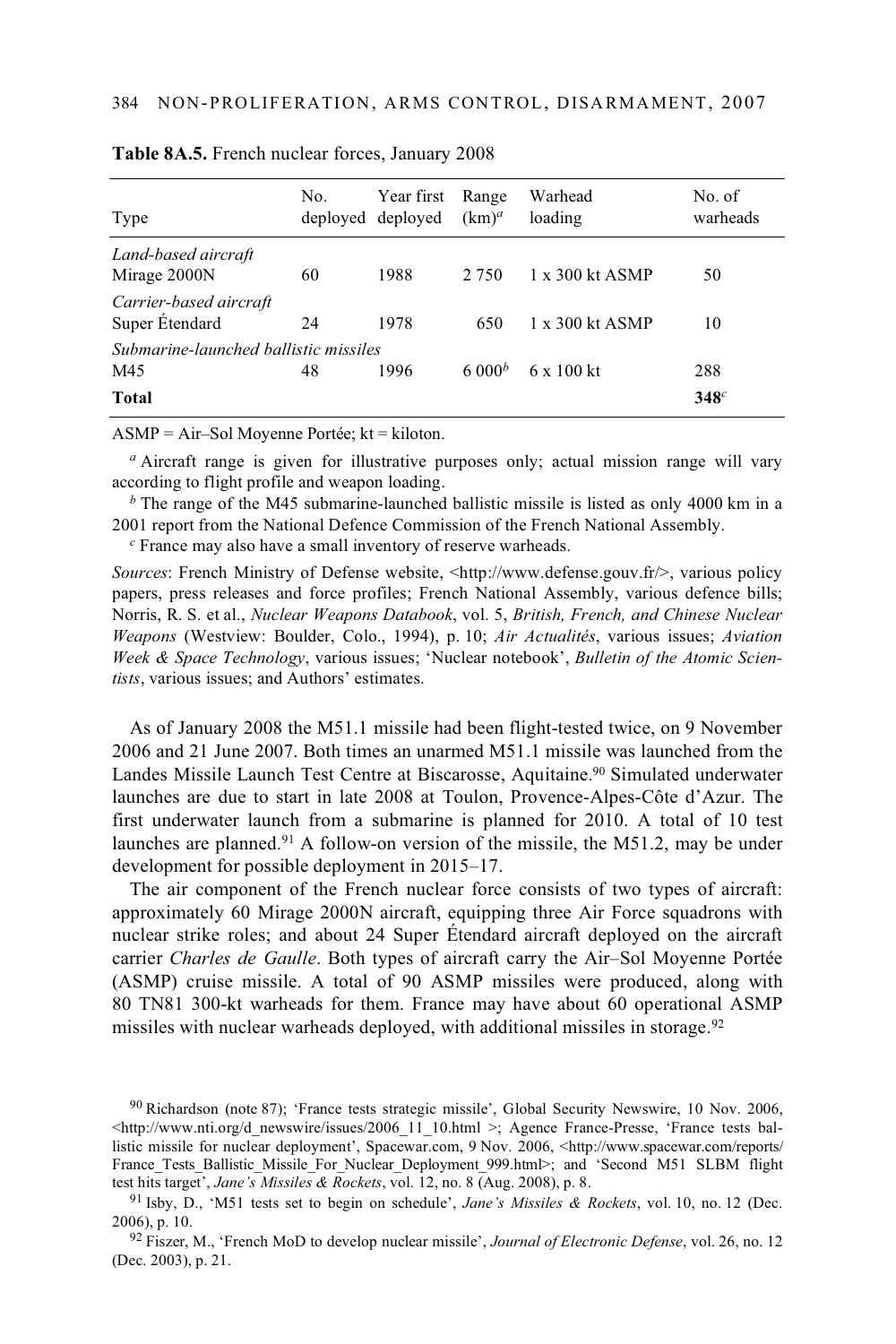| Type                                     | No. | Year first<br>deployed deployed | Range<br>$(km)^d$ | Warhead<br>loading     | No. of<br>warheads |
|------------------------------------------|-----|---------------------------------|-------------------|------------------------|--------------------|
| Land-based aircraft<br>Mirage 2000N      | 60  | 1988                            | 2 7 5 0           | $1 \times 300$ kt ASMP | 50                 |
| Carrier-based aircraft<br>Super Etendard | 24  | 1978                            | 650               | 1 x 300 kt ASMP        | 10                 |
| Submarine-launched ballistic missiles    |     |                                 |                   |                        |                    |
| M45                                      | 48  | 1996                            | 6000 <sup>b</sup> | $6 \times 100$ kt      | 288                |
| <b>Total</b>                             |     |                                 |                   |                        | 348 <sup>c</sup>   |

| Table 8A.5. French nuclear forces, January 2008 |  |  |  |  |
|-------------------------------------------------|--|--|--|--|
|-------------------------------------------------|--|--|--|--|

 $ASMP = Air-Sol Moyenne Portée; kt = kiloton.$ 

*<sup>a</sup>* Aircraft range is given for illustrative purposes only; actual mission range will vary according to flight profile and weapon loading.

*<sup>b</sup>* The range of the M45 submarine-launched ballistic missile is listed as only 4000 km in a 2001 report from the National Defence Commission of the French National Assembly.

*c* France may also have a small inventory of reserve warheads.

*Sources*: French Ministry of Defense website, <http://www.defense.gouv.fr/>, various policy papers, press releases and force profiles; French National Assembly, various defence bills; Norris, R. S. et al., *Nuclear Weapons Databook*, vol. 5, *British, French, and Chinese Nuclear Weapons* (Westview: Boulder, Colo., 1994), p. 10; *Air Actualités*, various issues; *Aviation Week & Space Technology*, various issues; 'Nuclear notebook', *Bulletin of the Atomic Scientists*, various issues; and Authors' estimates.

As of January 2008 the M51.1 missile had been flight-tested twice, on 9 November 2006 and 21 June 2007. Both times an unarmed M51.1 missile was launched from the Landes Missile Launch Test Centre at Biscarosse, Aquitaine.<sup>90</sup> Simulated underwater launches are due to start in late 2008 at Toulon, Provence-Alpes-Côte d'Azur. The first underwater launch from a submarine is planned for 2010. A total of 10 test launches are planned.91 A follow-on version of the missile, the M51.2, may be under development for possible deployment in 2015–17.

The air component of the French nuclear force consists of two types of aircraft: approximately 60 Mirage 2000N aircraft, equipping three Air Force squadrons with nuclear strike roles; and about 24 Super Étendard aircraft deployed on the aircraft carrier *Charles de Gaulle*. Both types of aircraft carry the Air–Sol Moyenne Portée (ASMP) cruise missile. A total of 90 ASMP missiles were produced, along with 80 TN81 300-kt warheads for them. France may have about 60 operational ASMP missiles with nuclear warheads deployed, with additional missiles in storage.<sup>92</sup>

<sup>90</sup> Richardson (note 87); 'France tests strategic missile', Global Security Newswire, 10 Nov. 2006,  $\lt$ http://www.nti.org/d\_newswire/issues/2006\_11\_10.html >; Agence France-Presse, 'France tests ballistic missile for nuclear deployment', Spacewar.com, 9 Nov. 2006, <http://www.spacewar.com/reports/ France Tests Ballistic Missile For Nuclear Deployment 999.html>; and 'Second M51 SLBM flight test hits target', *Jane's Missiles & Rockets*, vol. 12, no. 8 (Aug. 2008), p. 8.

<sup>91</sup> Isby, D., 'M51 tests set to begin on schedule', *Jane's Missiles & Rockets*, vol. 10, no. 12 (Dec. 2006), p. 10. 92 Fiszer, M., 'French MoD to develop nuclear missile', *Journal of Electronic Defense*, vol. 26, no. 12

<sup>(</sup>Dec. 2003), p. 21.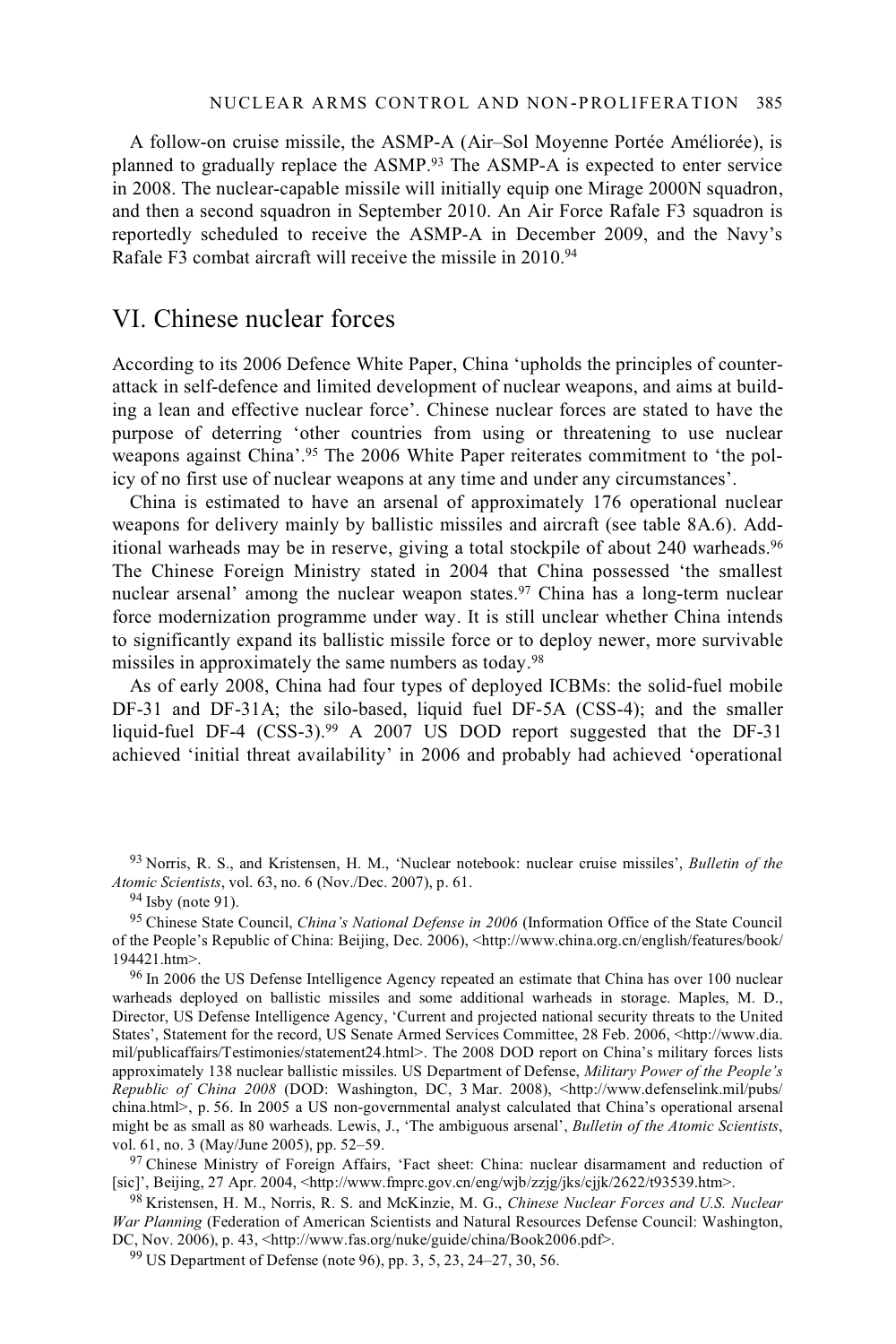A follow-on cruise missile, the ASMP-A (Air–Sol Moyenne Portée Améliorée), is planned to gradually replace the ASMP.93 The ASMP-A is expected to enter service in 2008. The nuclear-capable missile will initially equip one Mirage 2000N squadron, and then a second squadron in September 2010. An Air Force Rafale F3 squadron is reportedly scheduled to receive the ASMP-A in December 2009, and the Navy's Rafale F3 combat aircraft will receive the missile in 2010.94

# VI. Chinese nuclear forces

According to its 2006 Defence White Paper, China 'upholds the principles of counterattack in self-defence and limited development of nuclear weapons, and aims at building a lean and effective nuclear force'. Chinese nuclear forces are stated to have the purpose of deterring 'other countries from using or threatening to use nuclear weapons against China'.95 The 2006 White Paper reiterates commitment to 'the policy of no first use of nuclear weapons at any time and under any circumstances'.

China is estimated to have an arsenal of approximately 176 operational nuclear weapons for delivery mainly by ballistic missiles and aircraft (see table 8A.6). Additional warheads may be in reserve, giving a total stockpile of about 240 warheads.<sup>96</sup> The Chinese Foreign Ministry stated in 2004 that China possessed 'the smallest nuclear arsenal' among the nuclear weapon states.<sup>97</sup> China has a long-term nuclear force modernization programme under way. It is still unclear whether China intends to significantly expand its ballistic missile force or to deploy newer, more survivable missiles in approximately the same numbers as today.98

As of early 2008, China had four types of deployed ICBMs: the solid-fuel mobile DF-31 and DF-31A; the silo-based, liquid fuel DF-5A (CSS-4); and the smaller liquid-fuel DF-4  $(CSS-3)$ .<sup>99</sup> A 2007 US DOD report suggested that the DF-31 achieved 'initial threat availability' in 2006 and probably had achieved 'operational

93 Norris, R. S., and Kristensen, H. M., 'Nuclear notebook: nuclear cruise missiles', *Bulletin of the Atomic Scientists*, vol. 63, no. 6 (Nov./Dec. 2007), p. 61. 94 Isby (note 91).

95 Chinese State Council, *China's National Defense in 2006* (Information Office of the State Council of the People's Republic of China: Beijing, Dec. 2006), <http://www.china.org.cn/english/features/book/ 194421.htm>.<br><sup>96</sup> In 2006 the US Defense Intelligence Agency repeated an estimate that China has over 100 nuclear

warheads deployed on ballistic missiles and some additional warheads in storage. Maples, M. D., Director, US Defense Intelligence Agency, 'Current and projected national security threats to the United States', Statement for the record, US Senate Armed Services Committee, 28 Feb. 2006, <http://www.dia. mil/publicaffairs/Testimonies/statement24.html>. The 2008 DOD report on China's military forces lists approximately 138 nuclear ballistic missiles. US Department of Defense, *Military Power of the People's Republic of China 2008* (DOD: Washington, DC, 3 Mar. 2008), <http://www.defenselink.mil/pubs/ china.html>, p. 56. In 2005 a US non-governmental analyst calculated that China's operational arsenal might be as small as 80 warheads. Lewis, J., 'The ambiguous arsenal', *Bulletin of the Atomic Scientists*, vol. 61, no. 3 (May/June 2005), pp. 52–59.<br><sup>97</sup> Chinese Ministry of Foreign Affairs, 'Fact sheet: China: nuclear disarmament and reduction of

[sic]', Beijing, 27 Apr. 2004, <http://www.fmprc.gov.cn/eng/wjb/zzjg/jks/cjjk/2622/t93539.htm>. 98 Kristensen, H. M., Norris, R. S. and McKinzie, M. G., *Chinese Nuclear Forces and U.S. Nuclear* 

*War Planning* (Federation of American Scientists and Natural Resources Defense Council: Washington, DC, Nov. 2006), p. 43, <http://www.fas.org/nuke/guide/china/Book2006.pdf>. 99 US Department of Defense (note 96), pp. 3, 5, 23, 24–27, 30, 56.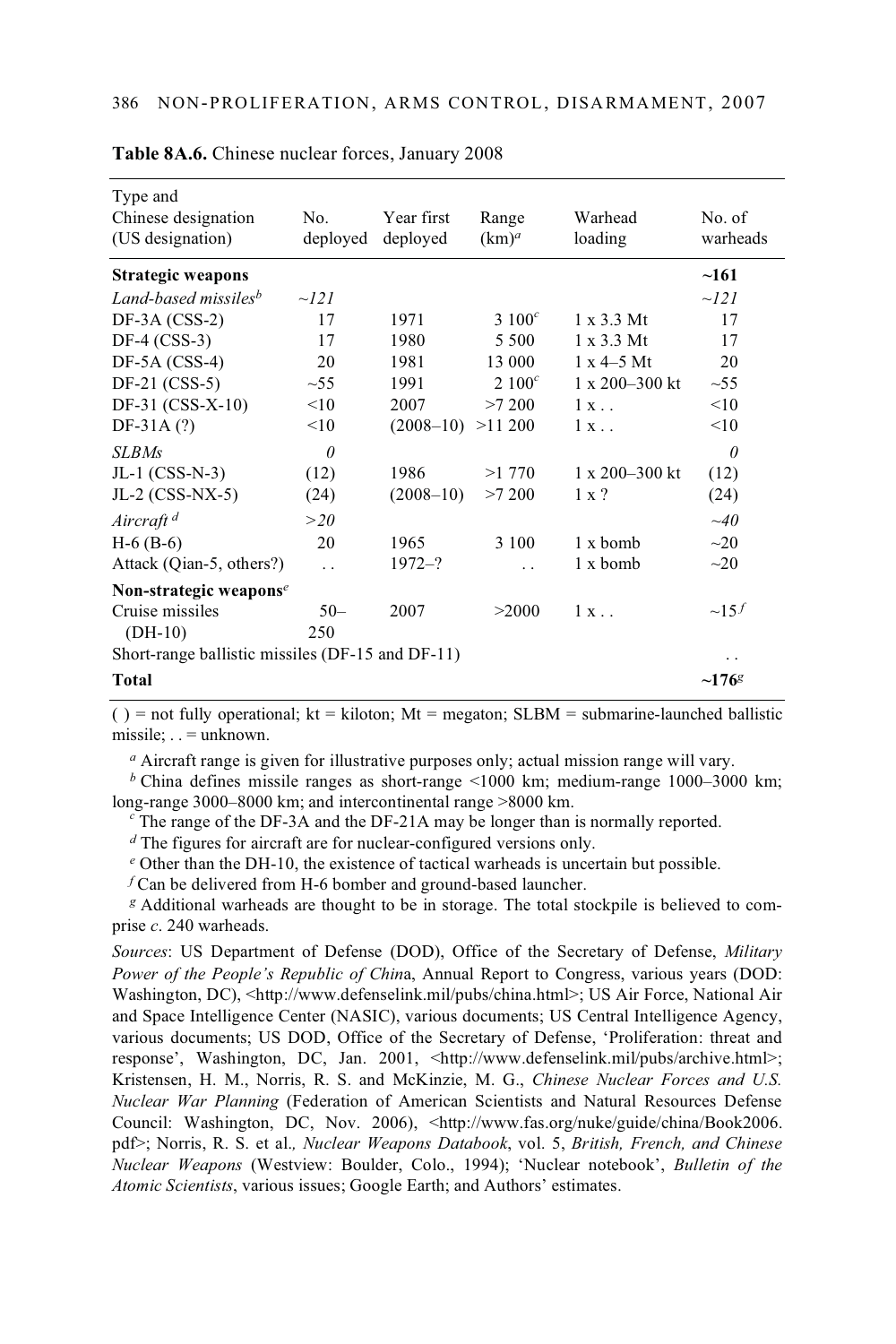| Type and<br>Chinese designation<br>(US designation) | No.<br>deployed      | Year first<br>deployed | Range<br>$(km)^a$ | Warhead<br>loading      | No. of<br>warheads  |
|-----------------------------------------------------|----------------------|------------------------|-------------------|-------------------------|---------------------|
| <b>Strategic weapons</b>                            |                      |                        |                   |                         | ~161                |
| Land-based missiles <sup>b</sup>                    | $\sim$ 121           |                        |                   |                         | $\sim$ 121          |
| $DF-3A (CSS-2)$                                     | 17                   | 1971                   | 3 100 $^c$        | $1 \times 3.3$ Mt       | 17                  |
| $DF-4 (CSS-3)$                                      | 17                   | 1980                   | 5 5 0 0           | $1 \times 3.3$ Mt       | 17                  |
| $DF-5A (CSS-4)$                                     | 20                   | 1981                   | 13 000            | $1 \times 4 - 5$ Mt     | 20                  |
| $DF-21 (CSS-5)$                                     | $\sim$ 55            | 1991                   | $2~100^c$         | $1 \times 200 - 300$ kt | $\sim$ 55           |
| $DF-31 (CSS-X-10)$                                  | < 10                 | 2007                   | >7200             | $1x$ .                  | <10                 |
| $DF-31A(?)$                                         | $<$ 10               | $(2008-10) >11200$     |                   | 1x                      | $<$ 10              |
| <b>SLBMs</b>                                        | $\theta$             |                        |                   |                         | $\theta$            |
| $JL-1$ (CSS-N-3)                                    | (12)                 | 1986                   | >1770             | $1 \times 200 - 300$ kt | (12)                |
| $JL-2$ (CSS-NX-5)                                   | (24)                 | $(2008-10)$            | >7200             | $1 \times ?$            | (24)                |
| Aircraft <sup>d</sup>                               | >20                  |                        |                   |                         | $\sim 40$           |
| $H-6$ ( $B-6$ )                                     | 20                   | 1965                   | 3 100             | $1 \times$ bomb         | $\sim$ 20           |
| Attack (Qian-5, others?)                            | $\ddot{\phantom{0}}$ | $1972 - ?$             | . .               | 1 x bomb                | $\sim$ 20           |
| Non-strategic weapons <sup>e</sup>                  |                      |                        |                   |                         |                     |
| Cruise missiles                                     | $50 -$               | 2007                   | >2000             | $1x$ .                  | $\sim 15f$          |
| $(DH-10)$                                           | 250                  |                        |                   |                         |                     |
| Short-range ballistic missiles (DF-15 and DF-11)    |                      |                        |                   |                         | . .                 |
| <b>Total</b>                                        |                      |                        |                   |                         | $-176$ <sup>g</sup> |

| Table 8A.6. Chinese nuclear forces, January 2008 |  |
|--------------------------------------------------|--|
|--------------------------------------------------|--|

( ) = not fully operational;  $kt = kiloton$ ;  $Mt = megaton$ ; SLBM = submarine-launched ballistic missile; . . = unknown.

*<sup>a</sup>* Aircraft range is given for illustrative purposes only; actual mission range will vary.

 $b$  China defines missile ranges as short-range  $\leq 1000$  km; medium-range 1000–3000 km; long-range 3000–8000 km; and intercontinental range >8000 km.

 $\epsilon$  The range of the DF-3A and the DF-21A may be longer than is normally reported.

*<sup>d</sup>* The figures for aircraft are for nuclear-configured versions only.

*<sup>e</sup>* Other than the DH-10, the existence of tactical warheads is uncertain but possible.

*f* Can be delivered from H-6 bomber and ground-based launcher.

*g* Additional warheads are thought to be in storage. The total stockpile is believed to comprise *c*. 240 warheads.

*Sources*: US Department of Defense (DOD), Office of the Secretary of Defense, *Military Power of the People's Republic of China*, Annual Report to Congress, various years (DOD: Washington, DC), <http://www.defenselink.mil/pubs/china.html>; US Air Force, National Air and Space Intelligence Center (NASIC), various documents; US Central Intelligence Agency, various documents; US DOD, Office of the Secretary of Defense, 'Proliferation: threat and response', Washington, DC, Jan. 2001, <http://www.defenselink.mil/pubs/archive.html>; Kristensen, H. M., Norris, R. S. and McKinzie, M. G., *Chinese Nuclear Forces and U.S. Nuclear War Planning* (Federation of American Scientists and Natural Resources Defense Council: Washington, DC, Nov. 2006), <http://www.fas.org/nuke/guide/china/Book2006. pdf>; Norris, R. S. et al.*, Nuclear Weapons Databook*, vol. 5, *British, French, and Chinese Nuclear Weapons* (Westview: Boulder, Colo., 1994); 'Nuclear notebook', *Bulletin of the Atomic Scientists*, various issues; Google Earth; and Authors' estimates.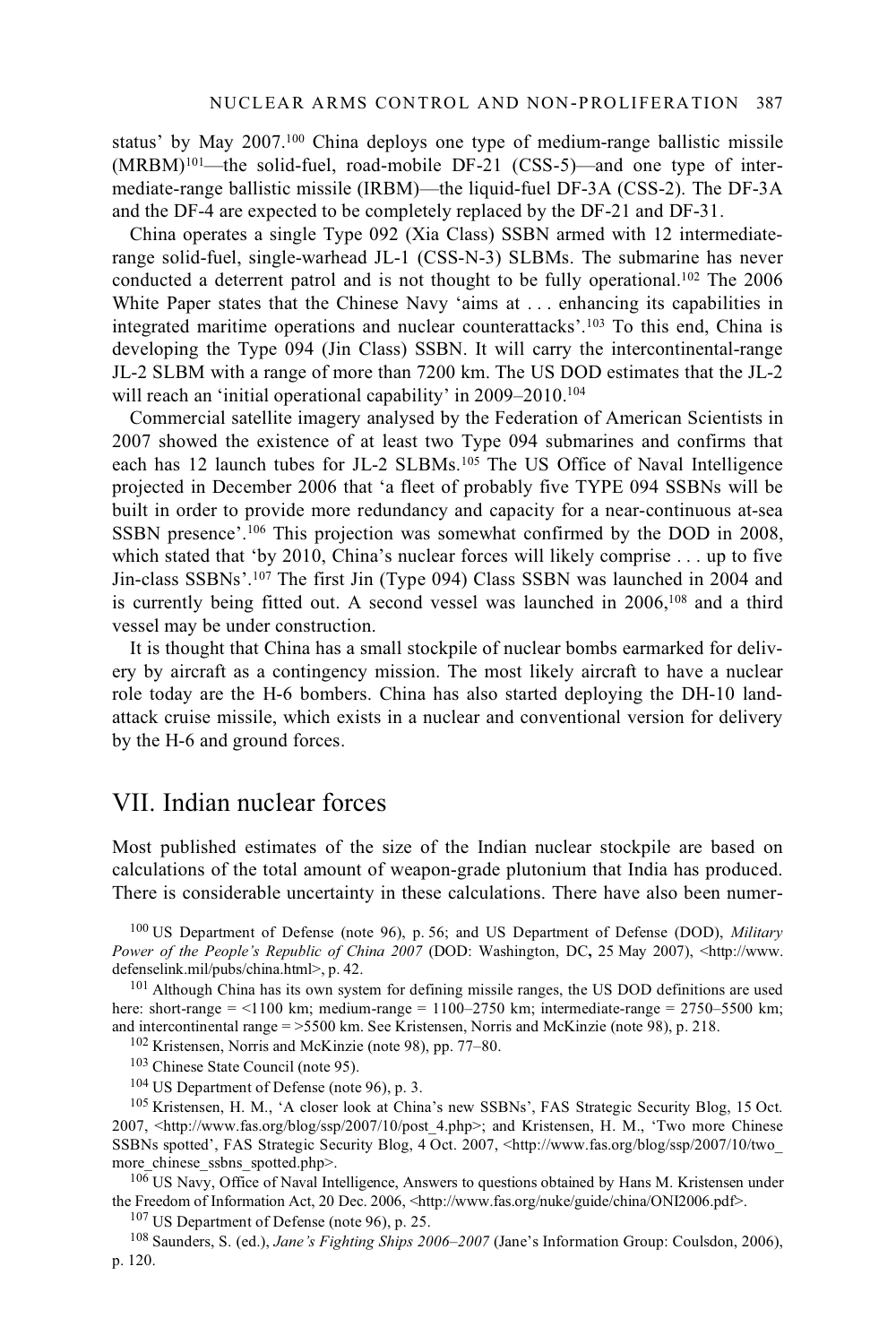status' by May 2007.100 China deploys one type of medium-range ballistic missile  $(MRBM)^{101}$ —the solid-fuel, road-mobile DF-21 (CSS-5)—and one type of intermediate-range ballistic missile (IRBM)—the liquid-fuel DF-3A (CSS-2). The DF-3A and the DF-4 are expected to be completely replaced by the DF-21 and DF-31.

China operates a single Type 092 (Xia Class) SSBN armed with 12 intermediaterange solid-fuel, single-warhead JL-1 (CSS-N-3) SLBMs. The submarine has never conducted a deterrent patrol and is not thought to be fully operational.<sup>102</sup> The 2006 White Paper states that the Chinese Navy 'aims at . . . enhancing its capabilities in integrated maritime operations and nuclear counterattacks'.103 To this end, China is developing the Type 094 (Jin Class) SSBN. It will carry the intercontinental-range JL-2 SLBM with a range of more than 7200 km. The US DOD estimates that the JL-2 will reach an 'initial operational capability' in 2009–2010.<sup>104</sup>

Commercial satellite imagery analysed by the Federation of American Scientists in 2007 showed the existence of at least two Type 094 submarines and confirms that each has 12 launch tubes for JL-2 SLBMs.105 The US Office of Naval Intelligence projected in December 2006 that 'a fleet of probably five TYPE 094 SSBNs will be built in order to provide more redundancy and capacity for a near-continuous at-sea SSBN presence'.106 This projection was somewhat confirmed by the DOD in 2008, which stated that 'by 2010, China's nuclear forces will likely comprise . . . up to five Jin-class SSBNs'.107 The first Jin (Type 094) Class SSBN was launched in 2004 and is currently being fitted out. A second vessel was launched in 2006,<sup>108</sup> and a third vessel may be under construction.

It is thought that China has a small stockpile of nuclear bombs earmarked for delivery by aircraft as a contingency mission. The most likely aircraft to have a nuclear role today are the H-6 bombers. China has also started deploying the DH-10 landattack cruise missile, which exists in a nuclear and conventional version for delivery by the H-6 and ground forces.

# VII. Indian nuclear forces

Most published estimates of the size of the Indian nuclear stockpile are based on calculations of the total amount of weapon-grade plutonium that India has produced. There is considerable uncertainty in these calculations. There have also been numer-

100 US Department of Defense (note 96), p. 56; and US Department of Defense (DOD), *Military Power of the People's Republic of China 2007* (DOD: Washington, DC**,** 25 May 2007), <http://www. defenselink.mil/pubs/china.html>, p. 42.

101 Although China has its own system for defining missile ranges, the US DOD definitions are used here: short-range =  $\langle 1100 \text{ km}$ ; medium-range =  $1100-2750 \text{ km}$ ; intermediate-range =  $2750-5500 \text{ km}$ ; and intercontinental range = >5500 km. See Kristensen, Norris and McKinzie (note 98), p. 218.<br><sup>102</sup> Kristensen, Norris and McKinzie (note 98), pp. 77–80.<br><sup>103</sup> Chinese State Council (note 95).<br><sup>103</sup> US Department of Defen

105 Kristensen, H. M., 'A closer look at China's new SSBNs', FAS Strategic Security Blog, 15 Oct. 2007, <http://www.fas.org/blog/ssp/2007/10/post\_4.php>; and Kristensen, H. M., 'Two more Chinese SSBNs spotted', FAS Strategic Security Blog, 4 Oct. 2007, <http://www.fas.org/blog/ssp/2007/10/two\_ more\_chinese\_ssbns\_spotted.php>.<br><sup>106</sup> US Navy, Office of Naval Intelligence, Answers to questions obtained by Hans M. Kristensen under

the Freedom of Information Act, 20 Dec. 2006, <http://www.fas.org/nuke/guide/china/ONI2006.pdf>.<br><sup>107</sup> US Department of Defense (note 96), p. 25.<br><sup>108</sup> Saunders, S. (ed.), *Jane's Fighting Ships 2006–2007* (Jane's Informat

p. 120.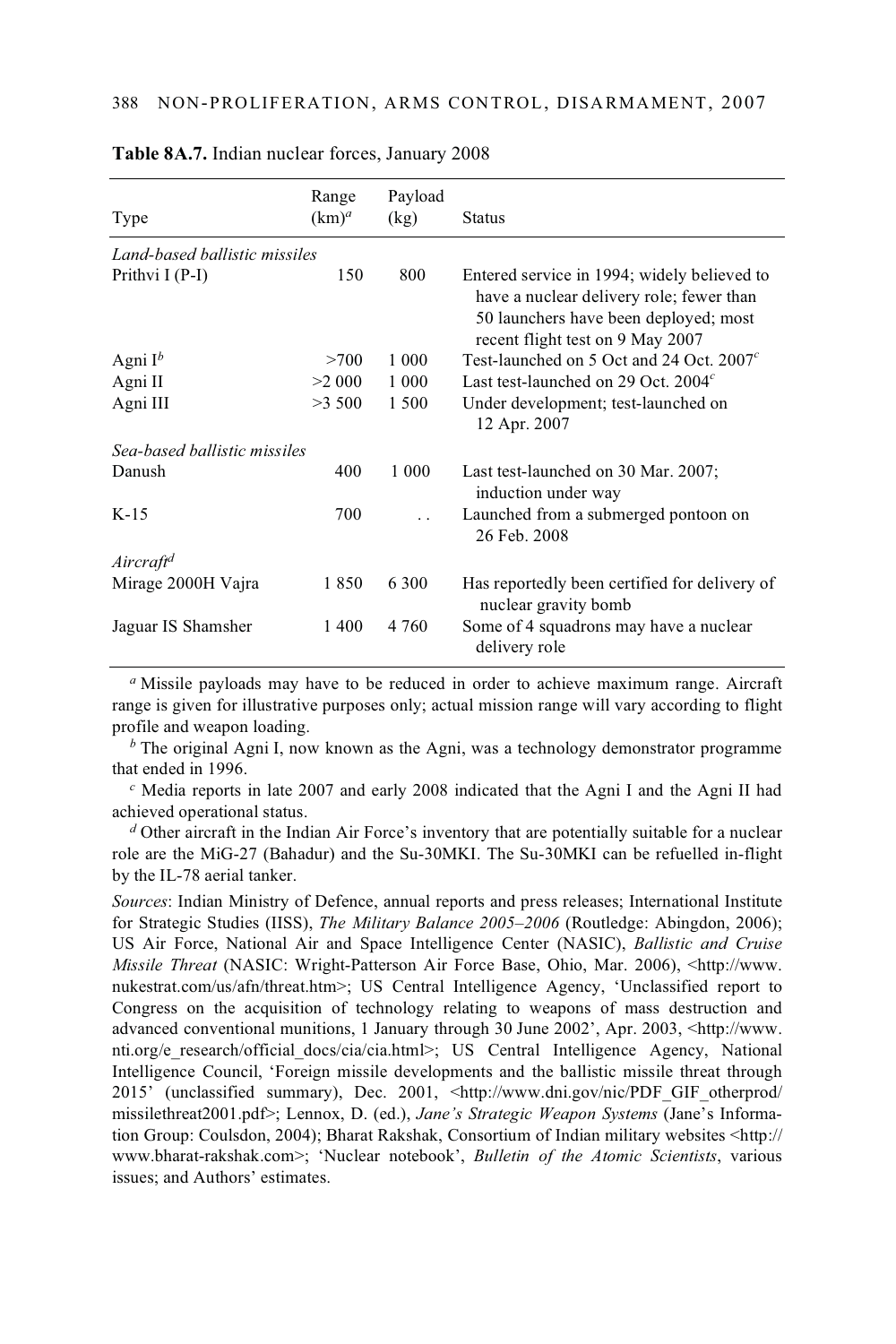| Type                          | Range<br>$(km)^a$ | Payload<br>(kg) | <b>Status</b>                                                                                                                                                        |
|-------------------------------|-------------------|-----------------|----------------------------------------------------------------------------------------------------------------------------------------------------------------------|
|                               |                   |                 |                                                                                                                                                                      |
| Land-based ballistic missiles |                   |                 |                                                                                                                                                                      |
| Prithvi I (P-I)               | 150               | 800             | Entered service in 1994; widely believed to<br>have a nuclear delivery role; fewer than<br>50 launchers have been deployed; most<br>recent flight test on 9 May 2007 |
| Agni $I^b$                    | >700              | 1 0 0 0         | Test-launched on 5 Oct and 24 Oct. 2007 <sup><math>c</math></sup>                                                                                                    |
| Agni II                       | >2000             | 1 0 0 0         | Last test-launched on 29 Oct. $2004c$                                                                                                                                |
| Agni III                      | >3500             | 1 500           | Under development; test-launched on<br>12 Apr. 2007                                                                                                                  |
| Sea-based ballistic missiles  |                   |                 |                                                                                                                                                                      |
| Danush                        | 400               | 1 0 0 0         | Last test-launched on 30 Mar. 2007;<br>induction under way                                                                                                           |
| $K-15$                        | 700               |                 | Launched from a submerged pontoon on<br>26 Feb. 2008                                                                                                                 |
| Aircraft <sup>d</sup>         |                   |                 |                                                                                                                                                                      |
| Mirage 2000H Vajra            | 1850              | 6 300           | Has reportedly been certified for delivery of<br>nuclear gravity bomb                                                                                                |
| Jaguar IS Shamsher            | 1400              | 4 7 6 0         | Some of 4 squadrons may have a nuclear<br>delivery role                                                                                                              |

#### **Table 8A.7.** Indian nuclear forces, January 2008

*<sup>a</sup>* Missile payloads may have to be reduced in order to achieve maximum range. Aircraft range is given for illustrative purposes only; actual mission range will vary according to flight profile and weapon loading.

*<sup>b</sup>* The original Agni I, now known as the Agni, was a technology demonstrator programme that ended in 1996.

*<sup>c</sup>* Media reports in late 2007 and early 2008 indicated that the Agni I and the Agni II had achieved operational status.

*<sup>d</sup>* Other aircraft in the Indian Air Force's inventory that are potentially suitable for a nuclear role are the MiG-27 (Bahadur) and the Su-30MKI. The Su-30MKI can be refuelled in-flight by the IL-78 aerial tanker.

*Sources*: Indian Ministry of Defence, annual reports and press releases; International Institute for Strategic Studies (IISS), *The Military Balance 2005–2006* (Routledge: Abingdon, 2006); US Air Force, National Air and Space Intelligence Center (NASIC), *Ballistic and Cruise Missile Threat* (NASIC: Wright-Patterson Air Force Base, Ohio, Mar. 2006), <http://www. nukestrat.com/us/afn/threat.htm>; US Central Intelligence Agency, 'Unclassified report to Congress on the acquisition of technology relating to weapons of mass destruction and advanced conventional munitions, 1 January through 30 June 2002', Apr. 2003, <http://www. nti.org/e\_research/official\_docs/cia/cia.html>; US Central Intelligence Agency, National Intelligence Council, 'Foreign missile developments and the ballistic missile threat through 2015' (unclassified summary), Dec. 2001, <http://www.dni.gov/nic/PDF\_GIF\_otherprod/ missilethreat2001.pdf>; Lennox, D. (ed.), *Jane's Strategic Weapon Systems* (Jane's Information Group: Coulsdon, 2004); Bharat Rakshak, Consortium of Indian military websites <http:// www.bharat-rakshak.com>; 'Nuclear notebook', *Bulletin of the Atomic Scientists*, various issues; and Authors' estimates.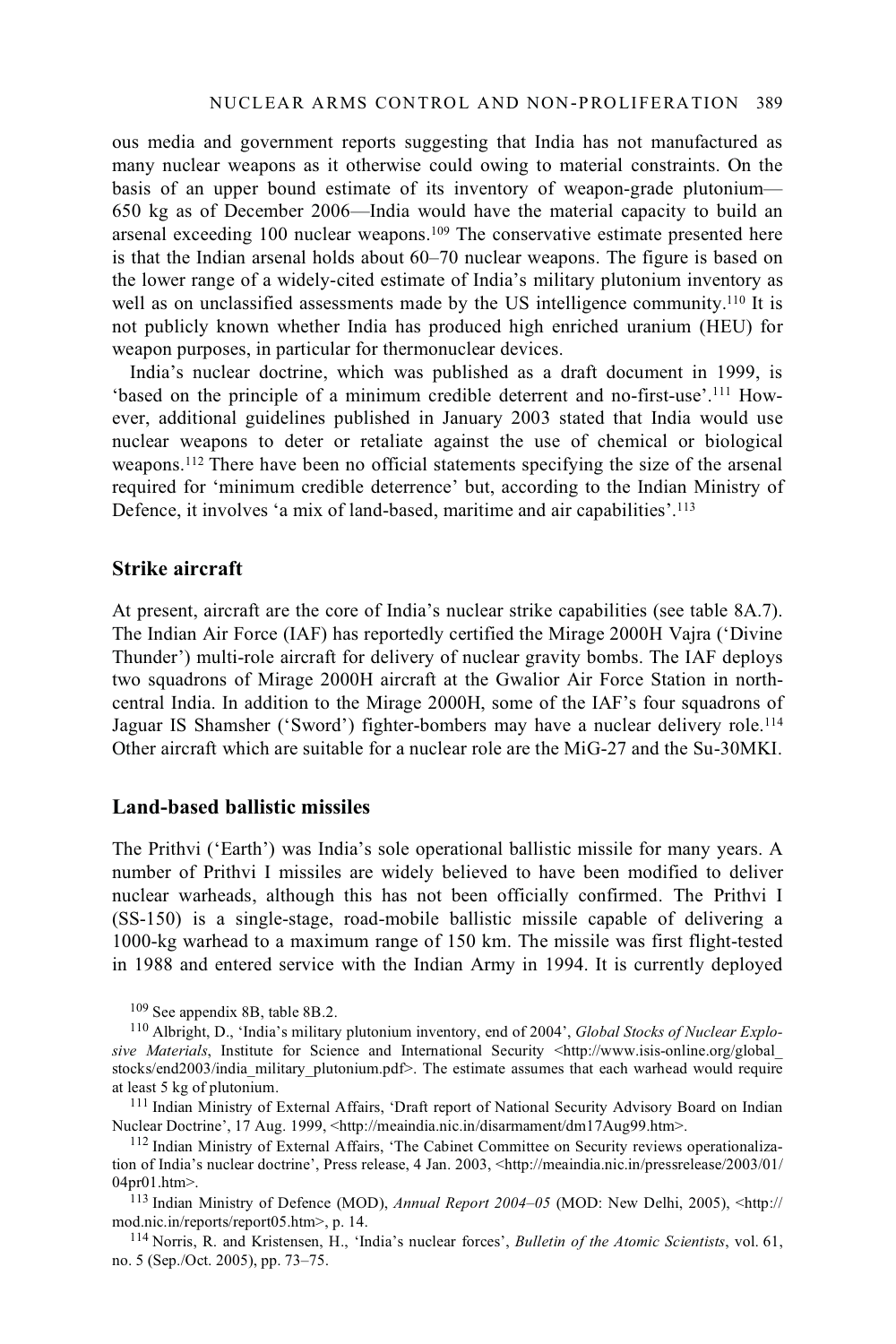ous media and government reports suggesting that India has not manufactured as many nuclear weapons as it otherwise could owing to material constraints. On the basis of an upper bound estimate of its inventory of weapon-grade plutonium— 650 kg as of December 2006—India would have the material capacity to build an arsenal exceeding 100 nuclear weapons.<sup>109</sup> The conservative estimate presented here is that the Indian arsenal holds about 60–70 nuclear weapons. The figure is based on the lower range of a widely-cited estimate of India's military plutonium inventory as well as on unclassified assessments made by the US intelligence community.<sup>110</sup> It is not publicly known whether India has produced high enriched uranium (HEU) for weapon purposes, in particular for thermonuclear devices.

India's nuclear doctrine, which was published as a draft document in 1999, is 'based on the principle of a minimum credible deterrent and no-first-use'.111 However, additional guidelines published in January 2003 stated that India would use nuclear weapons to deter or retaliate against the use of chemical or biological weapons.112 There have been no official statements specifying the size of the arsenal required for 'minimum credible deterrence' but, according to the Indian Ministry of Defence, it involves 'a mix of land-based, maritime and air capabilities'.<sup>113</sup>

### **Strike aircraft**

At present, aircraft are the core of India's nuclear strike capabilities (see table 8A.7). The Indian Air Force (IAF) has reportedly certified the Mirage 2000H Vajra ('Divine Thunder') multi-role aircraft for delivery of nuclear gravity bombs. The IAF deploys two squadrons of Mirage 2000H aircraft at the Gwalior Air Force Station in northcentral India. In addition to the Mirage 2000H, some of the IAF's four squadrons of Jaguar IS Shamsher ('Sword') fighter-bombers may have a nuclear delivery role.114 Other aircraft which are suitable for a nuclear role are the MiG-27 and the Su-30MKI.

### **Land-based ballistic missiles**

The Prithvi ('Earth') was India's sole operational ballistic missile for many years. A number of Prithvi I missiles are widely believed to have been modified to deliver nuclear warheads, although this has not been officially confirmed. The Prithvi I (SS-150) is a single-stage, road-mobile ballistic missile capable of delivering a 1000-kg warhead to a maximum range of 150 km. The missile was first flight-tested in 1988 and entered service with the Indian Army in 1994. It is currently deployed

109 See appendix 8B, table 8B.2.

110 Albright, D., 'India's military plutonium inventory, end of 2004', *Global Stocks of Nuclear Explosive Materials*, Institute for Science and International Security <http://www.isis-online.org/global\_ stocks/end2003/india\_military\_plutonium.pdf>. The estimate assumes that each warhead would require at least 5 kg of plutonium.

<sup>111</sup> Indian Ministry of External Affairs, 'Draft report of National Security Advisory Board on Indian Nuclear Doctrine', 17 Aug. 1999, <http://meaindia.nic.in/disarmament/dm17Aug99.htm>.

<sup>112</sup> Indian Ministry of External Affairs, 'The Cabinet Committee on Security reviews operationalization of India's nuclear doctrine', Press release, 4 Jan. 2003, <http://meaindia.nic.in/pressrelease/2003/01/ 04pr01.htm>. 113 Indian Ministry of Defence (MOD), *Annual Report 2004–05* (MOD: New Delhi, 2005), <http://

mod.nic.in/reports/report05.htm>, p. 14.

114 Norris, R. and Kristensen, H., 'India's nuclear forces', *Bulletin of the Atomic Scientists*, vol. 61, no. 5 (Sep./Oct. 2005), pp. 73–75.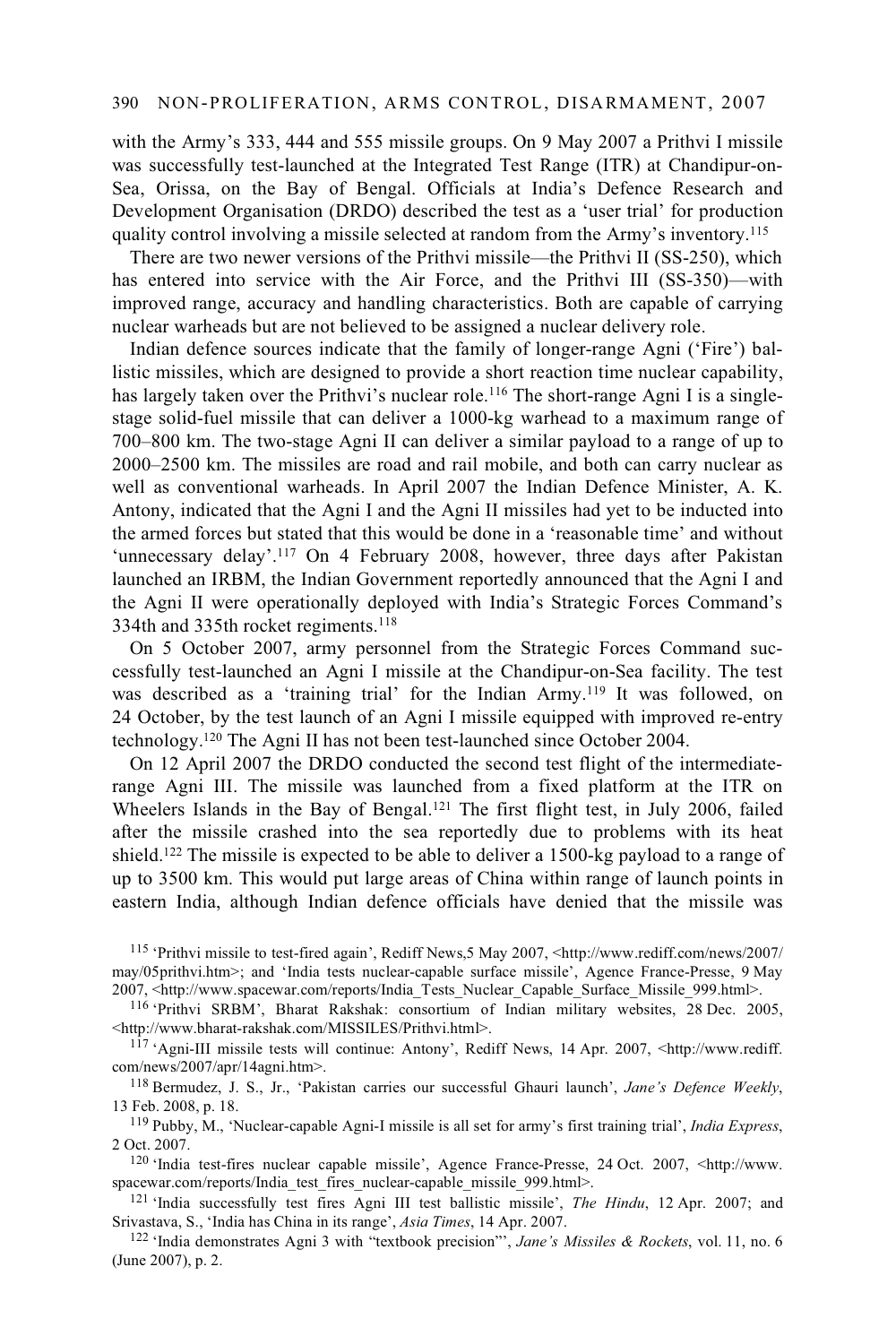with the Army's 333, 444 and 555 missile groups. On 9 May 2007 a Prithvi I missile was successfully test-launched at the Integrated Test Range (ITR) at Chandipur-on-Sea, Orissa, on the Bay of Bengal. Officials at India's Defence Research and Development Organisation (DRDO) described the test as a 'user trial' for production quality control involving a missile selected at random from the Army's inventory.115

There are two newer versions of the Prithvi missile—the Prithvi II (SS-250), which has entered into service with the Air Force, and the Prithvi III (SS-350)—with improved range, accuracy and handling characteristics. Both are capable of carrying nuclear warheads but are not believed to be assigned a nuclear delivery role.

Indian defence sources indicate that the family of longer-range Agni ('Fire') ballistic missiles, which are designed to provide a short reaction time nuclear capability, has largely taken over the Prithvi's nuclear role.<sup>116</sup> The short-range Agni I is a singlestage solid-fuel missile that can deliver a 1000-kg warhead to a maximum range of 700–800 km. The two-stage Agni II can deliver a similar payload to a range of up to 2000–2500 km. The missiles are road and rail mobile, and both can carry nuclear as well as conventional warheads. In April 2007 the Indian Defence Minister, A. K. Antony, indicated that the Agni I and the Agni II missiles had yet to be inducted into the armed forces but stated that this would be done in a 'reasonable time' and without 'unnecessary delay'.117 On 4 February 2008, however, three days after Pakistan launched an IRBM, the Indian Government reportedly announced that the Agni I and the Agni II were operationally deployed with India's Strategic Forces Command's 334th and 335th rocket regiments.118

On 5 October 2007, army personnel from the Strategic Forces Command successfully test-launched an Agni I missile at the Chandipur-on-Sea facility. The test was described as a 'training trial' for the Indian Army.119 It was followed, on 24 October, by the test launch of an Agni I missile equipped with improved re-entry technology.120 The Agni II has not been test-launched since October 2004.

On 12 April 2007 the DRDO conducted the second test flight of the intermediaterange Agni III. The missile was launched from a fixed platform at the ITR on Wheelers Islands in the Bay of Bengal.121 The first flight test, in July 2006, failed after the missile crashed into the sea reportedly due to problems with its heat shield.122 The missile is expected to be able to deliver a 1500-kg payload to a range of up to 3500 km. This would put large areas of China within range of launch points in eastern India, although Indian defence officials have denied that the missile was

115 'Prithvi missile to test-fired again', Rediff News,5 May 2007, <http://www.rediff.com/news/2007/ may/05prithvi.htm>; and 'India tests nuclear-capable surface missile', Agence France-Presse, 9 May

2007, <http://www.spacewar.com/reports/India\_Tests\_Nuclear\_Capable\_Surface\_Missile\_999.html>.<br><sup>116</sup> 'Prithvi SRBM', Bharat Rakshak: consortium of Indian military websites, 28 Dec. 2005,<br><http://www.bharat-rakshak.com/MISSI

 $117$  'Agni-III missile tests will continue: Antony', Rediff News, 14 Apr. 2007,  $\text{http://www.rediff. com/news/2007/apr/14agn.htm>}.$ 

<sup>118</sup> Bermudez, J. S., Jr., 'Pakistan carries our successful Ghauri launch', *Jane's Defence Weekly*, 13 Feb. 2008, p. 18. 119 Pubby, M., 'Nuclear-capable Agni-I missile is all set for army's first training trial', *India Express*,

2 Oct. 2007. 120 'India test-fires nuclear capable missile', Agence France-Presse, 24 Oct. 2007, <http://www.

spacewar.com/reports/India\_test\_fires\_nuclear-capable\_missile\_999.html>.

121 'India successfully test fires Agni III test ballistic missile', *The Hindu*, 12 Apr. 2007; and Srivastava, S., 'India has China in its range', *Asia Times*, 14 Apr. 2007.<br><sup>122</sup> 'India demonstrates Agni 3 with "textbook precision"', *Jane's Missiles & Rockets*, vol. 11, no. 6

(June 2007), p. 2.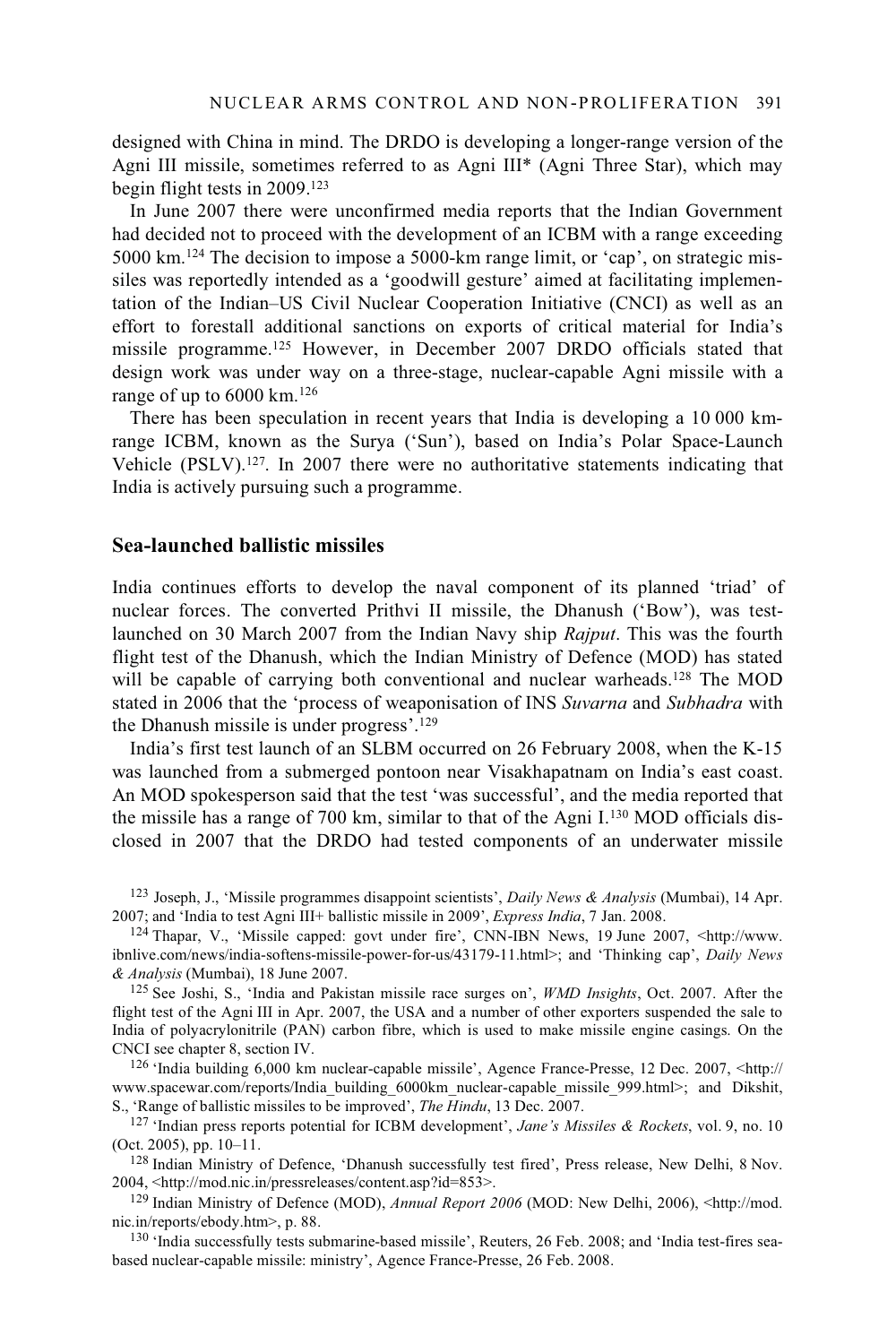designed with China in mind. The DRDO is developing a longer-range version of the Agni III missile, sometimes referred to as Agni III\* (Agni Three Star), which may begin flight tests in 2009.123

In June 2007 there were unconfirmed media reports that the Indian Government had decided not to proceed with the development of an ICBM with a range exceeding 5000 km.124 The decision to impose a 5000-km range limit, or 'cap', on strategic missiles was reportedly intended as a 'goodwill gesture' aimed at facilitating implementation of the Indian–US Civil Nuclear Cooperation Initiative (CNCI) as well as an effort to forestall additional sanctions on exports of critical material for India's missile programme.125 However, in December 2007 DRDO officials stated that design work was under way on a three-stage, nuclear-capable Agni missile with a range of up to 6000 km.<sup>126</sup>

There has been speculation in recent years that India is developing a 10 000 kmrange ICBM, known as the Surya ('Sun'), based on India's Polar Space-Launch Vehicle  $(PSLV)$ .<sup>127</sup>. In 2007 there were no authoritative statements indicating that India is actively pursuing such a programme.

#### **Sea-launched ballistic missiles**

India continues efforts to develop the naval component of its planned 'triad' of nuclear forces. The converted Prithvi II missile, the Dhanush ('Bow'), was testlaunched on 30 March 2007 from the Indian Navy ship *Rajput*. This was the fourth flight test of the Dhanush, which the Indian Ministry of Defence (MOD) has stated will be capable of carrying both conventional and nuclear warheads.<sup>128</sup> The MOD stated in 2006 that the 'process of weaponisation of INS *Suvarna* and *Subhadra* with the Dhanush missile is under progress'.129

India's first test launch of an SLBM occurred on 26 February 2008, when the K-15 was launched from a submerged pontoon near Visakhapatnam on India's east coast. An MOD spokesperson said that the test 'was successful', and the media reported that the missile has a range of 700 km, similar to that of the Agni I.130 MOD officials disclosed in 2007 that the DRDO had tested components of an underwater missile

<sup>123</sup> Joseph, J., 'Missile programmes disappoint scientists', *Daily News & Analysis* (Mumbai), 14 Apr. 2007; and 'India to test Agni III+ ballistic missile in 2009', *Express India*, 7 Jan. 2008.

<sup>124</sup> Thapar, V., 'Missile capped: govt under fire', CNN-IBN News, 19 June 2007, <http://www. ibnlive.com/news/india-softens-missile-power-for-us/43179-11.html>; and 'Thinking cap', *Daily News* 

<sup>125</sup> See Joshi, S., 'India and Pakistan missile race surges on', *WMD Insights*, Oct. 2007. After the flight test of the Agni III in Apr. 2007, the USA and a number of other exporters suspended the sale to India of polyacrylonitrile (PAN) carbon fibre, which is used to make missile engine casings. On the CNCI see chapter 8, section IV.

<sup>126</sup> 'India building 6,000 km nuclear-capable missile', Agence France-Presse, 12 Dec. 2007, <http:// www.spacewar.com/reports/India\_building\_6000km\_nuclear-capable\_missile\_999.html>; and Dikshit, S., 'Range of ballistic missiles to be improved', *The Hindu*, 13 Dec. 2007.

127 'Indian press reports potential for ICBM development', *Jane's Missiles & Rockets*, vol. 9, no. 10 (Oct. 2005), pp. 10–11.<br><sup>128</sup> Indian Ministry of Defence, 'Dhanush successfully test fired', Press release, New Delhi, 8 Nov.

2004, <http://mod.nic.in/pressreleases/content.asp?id=853>. 129 Indian Ministry of Defence (MOD), *Annual Report 2006* (MOD: New Delhi, 2006), <http://mod.

nic.in/reports/ebody.htm>, p. 88.

<sup>130</sup> 'India successfully tests submarine-based missile', Reuters, 26 Feb. 2008; and 'India test-fires seabased nuclear-capable missile: ministry', Agence France-Presse, 26 Feb. 2008.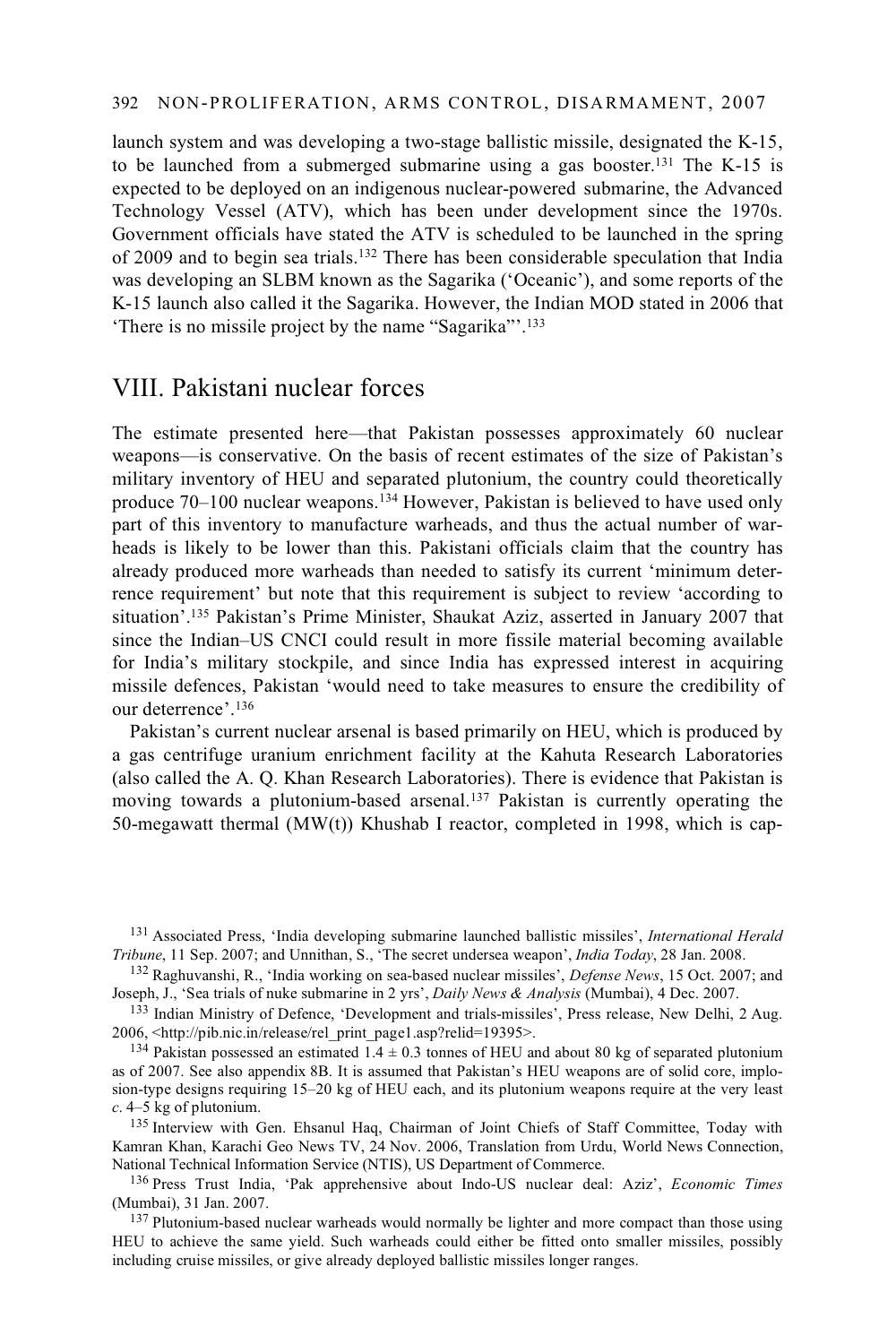launch system and was developing a two-stage ballistic missile, designated the K-15, to be launched from a submerged submarine using a gas booster.<sup>131</sup> The K-15 is expected to be deployed on an indigenous nuclear-powered submarine, the Advanced Technology Vessel (ATV), which has been under development since the 1970s. Government officials have stated the ATV is scheduled to be launched in the spring of 2009 and to begin sea trials.132 There has been considerable speculation that India was developing an SLBM known as the Sagarika ('Oceanic'), and some reports of the K-15 launch also called it the Sagarika. However, the Indian MOD stated in 2006 that 'There is no missile project by the name "Sagarika"'.133

# VIII. Pakistani nuclear forces

The estimate presented here—that Pakistan possesses approximately 60 nuclear weapons—is conservative. On the basis of recent estimates of the size of Pakistan's military inventory of HEU and separated plutonium, the country could theoretically produce 70–100 nuclear weapons.134 However, Pakistan is believed to have used only part of this inventory to manufacture warheads, and thus the actual number of warheads is likely to be lower than this. Pakistani officials claim that the country has already produced more warheads than needed to satisfy its current 'minimum deterrence requirement' but note that this requirement is subject to review 'according to situation'.135 Pakistan's Prime Minister, Shaukat Aziz, asserted in January 2007 that since the Indian–US CNCI could result in more fissile material becoming available for India's military stockpile, and since India has expressed interest in acquiring missile defences, Pakistan 'would need to take measures to ensure the credibility of our deterrence'.136

Pakistan's current nuclear arsenal is based primarily on HEU, which is produced by a gas centrifuge uranium enrichment facility at the Kahuta Research Laboratories (also called the A. Q. Khan Research Laboratories). There is evidence that Pakistan is moving towards a plutonium-based arsenal.137 Pakistan is currently operating the 50-megawatt thermal (MW(t)) Khushab I reactor, completed in 1998, which is cap-

<sup>131</sup> Associated Press, 'India developing submarine launched ballistic missiles', *International Herald Tribune*, 11 Sep. 2007; and Unnithan, S., 'The secret undersea weapon', *India Today*, 28 Jan. 2008.

<sup>132</sup> Raghuvanshi, R., 'India working on sea-based nuclear missiles', *Defense News*, 15 Oct. 2007; and Joseph, J., 'Sea trials of nuke submarine in 2 yrs', *Daily News & Analysis* (Mumbai), 4 Dec. 2007.

 $133$  Indian Ministry of Defence, 'Development and trials-missiles', Press release, New Delhi, 2 Aug. 2006,  $\text{http://pib.nic.in/release/rel}$  print pagel.asp?relid=19395>.

<sup>134</sup> Pakistan possessed an estimated 1.4  $\pm$  0.3 tonnes of HEU and about 80 kg of separated plutonium as of 2007. See also appendix 8B. It is assumed that Pakistan's HEU weapons are of solid core, implosion-type designs requiring 15–20 kg of HEU each, and its plutonium weapons require at the very least *c*. 4–5 kg of plutonium.

135 Interview with Gen. Ehsanul Haq, Chairman of Joint Chiefs of Staff Committee, Today with Kamran Khan, Karachi Geo News TV, 24 Nov. 2006, Translation from Urdu, World News Connection, National Technical Information Service (NTIS), US Department of Commerce. 136 Press Trust India, 'Pak apprehensive about Indo-US nuclear deal: Aziz', *Economic Times*

(Mumbai), 31 Jan. 2007.<br><sup>137</sup> Plutonium-based nuclear warheads would normally be lighter and more compact than those using

HEU to achieve the same yield. Such warheads could either be fitted onto smaller missiles, possibly including cruise missiles, or give already deployed ballistic missiles longer ranges.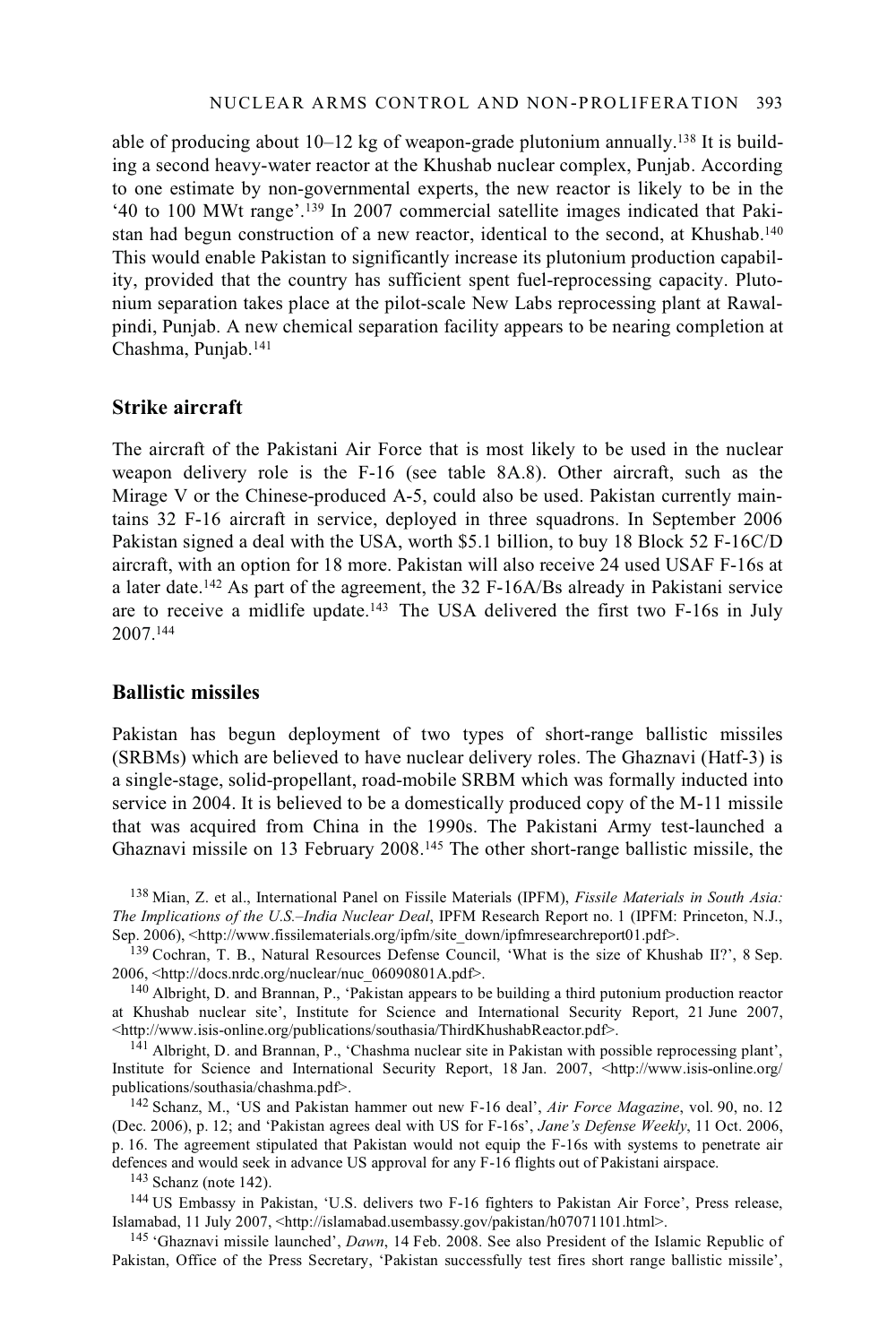able of producing about 10–12 kg of weapon-grade plutonium annually.138 It is building a second heavy-water reactor at the Khushab nuclear complex, Punjab. According to one estimate by non-governmental experts, the new reactor is likely to be in the '40 to 100 MWt range'.139 In 2007 commercial satellite images indicated that Pakistan had begun construction of a new reactor, identical to the second, at Khushab.140 This would enable Pakistan to significantly increase its plutonium production capability, provided that the country has sufficient spent fuel-reprocessing capacity. Plutonium separation takes place at the pilot-scale New Labs reprocessing plant at Rawalpindi, Punjab. A new chemical separation facility appears to be nearing completion at Chashma, Punjab.141

### **Strike aircraft**

The aircraft of the Pakistani Air Force that is most likely to be used in the nuclear weapon delivery role is the F-16 (see table 8A.8). Other aircraft, such as the Mirage V or the Chinese-produced A-5, could also be used. Pakistan currently maintains 32 F-16 aircraft in service, deployed in three squadrons. In September 2006 Pakistan signed a deal with the USA, worth \$5.1 billion, to buy 18 Block 52 F-16C/D aircraft, with an option for 18 more. Pakistan will also receive 24 used USAF F-16s at a later date.142 As part of the agreement, the 32 F-16A/Bs already in Pakistani service are to receive a midlife update.143 The USA delivered the first two F-16s in July 2007.144

## **Ballistic missiles**

Pakistan has begun deployment of two types of short-range ballistic missiles (SRBMs) which are believed to have nuclear delivery roles. The Ghaznavi (Hatf-3) is a single-stage, solid-propellant, road-mobile SRBM which was formally inducted into service in 2004. It is believed to be a domestically produced copy of the M-11 missile that was acquired from China in the 1990s. The Pakistani Army test-launched a Ghaznavi missile on 13 February 2008.145 The other short-range ballistic missile, the

138 Mian, Z. et al., International Panel on Fissile Materials (IPFM), *Fissile Materials in South Asia: The Implications of the U.S.–India Nuclear Deal*, IPFM Research Report no. 1 (IPFM: Princeton, N.J., Sep. 2006), <http://www.fissilematerials.org/ipfm/site down/ipfmresearchreport01.pdf>.

<sup>139</sup> Cochran, T. B., Natural Resources Defense Council, 'What is the size of Khushab II?', 8 Sep. 2006, <http://docs.nrdc.org/nuclear/nuc 06090801A.pdf>.

 $140$  Albright, D. and Brannan, P., 'Pakistan appears to be building a third putonium production reactor at Khushab nuclear site', Institute for Science and International Security Report, 21 June 2007,  $\langle \text{http://www.isis-online.org/publications/southasia/ThirdKhushabReactor.pdf} \rangle$ .<br><sup>141</sup> Albright, D. and Brannan, P., 'Chashma nuclear site in Pakistan with possible reprocessing plant',

Institute for Science and International Security Report, 18 Jan. 2007, <http://www.isis-online.org/

<sup>142</sup> Schanz, M., 'US and Pakistan hammer out new F-16 deal', *Air Force Magazine*, vol. 90, no. 12 (Dec. 2006), p. 12; and 'Pakistan agrees deal with US for F-16s', *Jane's Defense Weekly*, 11 Oct. 2006, p. 16. The agreement stipulated that Pakistan would not equip the F-16s with systems to penetrate air defences and would seek in advance US approval for any F-16 flights out of Pakistani airspace.

<sup>143</sup> Schanz (note 142).<br><sup>143</sup> US Embassy in Pakistan, 'U.S. delivers two F-16 fighters to Pakistan Air Force', Press release, Islamabad, 11 July 2007, <http://islamabad.usembassy.gov/pakistan/h07071101.html>. 145 'Ghaznavi missile launched', *Dawn*, 14 Feb. 2008. See also President of the Islamic Republic of

Pakistan, Office of the Press Secretary, 'Pakistan successfully test fires short range ballistic missile',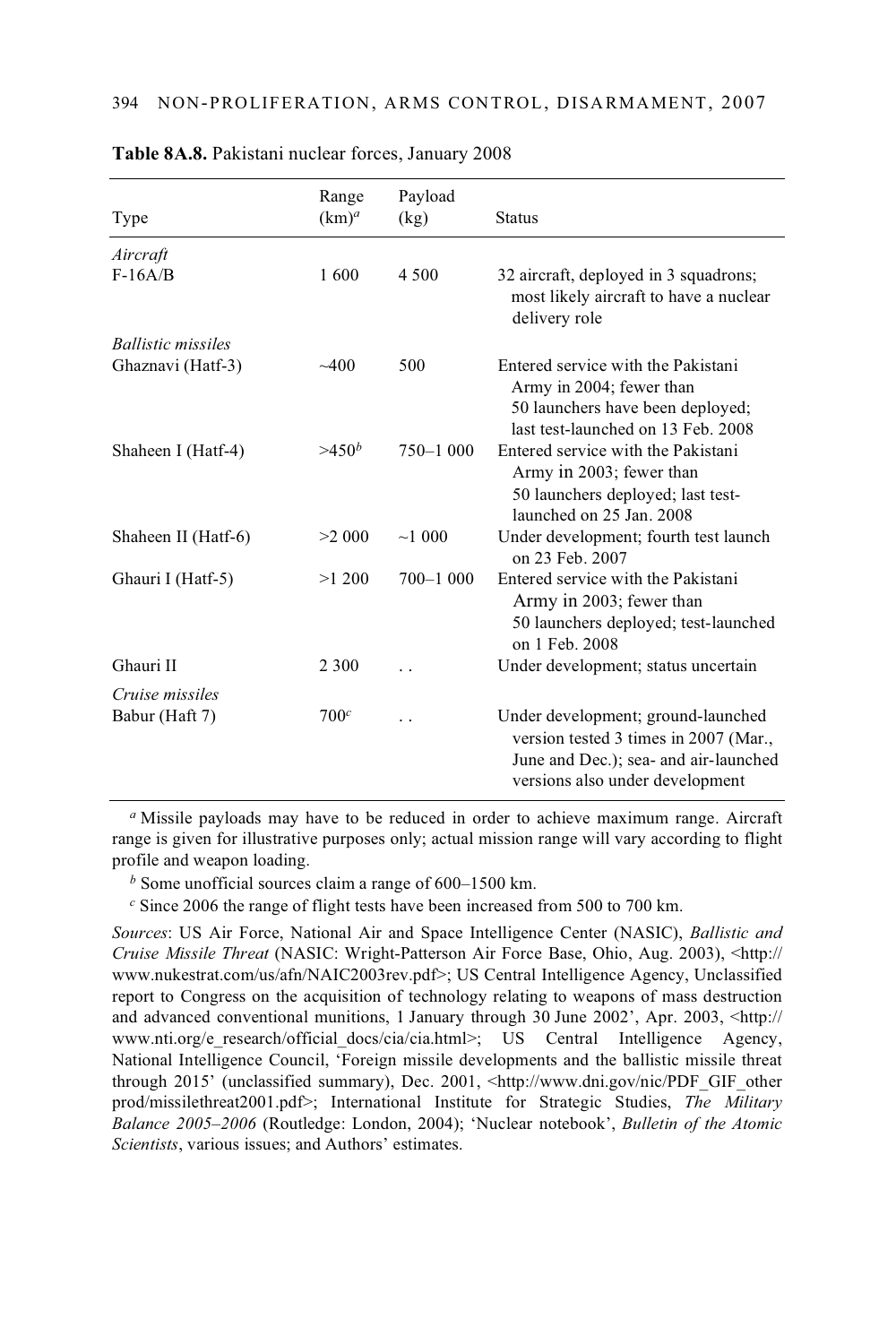| Type                      | Range<br>$(km)^a$ | Payload<br>(kg) | <b>Status</b>                                                                                                                                           |
|---------------------------|-------------------|-----------------|---------------------------------------------------------------------------------------------------------------------------------------------------------|
| Aircraft                  |                   |                 |                                                                                                                                                         |
| $F-16A/B$                 | 1 600             | 4 500           | 32 aircraft, deployed in 3 squadrons;<br>most likely aircraft to have a nuclear<br>delivery role                                                        |
| <b>Ballistic missiles</b> |                   |                 |                                                                                                                                                         |
| Ghaznavi (Hatf-3)         | $-400$            | 500             | Entered service with the Pakistani<br>Army in 2004; fewer than<br>50 launchers have been deployed;                                                      |
|                           |                   |                 | last test-launched on 13 Feb. 2008                                                                                                                      |
| Shaheen I (Hatf-4)        | $>450^b$          | $750 - 1000$    | Entered service with the Pakistani<br>Army in 2003; fewer than<br>50 launchers deployed; last test-<br>launched on 25 Jan. 2008                         |
| Shaheen II (Hatf-6)       | >2000             | ~1000           | Under development; fourth test launch<br>on 23 Feb. 2007                                                                                                |
| Ghauri I (Hatf-5)         | >1200             | $700 - 1000$    | Entered service with the Pakistani<br>Army in 2003; fewer than                                                                                          |
|                           |                   |                 | 50 launchers deployed; test-launched<br>on 1 Feb. 2008                                                                                                  |
| Ghauri II                 | 2 300             |                 | Under development; status uncertain                                                                                                                     |
| Cruise missiles           |                   |                 |                                                                                                                                                         |
| Babur (Haft 7)            | 700 <sup>c</sup>  |                 | Under development; ground-launched<br>version tested 3 times in 2007 (Mar.,<br>June and Dec.); sea- and air-launched<br>versions also under development |

**Table 8A.8.** Pakistani nuclear forces, January 2008

*<sup>a</sup>* Missile payloads may have to be reduced in order to achieve maximum range. Aircraft range is given for illustrative purposes only; actual mission range will vary according to flight profile and weapon loading.

*<sup>b</sup>* Some unofficial sources claim a range of 600–1500 km.

*<sup>c</sup>* Since 2006 the range of flight tests have been increased from 500 to 700 km.

*Sources*: US Air Force, National Air and Space Intelligence Center (NASIC), *Ballistic and Cruise Missile Threat* (NASIC: Wright-Patterson Air Force Base, Ohio, Aug. 2003), <http:// www.nukestrat.com/us/afn/NAIC2003rev.pdf>; US Central Intelligence Agency, Unclassified report to Congress on the acquisition of technology relating to weapons of mass destruction and advanced conventional munitions, 1 January through 30 June 2002', Apr. 2003, <http:// www.nti.org/e\_research/official\_docs/cia/cia.html>; US Central Intelligence Agency, National Intelligence Council, 'Foreign missile developments and the ballistic missile threat through 2015' (unclassified summary), Dec. 2001, <http://www.dni.gov/nic/PDF\_GIF\_other prod/missilethreat2001.pdf>; International Institute for Strategic Studies, *The Military Balance 2005–2006* (Routledge: London, 2004); 'Nuclear notebook', *Bulletin of the Atomic Scientists*, various issues; and Authors' estimates.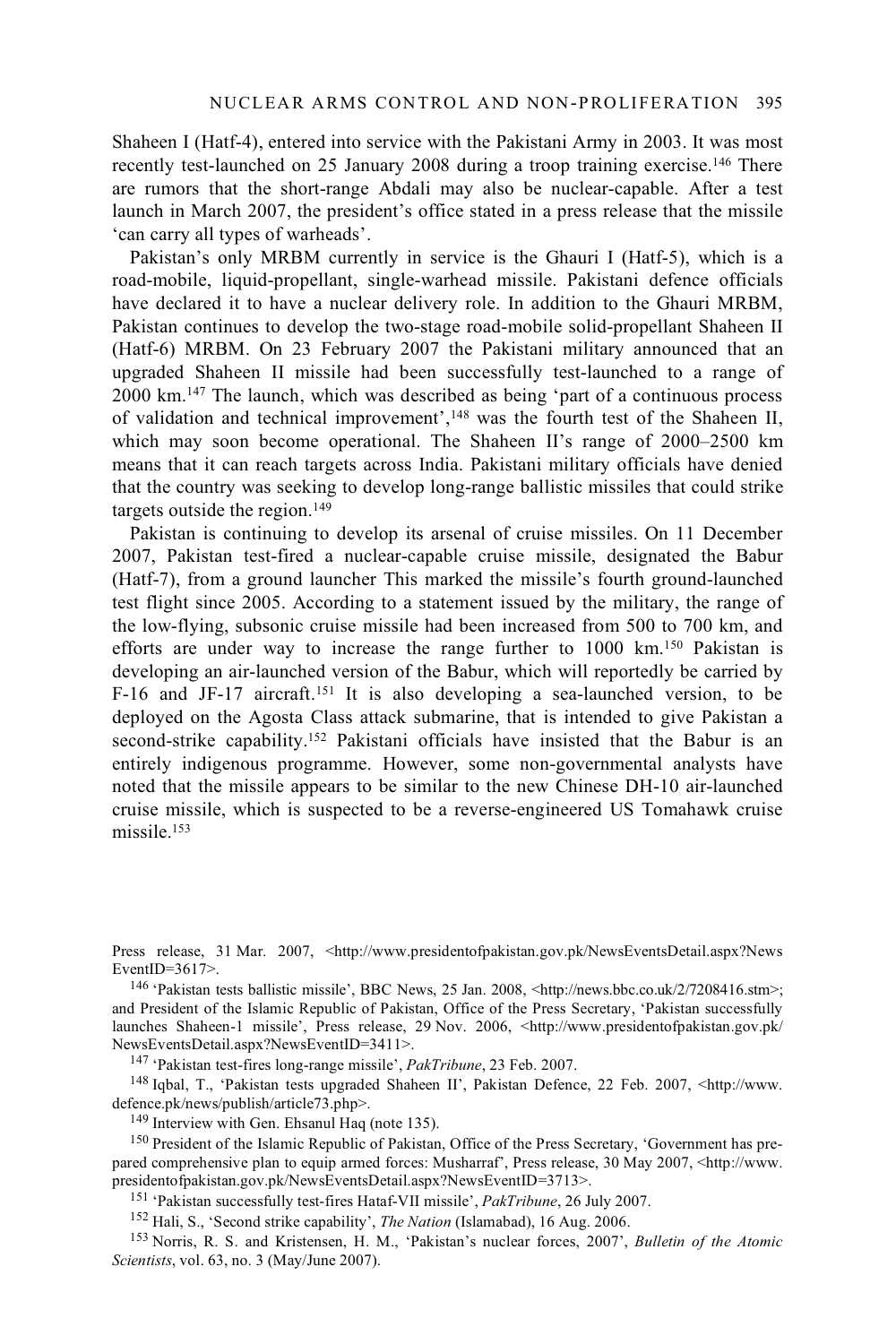Shaheen I (Hatf-4), entered into service with the Pakistani Army in 2003. It was most recently test-launched on 25 January 2008 during a troop training exercise.146 There are rumors that the short-range Abdali may also be nuclear-capable. After a test launch in March 2007, the president's office stated in a press release that the missile 'can carry all types of warheads'.

Pakistan's only MRBM currently in service is the Ghauri I (Hatf-5), which is a road-mobile, liquid-propellant, single-warhead missile. Pakistani defence officials have declared it to have a nuclear delivery role. In addition to the Ghauri MRBM, Pakistan continues to develop the two-stage road-mobile solid-propellant Shaheen II (Hatf-6) MRBM. On 23 February 2007 the Pakistani military announced that an upgraded Shaheen II missile had been successfully test-launched to a range of 2000 km.147 The launch, which was described as being 'part of a continuous process of validation and technical improvement', $148$  was the fourth test of the Shaheen II, which may soon become operational. The Shaheen II's range of 2000–2500 km means that it can reach targets across India. Pakistani military officials have denied that the country was seeking to develop long-range ballistic missiles that could strike targets outside the region.149

Pakistan is continuing to develop its arsenal of cruise missiles. On 11 December 2007, Pakistan test-fired a nuclear-capable cruise missile, designated the Babur (Hatf-7), from a ground launcher This marked the missile's fourth ground-launched test flight since 2005. According to a statement issued by the military, the range of the low-flying, subsonic cruise missile had been increased from 500 to 700 km, and efforts are under way to increase the range further to  $1000 \text{ km}$ .<sup>150</sup> Pakistan is developing an air-launched version of the Babur, which will reportedly be carried by F-16 and JF-17 aircraft.151 It is also developing a sea-launched version, to be deployed on the Agosta Class attack submarine, that is intended to give Pakistan a second-strike capability.152 Pakistani officials have insisted that the Babur is an entirely indigenous programme. However, some non-governmental analysts have noted that the missile appears to be similar to the new Chinese DH-10 air-launched cruise missile, which is suspected to be a reverse-engineered US Tomahawk cruise missile.153

Press release, 31 Mar. 2007, <http://www.presidentofpakistan.gov.pk/NewsEventsDetail.aspx?NewsEventID=3617>.

<sup>146</sup> 'Pakistan tests ballistic missile', BBC News, 25 Jan. 2008, <http://news.bbc.co.uk/2/7208416.stm>; and President of the Islamic Republic of Pakistan, Office of the Press Secretary, 'Pakistan successfully launches Shaheen-1 missile', Press release, 29 Nov. 2006, <http://www.presidentofpakistan.gov.pk/<br>NewsEventsDetail.aspx?NewsEventID=3411>.

<sup>147</sup> 'Pakistan test-fires long-range missile', *PakTribune*, 23 Feb. 2007.<br><sup>148</sup> Iqbal, T., 'Pakistan tests upgraded Shaheen II', Pakistan Defence, 22 Feb. 2007, <http://www. defence.pk/news/publish/article73.php>.<br><sup>149</sup> Interview with Gen. Ehsanul Haq (note 135).

<sup>150</sup> President of the Islamic Republic of Pakistan, Office of the Press Secretary, 'Government has prepared comprehensive plan to equip armed forces: Musharraf', Press release, 30 May 2007, <http://www.<br>presidentofpakistan.gov.pk/NewsEventsDetail.aspx?NewsEventID=3713>.

<sup>151</sup> 'Pakistan successfully test-fires Hataf-VII missile', *PakTribune*, 26 July 2007.<br><sup>152</sup> Hali, S., 'Second strike capability', *The Nation* (Islamabad), 16 Aug. 2006.<br><sup>153</sup> Norris, R. S. and Kristensen, H. M., 'Pakist *Scientists*, vol. 63, no. 3 (May/June 2007).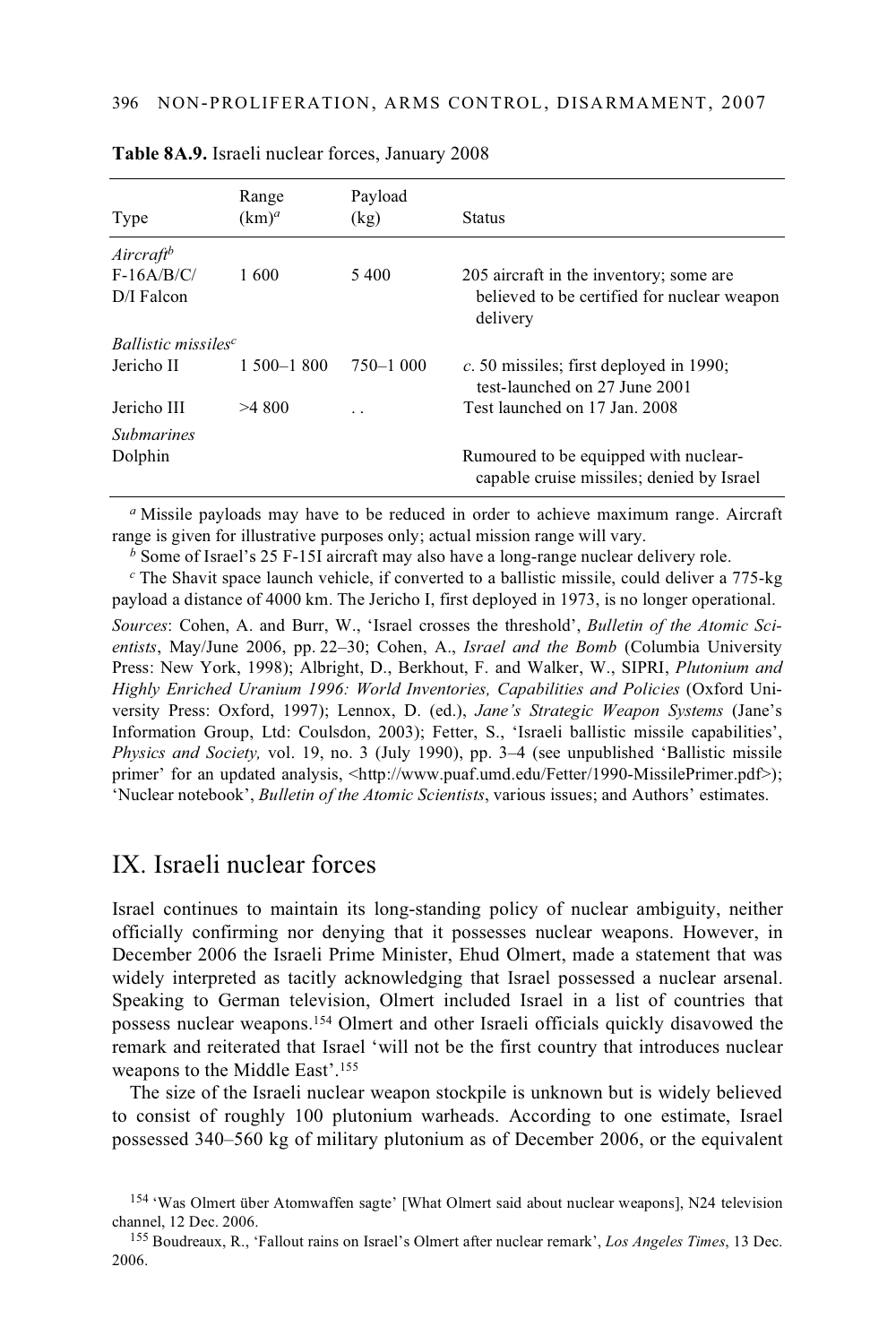|                                 | Range         | Payload      |                                                                                    |
|---------------------------------|---------------|--------------|------------------------------------------------------------------------------------|
| Type                            | $(km)^a$      | (kg)         | Status                                                                             |
| Aircraft <sup>b</sup>           |               |              |                                                                                    |
| $F-16A/B/C/$                    | 1 600         | 5400         | 205 aircraft in the inventory; some are                                            |
| $D/I$ Falcon                    |               |              | believed to be certified for nuclear weapon<br>delivery                            |
| Ballistic missiles <sup>c</sup> |               |              |                                                                                    |
| Jericho II                      | $1,500-1,800$ | $750 - 1000$ | $c. 50$ missiles; first deployed in 1990;<br>test-launched on 27 June 2001         |
| Jericho III                     | >4800         | . .          | Test launched on 17 Jan. 2008                                                      |
| <i>Submarines</i>               |               |              |                                                                                    |
| Dolphin                         |               |              | Rumoured to be equipped with nuclear-<br>capable cruise missiles; denied by Israel |

| Table 8A.9. Israeli nuclear forces, January 2008 |  |  |  |  |
|--------------------------------------------------|--|--|--|--|
|--------------------------------------------------|--|--|--|--|

*<sup>a</sup>* Missile payloads may have to be reduced in order to achieve maximum range. Aircraft range is given for illustrative purposes only; actual mission range will vary.

*<sup>b</sup>* Some of Israel's 25 F-15I aircraft may also have a long-range nuclear delivery role.

*<sup>c</sup>* The Shavit space launch vehicle, if converted to a ballistic missile, could deliver a 775-kg payload a distance of 4000 km. The Jericho I, first deployed in 1973, is no longer operational.

*Sources*: Cohen, A. and Burr, W., 'Israel crosses the threshold', *Bulletin of the Atomic Scientists*, May/June 2006, pp. 22–30; Cohen, A., *Israel and the Bomb* (Columbia University Press: New York, 1998); Albright, D., Berkhout, F. and Walker, W., SIPRI, *Plutonium and Highly Enriched Uranium 1996: World Inventories, Capabilities and Policies* (Oxford University Press: Oxford, 1997); Lennox, D. (ed.), *Jane's Strategic Weapon Systems* (Jane's Information Group, Ltd: Coulsdon, 2003); Fetter, S., 'Israeli ballistic missile capabilities', *Physics and Society,* vol. 19, no. 3 (July 1990), pp. 3–4 (see unpublished 'Ballistic missile primer' for an updated analysis, <http://www.puaf.umd.edu/Fetter/1990-MissilePrimer.pdf>); 'Nuclear notebook', *Bulletin of the Atomic Scientists*, various issues; and Authors' estimates.

# IX. Israeli nuclear forces

Israel continues to maintain its long-standing policy of nuclear ambiguity, neither officially confirming nor denying that it possesses nuclear weapons. However, in December 2006 the Israeli Prime Minister, Ehud Olmert, made a statement that was widely interpreted as tacitly acknowledging that Israel possessed a nuclear arsenal. Speaking to German television, Olmert included Israel in a list of countries that possess nuclear weapons.154 Olmert and other Israeli officials quickly disavowed the remark and reiterated that Israel 'will not be the first country that introduces nuclear weapons to the Middle East'.155

The size of the Israeli nuclear weapon stockpile is unknown but is widely believed to consist of roughly 100 plutonium warheads. According to one estimate, Israel possessed 340–560 kg of military plutonium as of December 2006, or the equivalent

<sup>154 &#</sup>x27;Was Olmert über Atomwaffen sagte' [What Olmert said about nuclear weapons], N24 television channel, 12 Dec. 2006.

<sup>155</sup> Boudreaux, R., 'Fallout rains on Israel's Olmert after nuclear remark', *Los Angeles Times*, 13 Dec. 2006.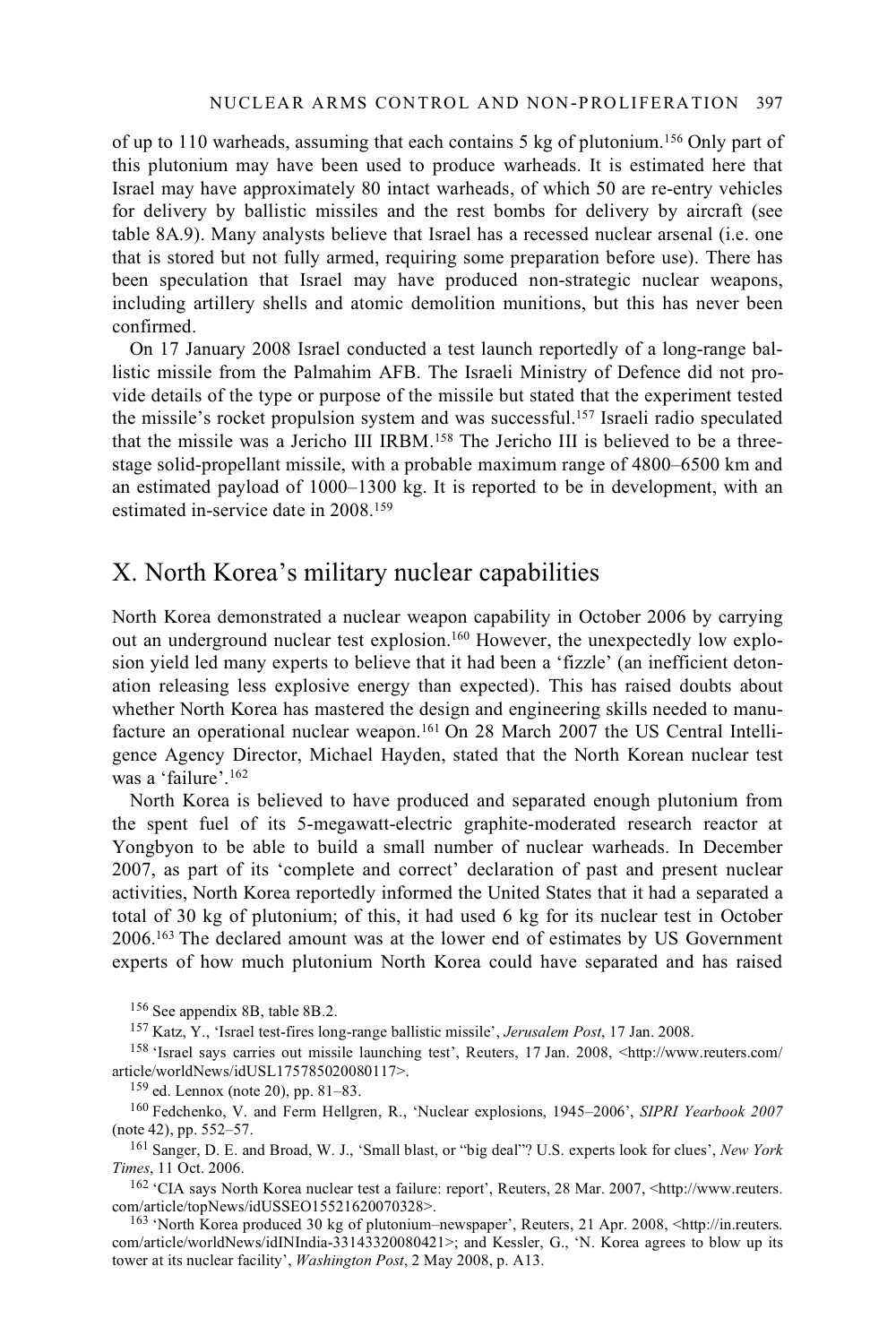of up to 110 warheads, assuming that each contains 5 kg of plutonium.156 Only part of this plutonium may have been used to produce warheads. It is estimated here that Israel may have approximately 80 intact warheads, of which 50 are re-entry vehicles for delivery by ballistic missiles and the rest bombs for delivery by aircraft (see table 8A.9). Many analysts believe that Israel has a recessed nuclear arsenal (i.e. one that is stored but not fully armed, requiring some preparation before use). There has been speculation that Israel may have produced non-strategic nuclear weapons, including artillery shells and atomic demolition munitions, but this has never been confirmed.

On 17 January 2008 Israel conducted a test launch reportedly of a long-range ballistic missile from the Palmahim AFB. The Israeli Ministry of Defence did not provide details of the type or purpose of the missile but stated that the experiment tested the missile's rocket propulsion system and was successful.157 Israeli radio speculated that the missile was a Jericho III IRBM.158 The Jericho III is believed to be a threestage solid-propellant missile, with a probable maximum range of 4800–6500 km and an estimated payload of 1000–1300 kg. It is reported to be in development, with an estimated in-service date in 2008.159

# X. North Korea's military nuclear capabilities

North Korea demonstrated a nuclear weapon capability in October 2006 by carrying out an underground nuclear test explosion.160 However, the unexpectedly low explosion yield led many experts to believe that it had been a 'fizzle' (an inefficient detonation releasing less explosive energy than expected). This has raised doubts about whether North Korea has mastered the design and engineering skills needed to manufacture an operational nuclear weapon.161 On 28 March 2007 the US Central Intelligence Agency Director, Michael Hayden, stated that the North Korean nuclear test was a 'failure'.162

North Korea is believed to have produced and separated enough plutonium from the spent fuel of its 5-megawatt-electric graphite-moderated research reactor at Yongbyon to be able to build a small number of nuclear warheads. In December 2007, as part of its 'complete and correct' declaration of past and present nuclear activities, North Korea reportedly informed the United States that it had a separated a total of 30 kg of plutonium; of this, it had used 6 kg for its nuclear test in October 2006.163 The declared amount was at the lower end of estimates by US Government experts of how much plutonium North Korea could have separated and has raised

<sup>156</sup> See appendix 8B, table 8B.2.<br><sup>157</sup> Katz, Y., 'Israel test-fires long-range ballistic missile', *Jerusalem Post*, 17 Jan. 2008.<br><sup>158</sup> 'Israel says carries out missile launching test', Reuters, 17 Jan. 2008, <http://w

<sup>159</sup> ed. Lennox (note 20), pp. 81–83.<br><sup>160</sup> Fedchenko, V. and Ferm Hellgren, R., 'Nuclear explosions, 1945–2006', *SIPRI Yearbook 2007* (note 42), pp. 552–57.

<sup>161</sup> Sanger, D. E. and Broad, W. J., 'Small blast, or "big deal"? U.S. experts look for clues', *New York Times*, 11 Oct. 2006.

<sup>162</sup> 'CIA says North Korea nuclear test a failure: report', Reuters, 28 Mar. 2007, <http://www.reuters. com/article/topNews/idUSSEO15521620070328>.

<sup>163</sup> 'North Korea produced 30 kg of plutonium–newspaper', Reuters, 21 Apr. 2008,  $\lt$ http://in.reuters. com/article/worldNews/idINIndia-33143320080421>; and Kessler, G., 'N. Korea agrees to blow up its tower at its nuclear facility', *Washington Post*, 2 May 2008, p. A13.